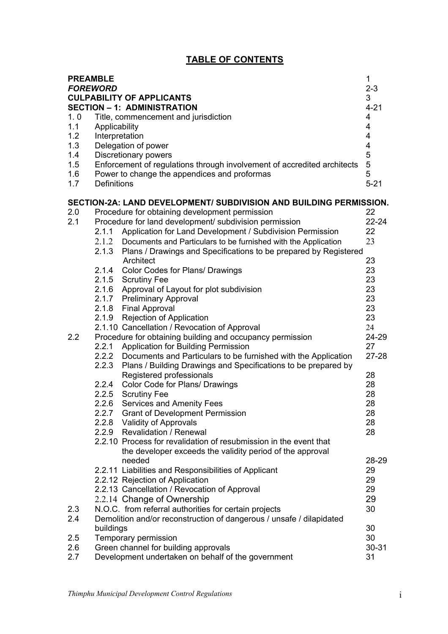# **TABLE OF CONTENTS**

| <b>PREAMBLE</b><br><b>FOREWORD</b> |                                                    | <b>CULPABILITY OF APPLICANTS</b>                                              | 1<br>$2 - 3$<br>3            |
|------------------------------------|----------------------------------------------------|-------------------------------------------------------------------------------|------------------------------|
|                                    |                                                    | <b>SECTION - 1: ADMINISTRATION</b>                                            | $4 - 21$<br>$\overline{4}$   |
| 1.0                                | Title, commencement and jurisdiction               |                                                                               |                              |
| 1.1                                | Applicability<br>Interpretation                    |                                                                               |                              |
| 1.2<br>1.3                         |                                                    |                                                                               | 4<br>$\overline{\mathbf{4}}$ |
|                                    | Delegation of power<br><b>Discretionary powers</b> |                                                                               |                              |
| 1.4<br>1.5                         |                                                    | Enforcement of regulations through involvement of accredited architects       | 5<br>5                       |
| 1.6                                |                                                    | Power to change the appendices and proformas                                  | 5                            |
| 1.7                                | <b>Definitions</b>                                 |                                                                               | $5 - 21$                     |
|                                    |                                                    |                                                                               |                              |
|                                    |                                                    | SECTION-2A: LAND DEVELOPMENT/ SUBDIVISION AND BUILDING PERMISSION.            |                              |
| 2.0                                |                                                    | Procedure for obtaining development permission                                | 22                           |
| 2.1                                |                                                    | Procedure for land development/ subdivision permission                        | $22 - 24$                    |
|                                    | 2.1.1                                              | Application for Land Development / Subdivision Permission                     | 22                           |
|                                    | 2.1.2<br>2.1.3                                     | Documents and Particulars to be furnished with the Application                | 23                           |
|                                    |                                                    | Plans / Drawings and Specifications to be prepared by Registered<br>Architect | 23                           |
|                                    |                                                    | 2.1.4 Color Codes for Plans/ Drawings                                         | 23                           |
|                                    |                                                    | 2.1.5 Scrutiny Fee                                                            | 23                           |
|                                    |                                                    | 2.1.6 Approval of Layout for plot subdivision                                 | 23                           |
|                                    |                                                    | 2.1.7 Preliminary Approval                                                    | 23                           |
|                                    |                                                    | 2.1.8 Final Approval                                                          | 23                           |
|                                    |                                                    | 2.1.9 Rejection of Application                                                | 23                           |
|                                    |                                                    | 2.1.10 Cancellation / Revocation of Approval                                  | 24                           |
| 2.2                                |                                                    | Procedure for obtaining building and occupancy permission                     | 24-29                        |
|                                    | 2.2.1                                              | <b>Application for Building Permission</b>                                    | 27                           |
|                                    |                                                    | 2.2.2 Documents and Particulars to be furnished with the Application          | $27 - 28$                    |
|                                    | 2.2.3                                              | Plans / Building Drawings and Specifications to be prepared by                |                              |
|                                    |                                                    | Registered professionals                                                      | 28                           |
|                                    | 2.2.4                                              | Color Code for Plans/ Drawings                                                | 28                           |
|                                    |                                                    | 2.2.5 Scrutiny Fee                                                            | 28                           |
|                                    | 2.2.6                                              | Services and Amenity Fees                                                     | 28                           |
|                                    |                                                    | 2.2.7 Grant of Development Permission                                         | 28                           |
|                                    |                                                    | 2.2.8 Validity of Approvals<br>2.2.9 Revalidation / Renewal                   | 28<br>28                     |
|                                    |                                                    | 2.2.10 Process for revalidation of resubmission in the event that             |                              |
|                                    |                                                    | the developer exceeds the validity period of the approval                     |                              |
|                                    |                                                    | needed                                                                        | 28-29                        |
|                                    |                                                    | 2.2.11 Liabilities and Responsibilities of Applicant                          | 29                           |
|                                    |                                                    | 2.2.12 Rejection of Application                                               | 29                           |
|                                    |                                                    | 2.2.13 Cancellation / Revocation of Approval                                  | 29                           |
|                                    |                                                    | 2.2.14 Change of Ownership                                                    | 29                           |
| 2.3                                |                                                    | N.O.C. from referral authorities for certain projects                         | 30                           |
| 2.4                                |                                                    | Demolition and/or reconstruction of dangerous / unsafe / dilapidated          |                              |
|                                    | buildings                                          |                                                                               | 30                           |
| 2.5                                |                                                    | Temporary permission                                                          | 30                           |
| 2.6                                |                                                    | Green channel for building approvals                                          | 30-31                        |
| 2.7                                |                                                    | Development undertaken on behalf of the government                            | 31                           |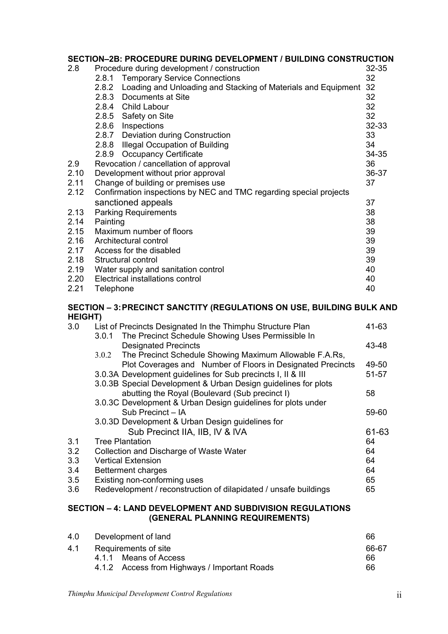## **SECTION–2B: PROCEDURE DURING DEVELOPMENT / BUILDING CONSTRUCTION**

|      |                                             |                                                                    | $32 - 35$ |  |  |
|------|---------------------------------------------|--------------------------------------------------------------------|-----------|--|--|
| 2.8  | Procedure during development / construction |                                                                    |           |  |  |
|      |                                             | 2.8.1 Temporary Service Connections                                | 32        |  |  |
|      | 2.8.2                                       | Loading and Unloading and Stacking of Materials and Equipment      | 32        |  |  |
|      |                                             | 2.8.3 Documents at Site                                            | 32        |  |  |
|      |                                             | 2.8.4 Child Labour                                                 | 32        |  |  |
|      |                                             | 2.8.5 Safety on Site                                               | 32        |  |  |
|      |                                             | 2.8.6 Inspections                                                  | $32 - 33$ |  |  |
|      |                                             | 2.8.7 Deviation during Construction                                | 33        |  |  |
|      |                                             | 2.8.8 Illegal Occupation of Building                               | 34        |  |  |
|      | 2.8.9                                       | <b>Occupancy Certificate</b>                                       | $34 - 35$ |  |  |
| 2.9  |                                             | Revocation / cancellation of approval                              | 36        |  |  |
| 2.10 | Development without prior approval<br>36-37 |                                                                    |           |  |  |
| 2.11 |                                             | Change of building or premises use                                 | 37        |  |  |
| 2.12 |                                             | Confirmation inspections by NEC and TMC regarding special projects |           |  |  |
|      |                                             | sanctioned appeals                                                 | 37        |  |  |
| 2.13 |                                             | <b>Parking Requirements</b>                                        | 38        |  |  |
| 2.14 | Painting                                    |                                                                    |           |  |  |
| 2.15 | Maximum number of floors                    |                                                                    | 39        |  |  |
| 2.16 | Architectural control                       |                                                                    | 39        |  |  |
| 2.17 | Access for the disabled                     |                                                                    | 39        |  |  |
| 2.18 | Structural control                          |                                                                    | 39        |  |  |
| 2.19 | Water supply and sanitation control         |                                                                    | 40        |  |  |
| 2.20 | Electrical installations control<br>40      |                                                                    |           |  |  |
| 2.21 | Telephone                                   |                                                                    | 40        |  |  |

### **SECTION – 3: PRECINCT SANCTITY (REGULATIONS ON USE, BUILDING BULK AND HEIGHT)**

| 3.0 | List of Precincts Designated In the Thimphu Structure Plan       | 41-63 |
|-----|------------------------------------------------------------------|-------|
|     | The Precinct Schedule Showing Uses Permissible In<br>3.0.1       |       |
|     | <b>Designated Precincts</b>                                      | 43-48 |
|     | The Precinct Schedule Showing Maximum Allowable F.A.Rs,<br>3.0.2 |       |
|     | Plot Coverages and Number of Floors in Designated Precincts      | 49-50 |
|     | 3.0.3A Development guidelines for Sub precincts I, II & III      | 51-57 |
|     | 3.0.3B Special Development & Urban Design guidelines for plots   |       |
|     | abutting the Royal (Boulevard (Sub precinct I)                   | 58    |
|     | 3.0.3C Development & Urban Design guidelines for plots under     |       |
|     | Sub Precinct - IA                                                | 59-60 |
|     | 3.0.3D Development & Urban Design guidelines for                 |       |
|     | Sub Precinct IIA, IIB, IV & IVA                                  | 61-63 |
| 3.1 | <b>Tree Plantation</b>                                           | 64    |
| 3.2 | Collection and Discharge of Waste Water                          | 64    |
| 3.3 | <b>Vertical Extension</b>                                        | 64    |
| 3.4 | <b>Betterment charges</b>                                        | 64    |
| 3.5 | Existing non-conforming uses                                     | 65    |
| 3.6 | Redevelopment / reconstruction of dilapidated / unsafe buildings | 65    |
|     |                                                                  |       |

## **SECTION – 4: LAND DEVELOPMENT AND SUBDIVISION REGULATIONS (GENERAL PLANNING REQUIREMENTS)**

| 4.0 | Development of land                          | 66 |
|-----|----------------------------------------------|----|
| 4.1 | Requirements of site                         |    |
|     | 4.1.1 Means of Access                        | 66 |
|     | 4.1.2 Access from Highways / Important Roads | 66 |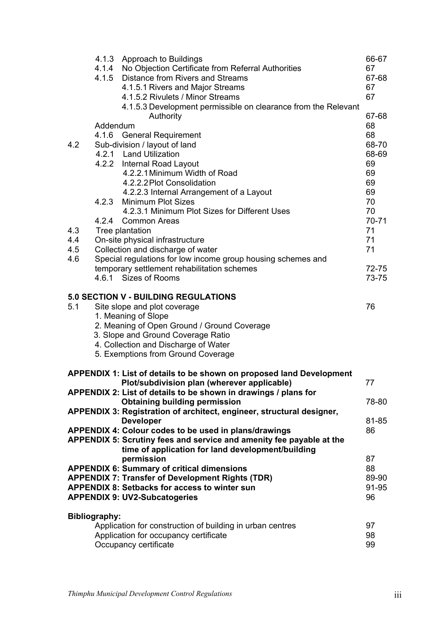|                                                                 | 4.1.5                | 4.1.3 Approach to Buildings<br>4.1.4 No Objection Certificate from Referral Authorities<br>Distance from Rivers and Streams<br>4.1.5.1 Rivers and Major Streams<br>4.1.5.2 Rivulets / Minor Streams<br>4.1.5.3 Development permissible on clearance from the Relevant<br>Authority | 66-67<br>67<br>67-68<br>67<br>67<br>67-68 |  |  |
|-----------------------------------------------------------------|----------------------|------------------------------------------------------------------------------------------------------------------------------------------------------------------------------------------------------------------------------------------------------------------------------------|-------------------------------------------|--|--|
|                                                                 | Addendum             |                                                                                                                                                                                                                                                                                    | 68                                        |  |  |
|                                                                 | 4.1.6                | <b>General Requirement</b>                                                                                                                                                                                                                                                         | 68                                        |  |  |
| 4.2                                                             |                      | Sub-division / layout of land                                                                                                                                                                                                                                                      | 68-70                                     |  |  |
|                                                                 |                      | 4.2.1 Land Utilization                                                                                                                                                                                                                                                             | 68-69                                     |  |  |
|                                                                 |                      | 4.2.2 Internal Road Layout                                                                                                                                                                                                                                                         | 69                                        |  |  |
|                                                                 |                      | 4.2.2.1 Minimum Width of Road                                                                                                                                                                                                                                                      | 69                                        |  |  |
|                                                                 |                      | 4.2.2.2 Plot Consolidation                                                                                                                                                                                                                                                         | 69<br>69                                  |  |  |
|                                                                 | 4.2.3                | 4.2.2.3 Internal Arrangement of a Layout<br><b>Minimum Plot Sizes</b>                                                                                                                                                                                                              | 70                                        |  |  |
|                                                                 |                      | 4.2.3.1 Minimum Plot Sizes for Different Uses                                                                                                                                                                                                                                      | 70                                        |  |  |
|                                                                 | 4.2.4                | <b>Common Areas</b>                                                                                                                                                                                                                                                                | $70 - 71$                                 |  |  |
| 4.3                                                             |                      | Tree plantation                                                                                                                                                                                                                                                                    | 71                                        |  |  |
| 4.4                                                             |                      | On-site physical infrastructure                                                                                                                                                                                                                                                    | 71                                        |  |  |
| 4.5                                                             |                      | Collection and discharge of water                                                                                                                                                                                                                                                  | 71                                        |  |  |
| 4.6                                                             |                      | Special regulations for low income group housing schemes and                                                                                                                                                                                                                       |                                           |  |  |
|                                                                 |                      | temporary settlement rehabilitation schemes                                                                                                                                                                                                                                        | 72-75                                     |  |  |
|                                                                 |                      | 4.6.1 Sizes of Rooms                                                                                                                                                                                                                                                               | 73-75                                     |  |  |
|                                                                 |                      | <b>5.0 SECTION V - BUILDING REGULATIONS</b>                                                                                                                                                                                                                                        |                                           |  |  |
| 5.1                                                             |                      | Site slope and plot coverage                                                                                                                                                                                                                                                       | 76                                        |  |  |
|                                                                 |                      | 1. Meaning of Slope                                                                                                                                                                                                                                                                |                                           |  |  |
|                                                                 |                      | 2. Meaning of Open Ground / Ground Coverage                                                                                                                                                                                                                                        |                                           |  |  |
|                                                                 |                      | 3. Slope and Ground Coverage Ratio                                                                                                                                                                                                                                                 |                                           |  |  |
|                                                                 |                      | 4. Collection and Discharge of Water                                                                                                                                                                                                                                               |                                           |  |  |
|                                                                 |                      | 5. Exemptions from Ground Coverage                                                                                                                                                                                                                                                 |                                           |  |  |
|                                                                 |                      |                                                                                                                                                                                                                                                                                    |                                           |  |  |
|                                                                 |                      | <b>APPENDIX 1: List of details to be shown on proposed land Development</b><br>Plot/subdivision plan (wherever applicable)                                                                                                                                                         | 77                                        |  |  |
|                                                                 |                      | APPENDIX 2: List of details to be shown in drawings / plans for                                                                                                                                                                                                                    |                                           |  |  |
|                                                                 |                      | <b>Obtaining building permission</b>                                                                                                                                                                                                                                               | 78-80                                     |  |  |
|                                                                 |                      | APPENDIX 3: Registration of architect, engineer, structural designer,                                                                                                                                                                                                              |                                           |  |  |
|                                                                 |                      | <b>Developer</b>                                                                                                                                                                                                                                                                   | 81-85                                     |  |  |
|                                                                 |                      | APPENDIX 4: Colour codes to be used in plans/drawings                                                                                                                                                                                                                              | 86                                        |  |  |
|                                                                 |                      | APPENDIX 5: Scrutiny fees and service and amenity fee payable at the                                                                                                                                                                                                               |                                           |  |  |
|                                                                 |                      | time of application for land development/building                                                                                                                                                                                                                                  |                                           |  |  |
|                                                                 |                      | permission                                                                                                                                                                                                                                                                         | 87                                        |  |  |
|                                                                 |                      | <b>APPENDIX 6: Summary of critical dimensions</b>                                                                                                                                                                                                                                  | 88                                        |  |  |
|                                                                 |                      | <b>APPENDIX 7: Transfer of Development Rights (TDR)</b><br><b>APPENDIX 8: Setbacks for access to winter sun</b>                                                                                                                                                                    | 89-90<br>91-95                            |  |  |
|                                                                 |                      | <b>APPENDIX 9: UV2-Subcatogeries</b>                                                                                                                                                                                                                                               | 96                                        |  |  |
|                                                                 |                      |                                                                                                                                                                                                                                                                                    |                                           |  |  |
|                                                                 | <b>Bibliography:</b> |                                                                                                                                                                                                                                                                                    |                                           |  |  |
| Application for construction of building in urban centres<br>97 |                      |                                                                                                                                                                                                                                                                                    |                                           |  |  |
| Application for occupancy certificate<br>98<br>99               |                      |                                                                                                                                                                                                                                                                                    |                                           |  |  |
| Occupancy certificate                                           |                      |                                                                                                                                                                                                                                                                                    |                                           |  |  |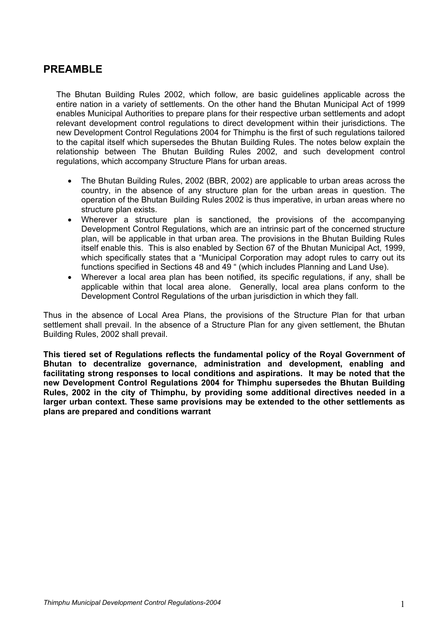# **PREAMBLE**

The Bhutan Building Rules 2002, which follow, are basic guidelines applicable across the entire nation in a variety of settlements. On the other hand the Bhutan Municipal Act of 1999 enables Municipal Authorities to prepare plans for their respective urban settlements and adopt relevant development control regulations to direct development within their jurisdictions. The new Development Control Regulations 2004 for Thimphu is the first of such regulations tailored to the capital itself which supersedes the Bhutan Building Rules. The notes below explain the relationship between The Bhutan Building Rules 2002, and such development control regulations, which accompany Structure Plans for urban areas.

- The Bhutan Building Rules, 2002 (BBR, 2002) are applicable to urban areas across the country, in the absence of any structure plan for the urban areas in question. The operation of the Bhutan Building Rules 2002 is thus imperative, in urban areas where no structure plan exists.
- Wherever a structure plan is sanctioned, the provisions of the accompanying Development Control Regulations, which are an intrinsic part of the concerned structure plan, will be applicable in that urban area. The provisions in the Bhutan Building Rules itself enable this. This is also enabled by Section 67 of the Bhutan Municipal Act, 1999, which specifically states that a "Municipal Corporation may adopt rules to carry out its functions specified in Sections 48 and 49 " (which includes Planning and Land Use).
- Wherever a local area plan has been notified, its specific regulations, if any, shall be applicable within that local area alone. Generally, local area plans conform to the Development Control Regulations of the urban jurisdiction in which they fall.

Thus in the absence of Local Area Plans, the provisions of the Structure Plan for that urban settlement shall prevail. In the absence of a Structure Plan for any given settlement, the Bhutan Building Rules, 2002 shall prevail.

**This tiered set of Regulations reflects the fundamental policy of the Royal Government of Bhutan to decentralize governance, administration and development, enabling and facilitating strong responses to local conditions and aspirations. It may be noted that the new Development Control Regulations 2004 for Thimphu supersedes the Bhutan Building Rules, 2002 in the city of Thimphu, by providing some additional directives needed in a larger urban context. These same provisions may be extended to the other settlements as plans are prepared and conditions warrant**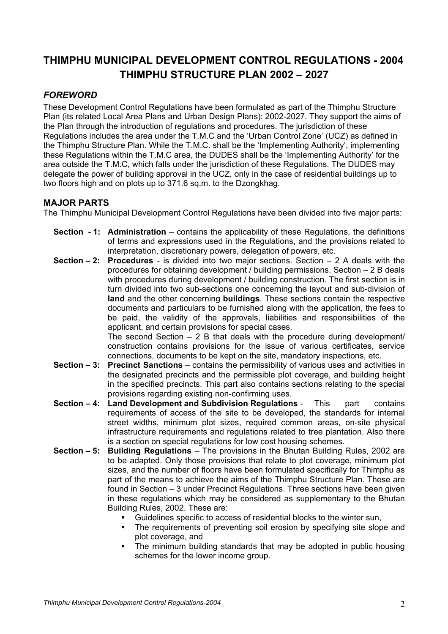# **THIMPHU MUNICIPAL DEVELOPMENT CONTROL REGULATIONS - 2004 THIMPHU STRUCTURE PLAN 2002 – 2027**

## *FOREWORD*

These Development Control Regulations have been formulated as part of the Thimphu Structure Plan (its related Local Area Plans and Urban Design Plans): 2002-2027. They support the aims of the Plan through the introduction of regulations and procedures. The jurisdiction of these Regulations includes the area under the T.M.C and the 'Urban Control Zone' (UCZ) as defined in the Thimphu Structure Plan. While the T.M.C. shall be the 'Implementing Authority', implementing these Regulations within the T.M.C area, the DUDES shall be the 'Implementing Authority' for the area outside the T.M.C, which falls under the jurisdiction of these Regulations. The DUDES may delegate the power of building approval in the UCZ, only in the case of residential buildings up to two floors high and on plots up to 371.6 sq.m. to the Dzongkhag.

## **MAJOR PARTS**

The Thimphu Municipal Development Control Regulations have been divided into five major parts:

- **Section 1: Administration** contains the applicability of these Regulations, the definitions of terms and expressions used in the Regulations, and the provisions related to interpretation, discretionary powers, delegation of powers, etc.
- **Section 2: Procedures** is divided into two major sections. Section 2 A deals with the procedures for obtaining development / building permissions. Section – 2 B deals with procedures during development / building construction. The first section is in turn divided into two sub-sections one concerning the layout and sub-division of **land** and the other concerning **buildings**. These sections contain the respective documents and particulars to be furnished along with the application, the fees to be paid, the validity of the approvals, liabilities and responsibilities of the applicant, and certain provisions for special cases.

The second Section  $-2$  B that deals with the procedure during development/ construction contains provisions for the issue of various certificates, service connections, documents to be kept on the site, mandatory inspections, etc.

- **Section 3: Precinct Sanctions** contains the permissibility of various uses and activities in the designated precincts and the permissible plot coverage, and building height in the specified precincts. This part also contains sections relating to the special provisions regarding existing non-confirming uses.
- **Section 4: Land Development and Subdivision Regulations**  This part contains requirements of access of the site to be developed, the standards for internal street widths, minimum plot sizes, required common areas, on-site physical infrastructure requirements and regulations related to tree plantation. Also there is a section on special regulations for low cost housing schemes.
- **Section 5: Building Regulations**  The provisions in the Bhutan Building Rules, 2002 are to be adapted. Only those provisions that relate to plot coverage, minimum plot sizes, and the number of floors have been formulated specifically for Thimphu as part of the means to achieve the aims of the Thimphu Structure Plan. These are found in Section – 3 under Precinct Regulations. Three sections have been given in these regulations which may be considered as supplementary to the Bhutan Building Rules, 2002. These are:
	- Guidelines specific to access of residential blocks to the winter sun,
	- The requirements of preventing soil erosion by specifying site slope and plot coverage, and
	- The minimum building standards that may be adopted in public housing schemes for the lower income group.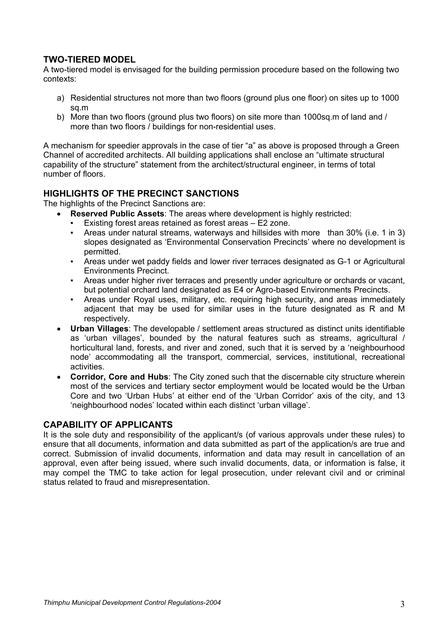## **TWO-TIERED MODEL**

A two-tiered model is envisaged for the building permission procedure based on the following two contexts:

- a) Residential structures not more than two floors (ground plus one floor) on sites up to 1000 sq.m
- b) More than two floors (ground plus two floors) on site more than 1000sq.m of land and / more than two floors / buildings for non-residential uses.

A mechanism for speedier approvals in the case of tier "a" as above is proposed through a Green Channel of accredited architects. All building applications shall enclose an "ultimate structural capability of the structure" statement from the architect/structural engineer, in terms of total number of floors.

## **HIGHLIGHTS OF THE PRECINCT SANCTIONS**

The highlights of the Precinct Sanctions are:

- **Reserved Public Assets**: The areas where development is highly restricted:
	- Existing forest areas retained as forest areas E2 zone.
	- Areas under natural streams, waterways and hillsides with more than 30% (i.e. 1 in 3) slopes designated as 'Environmental Conservation Precincts' where no development is permitted.
	- Areas under wet paddy fields and lower river terraces designated as G-1 or Agricultural Environments Precinct.
	- Areas under higher river terraces and presently under agriculture or orchards or vacant, but potential orchard land designated as E4 or Agro-based Environments Precincts.
	- Areas under Royal uses, military, etc. requiring high security, and areas immediately adjacent that may be used for similar uses in the future designated as R and M respectively.
- **Urban Villages**: The developable / settlement areas structured as distinct units identifiable as 'urban villages', bounded by the natural features such as streams, agricultural / horticultural land, forests, and river and zoned, such that it is served by a 'neighbourhood node' accommodating all the transport, commercial, services, institutional, recreational activities.
- **Corridor, Core and Hubs**: The City zoned such that the discernable city structure wherein most of the services and tertiary sector employment would be located would be the Urban Core and two 'Urban Hubs' at either end of the 'Urban Corridor' axis of the city, and 13 'neighbourhood nodes' located within each distinct 'urban village'.

## **CAPABILITY OF APPLICANTS**

It is the sole duty and responsibility of the applicant/s (of various approvals under these rules) to ensure that all documents, information and data submitted as part of the application/s are true and correct. Submission of invalid documents, information and data may result in cancellation of an approval, even after being issued, where such invalid documents, data, or information is false, it may compel the TMC to take action for legal prosecution, under relevant civil and or criminal status related to fraud and misrepresentation.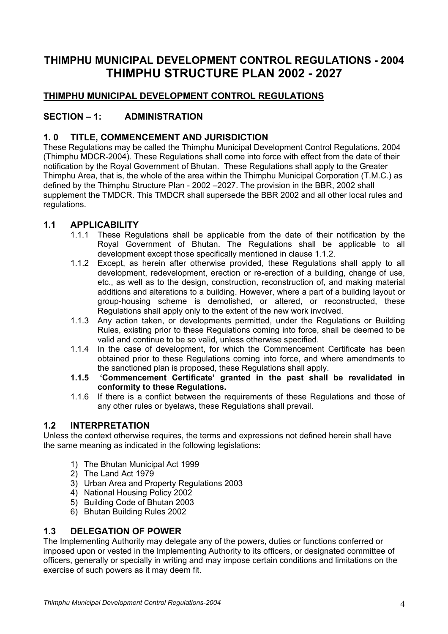# **THIMPHU MUNICIPAL DEVELOPMENT CONTROL REGULATIONS - 2004 THIMPHU STRUCTURE PLAN 2002 - 2027**

## **THIMPHU MUNICIPAL DEVELOPMENT CONTROL REGULATIONS**

## **SECTION – 1: ADMINISTRATION**

## **1. 0 TITLE, COMMENCEMENT AND JURISDICTION**

These Regulations may be called the Thimphu Municipal Development Control Regulations, 2004 (Thimphu MDCR-2004). These Regulations shall come into force with effect from the date of their notification by the Royal Government of Bhutan. These Regulations shall apply to the Greater Thimphu Area, that is, the whole of the area within the Thimphu Municipal Corporation (T.M.C.) as defined by the Thimphu Structure Plan - 2002 –2027. The provision in the BBR, 2002 shall supplement the TMDCR. This TMDCR shall supersede the BBR 2002 and all other local rules and regulations.

## **1.1 APPLICABILITY**

- 1.1.1 These Regulations shall be applicable from the date of their notification by the Royal Government of Bhutan. The Regulations shall be applicable to all development except those specifically mentioned in clause 1.1.2.
- 1.1.2 Except, as herein after otherwise provided, these Regulations shall apply to all development, redevelopment, erection or re-erection of a building, change of use, etc., as well as to the design, construction, reconstruction of, and making material additions and alterations to a building. However, where a part of a building layout or group-housing scheme is demolished, or altered, or reconstructed, these Regulations shall apply only to the extent of the new work involved.
- 1.1.3 Any action taken, or developments permitted, under the Regulations or Building Rules, existing prior to these Regulations coming into force, shall be deemed to be valid and continue to be so valid, unless otherwise specified.
- 1.1.4 In the case of development, for which the Commencement Certificate has been obtained prior to these Regulations coming into force, and where amendments to the sanctioned plan is proposed, these Regulations shall apply.
- **1.1.5 'Commencement Certificate' granted in the past shall be revalidated in conformity to these Regulations.**
- 1.1.6 If there is a conflict between the requirements of these Regulations and those of any other rules or byelaws, these Regulations shall prevail.

## **1.2 INTERPRETATION**

Unless the context otherwise requires, the terms and expressions not defined herein shall have the same meaning as indicated in the following legislations:

- 1) The Bhutan Municipal Act 1999
- 2) The Land Act 1979
- 3) Urban Area and Property Regulations 2003
- 4) National Housing Policy 2002
- 5) Building Code of Bhutan 2003
- 6) Bhutan Building Rules 2002

## **1.3 DELEGATION OF POWER**

The Implementing Authority may delegate any of the powers, duties or functions conferred or imposed upon or vested in the Implementing Authority to its officers, or designated committee of officers, generally or specially in writing and may impose certain conditions and limitations on the exercise of such powers as it may deem fit.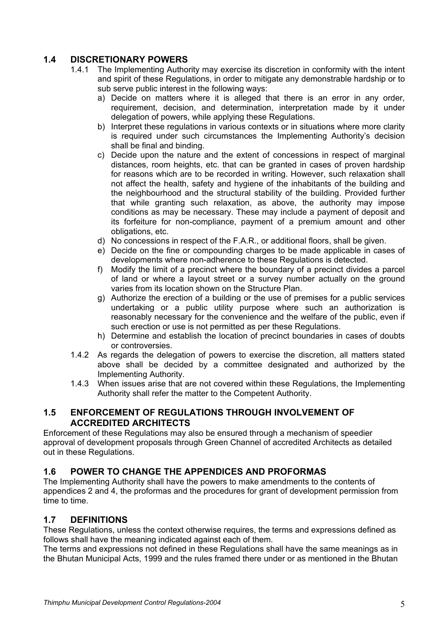## **1.4 DISCRETIONARY POWERS**

- 1.4.1 The Implementing Authority may exercise its discretion in conformity with the intent and spirit of these Regulations, in order to mitigate any demonstrable hardship or to sub serve public interest in the following ways:
	- a) Decide on matters where it is alleged that there is an error in any order, requirement, decision, and determination, interpretation made by it under delegation of powers, while applying these Regulations.
	- b) Interpret these regulations in various contexts or in situations where more clarity is required under such circumstances the Implementing Authority's decision shall be final and binding.
	- c) Decide upon the nature and the extent of concessions in respect of marginal distances, room heights, etc. that can be granted in cases of proven hardship for reasons which are to be recorded in writing. However, such relaxation shall not affect the health, safety and hygiene of the inhabitants of the building and the neighbourhood and the structural stability of the building. Provided further that while granting such relaxation, as above, the authority may impose conditions as may be necessary. These may include a payment of deposit and its forfeiture for non-compliance, payment of a premium amount and other obligations, etc.
	- d) No concessions in respect of the F.A.R., or additional floors, shall be given.
	- e) Decide on the fine or compounding charges to be made applicable in cases of developments where non-adherence to these Regulations is detected.
	- f) Modify the limit of a precinct where the boundary of a precinct divides a parcel of land or where a layout street or a survey number actually on the ground varies from its location shown on the Structure Plan.
	- g) Authorize the erection of a building or the use of premises for a public services undertaking or a public utility purpose where such an authorization is reasonably necessary for the convenience and the welfare of the public, even if such erection or use is not permitted as per these Regulations.
	- h) Determine and establish the location of precinct boundaries in cases of doubts or controversies.
- 1.4.2 As regards the delegation of powers to exercise the discretion, all matters stated above shall be decided by a committee designated and authorized by the Implementing Authority.
- 1.4.3 When issues arise that are not covered within these Regulations, the Implementing Authority shall refer the matter to the Competent Authority.

## **1.5 ENFORCEMENT OF REGULATIONS THROUGH INVOLVEMENT OF ACCREDITED ARCHITECTS**

Enforcement of these Regulations may also be ensured through a mechanism of speedier approval of development proposals through Green Channel of accredited Architects as detailed out in these Regulations.

## **1.6 POWER TO CHANGE THE APPENDICES AND PROFORMAS**

The Implementing Authority shall have the powers to make amendments to the contents of appendices 2 and 4, the proformas and the procedures for grant of development permission from time to time.

## **1.7 DEFINITIONS**

These Regulations, unless the context otherwise requires, the terms and expressions defined as follows shall have the meaning indicated against each of them.

The terms and expressions not defined in these Regulations shall have the same meanings as in the Bhutan Municipal Acts, 1999 and the rules framed there under or as mentioned in the Bhutan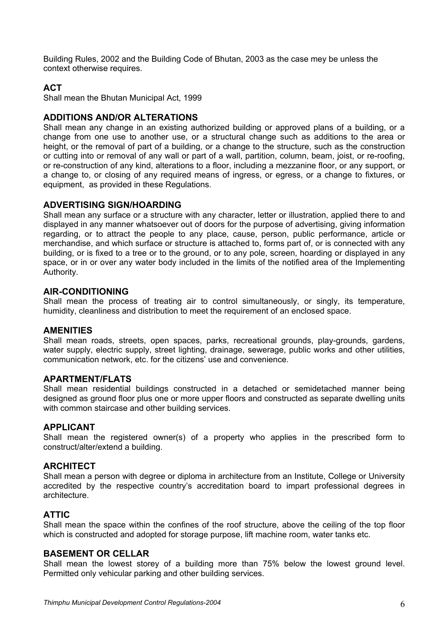Building Rules, 2002 and the Building Code of Bhutan, 2003 as the case mey be unless the context otherwise requires.

## **ACT**

Shall mean the Bhutan Municipal Act, 1999

### **ADDITIONS AND/OR ALTERATIONS**

Shall mean any change in an existing authorized building or approved plans of a building, or a change from one use to another use, or a structural change such as additions to the area or height, or the removal of part of a building, or a change to the structure, such as the construction or cutting into or removal of any wall or part of a wall, partition, column, beam, joist, or re-roofing, or re-construction of any kind, alterations to a floor, including a mezzanine floor, or any support, or a change to, or closing of any required means of ingress, or egress, or a change to fixtures, or equipment, as provided in these Regulations.

#### **ADVERTISING SIGN/HOARDING**

Shall mean any surface or a structure with any character, letter or illustration, applied there to and displayed in any manner whatsoever out of doors for the purpose of advertising, giving information regarding, or to attract the people to any place, cause, person, public performance, article or merchandise, and which surface or structure is attached to, forms part of, or is connected with any building, or is fixed to a tree or to the ground, or to any pole, screen, hoarding or displayed in any space, or in or over any water body included in the limits of the notified area of the Implementing Authority.

#### **AIR-CONDITIONING**

Shall mean the process of treating air to control simultaneously, or singly, its temperature, humidity, cleanliness and distribution to meet the requirement of an enclosed space.

#### **AMENITIES**

Shall mean roads, streets, open spaces, parks, recreational grounds, play-grounds, gardens, water supply, electric supply, street lighting, drainage, sewerage, public works and other utilities, communication network, etc. for the citizens' use and convenience.

#### **APARTMENT/FLATS**

Shall mean residential buildings constructed in a detached or semidetached manner being designed as ground floor plus one or more upper floors and constructed as separate dwelling units with common staircase and other building services.

#### **APPLICANT**

Shall mean the registered owner(s) of a property who applies in the prescribed form to construct/alter/extend a building.

## **ARCHITECT**

Shall mean a person with degree or diploma in architecture from an Institute, College or University accredited by the respective country's accreditation board to impart professional degrees in architecture.

## **ATTIC**

Shall mean the space within the confines of the roof structure, above the ceiling of the top floor which is constructed and adopted for storage purpose, lift machine room, water tanks etc.

#### **BASEMENT OR CELLAR**

Shall mean the lowest storey of a building more than 75% below the lowest ground level. Permitted only vehicular parking and other building services.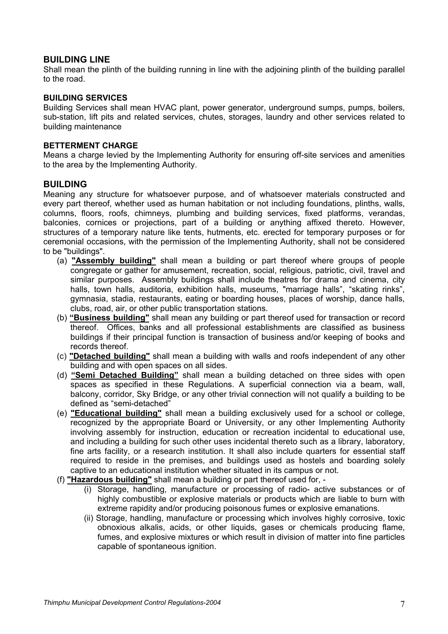## **BUILDING LINE**

Shall mean the plinth of the building running in line with the adjoining plinth of the building parallel to the road.

### **BUILDING SERVICES**

Building Services shall mean HVAC plant, power generator, underground sumps, pumps, boilers, sub-station, lift pits and related services, chutes, storages, laundry and other services related to building maintenance

### **BETTERMENT CHARGE**

Means a charge levied by the Implementing Authority for ensuring off-site services and amenities to the area by the Implementing Authority.

## **BUILDING**

Meaning any structure for whatsoever purpose, and of whatsoever materials constructed and every part thereof, whether used as human habitation or not including foundations, plinths, walls, columns, floors, roofs, chimneys, plumbing and building services, fixed platforms, verandas, balconies, cornices or projections, part of a building or anything affixed thereto. However, structures of a temporary nature like tents, hutments, etc. erected for temporary purposes or for ceremonial occasions, with the permission of the Implementing Authority, shall not be considered to be "buildings".

- (a) **"Assembly building"** shall mean a building or part thereof where groups of people congregate or gather for amusement, recreation, social, religious, patriotic, civil, travel and similar purposes. Assembly buildings shall include theatres for drama and cinema, city halls, town halls, auditoria, exhibition halls, museums, "marriage halls", "skating rinks", gymnasia, stadia, restaurants, eating or boarding houses, places of worship, dance halls, clubs, road, air, or other public transportation stations.
- (b) **"Business building"** shall mean any building or part thereof used for transaction or record thereof. Offices, banks and all professional establishments are classified as business buildings if their principal function is transaction of business and/or keeping of books and records thereof.
- (c) **"Detached building"** shall mean a building with walls and roofs independent of any other building and with open spaces on all sides.
- (d) **"Semi Detached Building"** shall mean a building detached on three sides with open spaces as specified in these Regulations. A superficial connection via a beam, wall, balcony, corridor, Sky Bridge, or any other trivial connection will not qualify a building to be defined as "semi-detached"
- (e) **"Educational building"** shall mean a building exclusively used for a school or college, recognized by the appropriate Board or University, or any other Implementing Authority involving assembly for instruction, education or recreation incidental to educational use, and including a building for such other uses incidental thereto such as a library, laboratory, fine arts facility, or a research institution. It shall also include quarters for essential staff required to reside in the premises, and buildings used as hostels and boarding solely captive to an educational institution whether situated in its campus or not.
- (f) **"Hazardous building"** shall mean a building or part thereof used for,
	- (i) Storage, handling, manufacture or processing of radio- active substances or of highly combustible or explosive materials or products which are liable to burn with extreme rapidity and/or producing poisonous fumes or explosive emanations.
	- (ii) Storage, handling, manufacture or processing which involves highly corrosive, toxic obnoxious alkalis, acids, or other liquids, gases or chemicals producing flame, fumes, and explosive mixtures or which result in division of matter into fine particles capable of spontaneous ignition.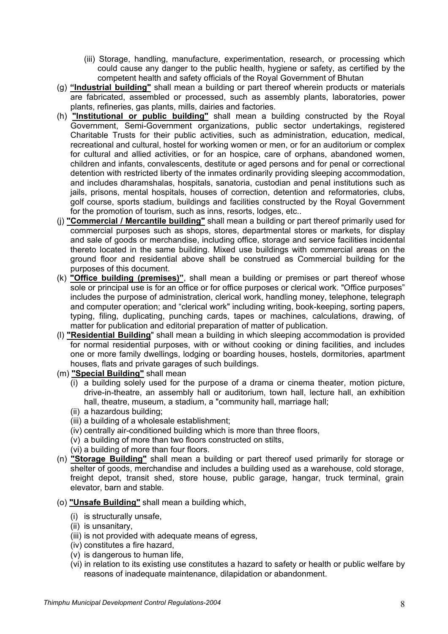- (iii) Storage, handling, manufacture, experimentation, research, or processing which could cause any danger to the public health, hygiene or safety, as certified by the competent health and safety officials of the Royal Government of Bhutan
- (g) **"Industrial building"** shall mean a building or part thereof wherein products or materials are fabricated, assembled or processed, such as assembly plants, laboratories, power plants, refineries, gas plants, mills, dairies and factories.
- (h) **"Institutional or public building"** shall mean a building constructed by the Royal Government, Semi-Government organizations, public sector undertakings, registered Charitable Trusts for their public activities, such as administration, education, medical, recreational and cultural, hostel for working women or men, or for an auditorium or complex for cultural and allied activities, or for an hospice, care of orphans, abandoned women, children and infants, convalescents, destitute or aged persons and for penal or correctional detention with restricted liberty of the inmates ordinarily providing sleeping accommodation, and includes dharamshalas, hospitals, sanatoria, custodian and penal institutions such as jails, prisons, mental hospitals, houses of correction, detention and reformatories, clubs, golf course, sports stadium, buildings and facilities constructed by the Royal Government for the promotion of tourism, such as inns, resorts, lodges, etc..
- (j) **"Commercial / Mercantile building"** shall mean a building or part thereof primarily used for commercial purposes such as shops, stores, departmental stores or markets, for display and sale of goods or merchandise, including office, storage and service facilities incidental thereto located in the same building. Mixed use buildings with commercial areas on the ground floor and residential above shall be construed as Commercial building for the purposes of this document.
- (k) **"Office building (premises)"**, shall mean a building or premises or part thereof whose sole or principal use is for an office or for office purposes or clerical work. "Office purposes" includes the purpose of administration, clerical work, handling money, telephone, telegraph and computer operation; and "clerical work" including writing, book-keeping, sorting papers, typing, filing, duplicating, punching cards, tapes or machines, calculations, drawing, of matter for publication and editorial preparation of matter of publication.
- (l) **"Residential Building**" shall mean a building in which sleeping accommodation is provided for normal residential purposes, with or without cooking or dining facilities, and includes one or more family dwellings, lodging or boarding houses, hostels, dormitories, apartment houses, flats and private garages of such buildings.
- (m) **"Special Building"** shall mean
	- (i) a building solely used for the purpose of a drama or cinema theater, motion picture, drive-in-theatre, an assembly hall or auditorium, town hall, lecture hall, an exhibition hall, theatre, museum, a stadium, a "community hall, marriage hall;
	- (ii) a hazardous building;
	- (iii) a building of a wholesale establishment;
	- (iv) centrally air-conditioned building which is more than three floors,
	- (v) a building of more than two floors constructed on stilts,
	- (vi) a building of more than four floors.
- (n) **"Storage Building"** shall mean a building or part thereof used primarily for storage or shelter of goods, merchandise and includes a building used as a warehouse, cold storage, freight depot, transit shed, store house, public garage, hangar, truck terminal, grain elevator, barn and stable.
- (o) **"Unsafe Building"** shall mean a building which,
	- (i) is structurally unsafe,
	- (ii) is unsanitary,
	- (iii) is not provided with adequate means of egress,
	- (iv) constitutes a fire hazard,
	- (v) is dangerous to human life,
	- (vi) in relation to its existing use constitutes a hazard to safety or health or public welfare by reasons of inadequate maintenance, dilapidation or abandonment.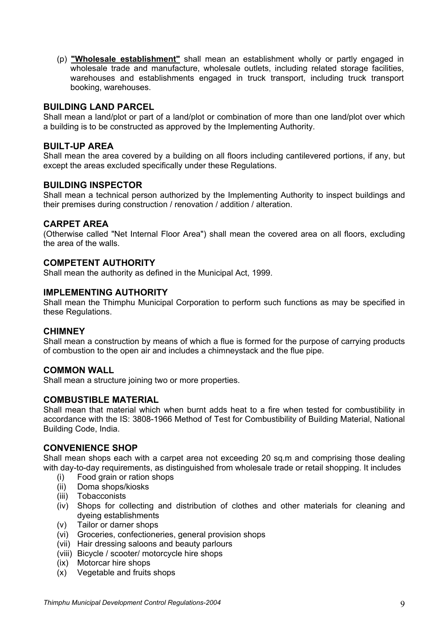(p) **"Wholesale establishment"** shall mean an establishment wholly or partly engaged in wholesale trade and manufacture, wholesale outlets, including related storage facilities, warehouses and establishments engaged in truck transport, including truck transport booking, warehouses.

## **BUILDING LAND PARCEL**

Shall mean a land/plot or part of a land/plot or combination of more than one land/plot over which a building is to be constructed as approved by the Implementing Authority.

## **BUILT-UP AREA**

Shall mean the area covered by a building on all floors including cantilevered portions, if any, but except the areas excluded specifically under these Regulations.

## **BUILDING INSPECTOR**

Shall mean a technical person authorized by the Implementing Authority to inspect buildings and their premises during construction / renovation / addition / alteration.

## **CARPET AREA**

(Otherwise called "Net Internal Floor Area") shall mean the covered area on all floors, excluding the area of the walls.

## **COMPETENT AUTHORITY**

Shall mean the authority as defined in the Municipal Act, 1999.

## **IMPLEMENTING AUTHORITY**

Shall mean the Thimphu Municipal Corporation to perform such functions as may be specified in these Regulations.

## **CHIMNEY**

Shall mean a construction by means of which a flue is formed for the purpose of carrying products of combustion to the open air and includes a chimneystack and the flue pipe.

## **COMMON WALL**

Shall mean a structure joining two or more properties.

## **COMBUSTIBLE MATERIAL**

Shall mean that material which when burnt adds heat to a fire when tested for combustibility in accordance with the IS: 3808-1966 Method of Test for Combustibility of Building Material, National Building Code, India.

## **CONVENIENCE SHOP**

Shall mean shops each with a carpet area not exceeding 20 sq.m and comprising those dealing with day-to-day requirements, as distinguished from wholesale trade or retail shopping. It includes

- (i) Food grain or ration shops
- (ii) Doma shops/kiosks
- (iii) Tobacconists
- (iv) Shops for collecting and distribution of clothes and other materials for cleaning and dyeing establishments
- (v) Tailor or darner shops
- (vi) Groceries, confectioneries, general provision shops
- (vii) Hair dressing saloons and beauty parlours
- (viii) Bicycle / scooter/ motorcycle hire shops
- (ix) Motorcar hire shops
- (x) Vegetable and fruits shops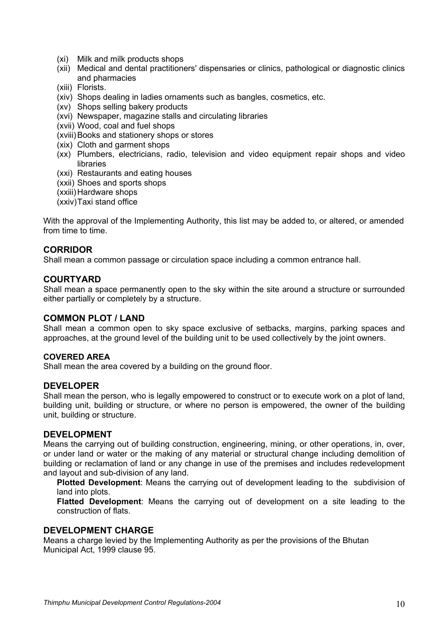- (xi) Milk and milk products shops
- (xii) Medical and dental practitioners' dispensaries or clinics, pathological or diagnostic clinics and pharmacies
- (xiii) Florists.
- (xiv) Shops dealing in ladies ornaments such as bangles, cosmetics, etc.
- (xv) Shops selling bakery products
- (xvi) Newspaper, magazine stalls and circulating libraries
- (xvii) Wood, coal and fuel shops
- (xviii) Books and stationery shops or stores
- (xix) Cloth and garment shops
- (xx) Plumbers, electricians, radio, television and video equipment repair shops and video libraries
- (xxi) Restaurants and eating houses
- (xxii) Shoes and sports shops
- (xxiii) Hardware shops
- (xxiv) Taxi stand office

With the approval of the Implementing Authority, this list may be added to, or altered, or amended from time to time.

## **CORRIDOR**

Shall mean a common passage or circulation space including a common entrance hall.

## **COURTYARD**

Shall mean a space permanently open to the sky within the site around a structure or surrounded either partially or completely by a structure.

## **COMMON PLOT / LAND**

Shall mean a common open to sky space exclusive of setbacks, margins, parking spaces and approaches, at the ground level of the building unit to be used collectively by the joint owners.

#### **COVERED AREA**

Shall mean the area covered by a building on the ground floor.

## **DEVELOPER**

Shall mean the person, who is legally empowered to construct or to execute work on a plot of land, building unit, building or structure, or where no person is empowered, the owner of the building unit, building or structure.

## **DEVELOPMENT**

Means the carrying out of building construction, engineering, mining, or other operations, in, over, or under land or water or the making of any material or structural change including demolition of building or reclamation of land or any change in use of the premises and includes redevelopment and layout and sub-division of any land.

**Plotted Development**: Means the carrying out of development leading to the subdivision of land into plots.

**Flatted Development**: Means the carrying out of development on a site leading to the construction of flats.

## **DEVELOPMENT CHARGE**

Means a charge levied by the Implementing Authority as per the provisions of the Bhutan Municipal Act, 1999 clause 95.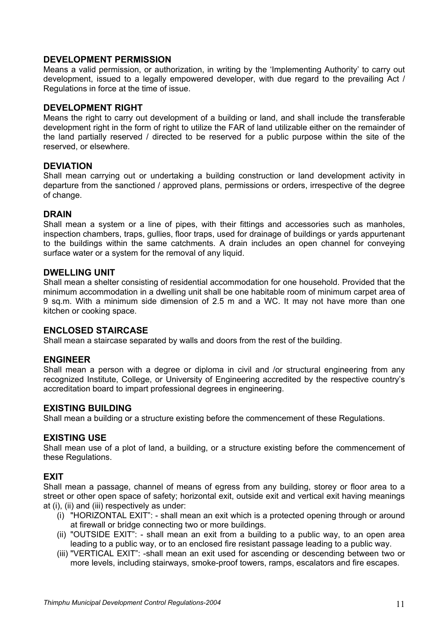## **DEVELOPMENT PERMISSION**

Means a valid permission, or authorization, in writing by the 'Implementing Authority' to carry out development, issued to a legally empowered developer, with due regard to the prevailing Act / Regulations in force at the time of issue.

## **DEVELOPMENT RIGHT**

Means the right to carry out development of a building or land, and shall include the transferable development right in the form of right to utilize the FAR of land utilizable either on the remainder of the land partially reserved / directed to be reserved for a public purpose within the site of the reserved, or elsewhere.

## **DEVIATION**

Shall mean carrying out or undertaking a building construction or land development activity in departure from the sanctioned / approved plans, permissions or orders, irrespective of the degree of change.

## **DRAIN**

Shall mean a system or a line of pipes, with their fittings and accessories such as manholes, inspection chambers, traps, gullies, floor traps, used for drainage of buildings or yards appurtenant to the buildings within the same catchments. A drain includes an open channel for conveying surface water or a system for the removal of any liquid.

## **DWELLING UNIT**

Shall mean a shelter consisting of residential accommodation for one household. Provided that the minimum accommodation in a dwelling unit shall be one habitable room of minimum carpet area of 9 sq.m. With a minimum side dimension of 2.5 m and a WC. It may not have more than one kitchen or cooking space.

## **ENCLOSED STAIRCASE**

Shall mean a staircase separated by walls and doors from the rest of the building.

## **ENGINEER**

Shall mean a person with a degree or diploma in civil and /or structural engineering from any recognized Institute, College, or University of Engineering accredited by the respective country's accreditation board to impart professional degrees in engineering.

## **EXISTING BUILDING**

Shall mean a building or a structure existing before the commencement of these Regulations.

## **EXISTING USE**

Shall mean use of a plot of land, a building, or a structure existing before the commencement of these Regulations.

## **EXIT**

Shall mean a passage, channel of means of egress from any building, storey or floor area to a street or other open space of safety; horizontal exit, outside exit and vertical exit having meanings at (i), (ii) and (iii) respectively as under:

- (i) "HORIZONTAL EXIT": shall mean an exit which is a protected opening through or around at firewall or bridge connecting two or more buildings.
- (ii) "OUTSIDE EXIT": shall mean an exit from a building to a public way, to an open area leading to a public way, or to an enclosed fire resistant passage leading to a public way.
- (iii) "VERTICAL EXIT": -shall mean an exit used for ascending or descending between two or more levels, including stairways, smoke-proof towers, ramps, escalators and fire escapes.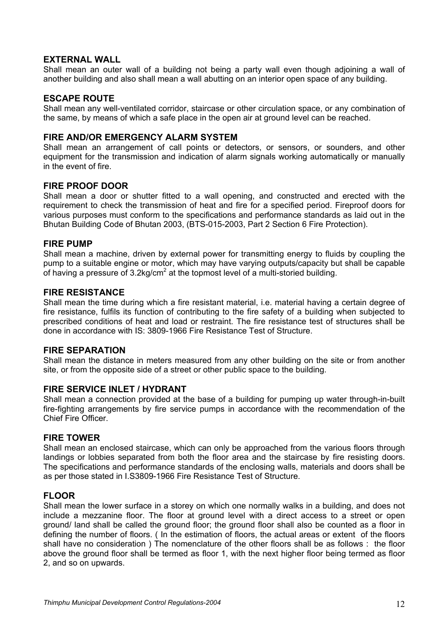## **EXTERNAL WALL**

Shall mean an outer wall of a building not being a party wall even though adjoining a wall of another building and also shall mean a wall abutting on an interior open space of any building.

## **ESCAPE ROUTE**

Shall mean any well-ventilated corridor, staircase or other circulation space, or any combination of the same, by means of which a safe place in the open air at ground level can be reached.

### **FIRE AND/OR EMERGENCY ALARM SYSTEM**

Shall mean an arrangement of call points or detectors, or sensors, or sounders, and other equipment for the transmission and indication of alarm signals working automatically or manually in the event of fire.

## **FIRE PROOF DOOR**

Shall mean a door or shutter fitted to a wall opening, and constructed and erected with the requirement to check the transmission of heat and fire for a specified period. Fireproof doors for various purposes must conform to the specifications and performance standards as laid out in the Bhutan Building Code of Bhutan 2003, (BTS-015-2003, Part 2 Section 6 Fire Protection).

## **FIRE PUMP**

Shall mean a machine, driven by external power for transmitting energy to fluids by coupling the pump to a suitable engine or motor, which may have varying outputs/capacity but shall be capable of having a pressure of 3.2kg/cm<sup>2</sup> at the topmost level of a multi-storied building.

## **FIRE RESISTANCE**

Shall mean the time during which a fire resistant material, i.e. material having a certain degree of fire resistance, fulfils its function of contributing to the fire safety of a building when subjected to prescribed conditions of heat and load or restraint. The fire resistance test of structures shall be done in accordance with IS: 3809-1966 Fire Resistance Test of Structure.

## **FIRE SEPARATION**

Shall mean the distance in meters measured from any other building on the site or from another site, or from the opposite side of a street or other public space to the building.

## **FIRE SERVICE INLET / HYDRANT**

Shall mean a connection provided at the base of a building for pumping up water through-in-built fire-fighting arrangements by fire service pumps in accordance with the recommendation of the Chief Fire Officer.

#### **FIRE TOWER**

Shall mean an enclosed staircase, which can only be approached from the various floors through landings or lobbies separated from both the floor area and the staircase by fire resisting doors. The specifications and performance standards of the enclosing walls, materials and doors shall be as per those stated in I.S3809-1966 Fire Resistance Test of Structure.

## **FLOOR**

Shall mean the lower surface in a storey on which one normally walks in a building, and does not include a mezzanine floor. The floor at ground level with a direct access to a street or open ground/ land shall be called the ground floor; the ground floor shall also be counted as a floor in defining the number of floors. ( In the estimation of floors, the actual areas or extent of the floors shall have no consideration ) The nomenclature of the other floors shall be as follows : the floor above the ground floor shall be termed as floor 1, with the next higher floor being termed as floor 2, and so on upwards.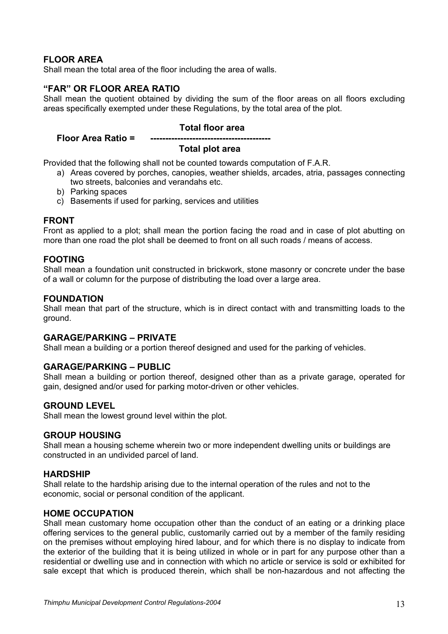## **FLOOR AREA**

Shall mean the total area of the floor including the area of walls.

## **"FAR" OR FLOOR AREA RATIO**

Shall mean the quotient obtained by dividing the sum of the floor areas on all floors excluding areas specifically exempted under these Regulations, by the total area of the plot.

#### **Total floor area**

## **Floor Area Ratio =**

### **Total plot area**

Provided that the following shall not be counted towards computation of F.A.R.

- a) Areas covered by porches, canopies, weather shields, arcades, atria, passages connecting two streets, balconies and verandahs etc.
- b) Parking spaces
- c) Basements if used for parking, services and utilities

## **FRONT**

Front as applied to a plot; shall mean the portion facing the road and in case of plot abutting on more than one road the plot shall be deemed to front on all such roads / means of access.

## **FOOTING**

Shall mean a foundation unit constructed in brickwork, stone masonry or concrete under the base of a wall or column for the purpose of distributing the load over a large area.

## **FOUNDATION**

Shall mean that part of the structure, which is in direct contact with and transmitting loads to the ground.

#### **GARAGE/PARKING – PRIVATE**

Shall mean a building or a portion thereof designed and used for the parking of vehicles.

## **GARAGE/PARKING – PUBLIC**

Shall mean a building or portion thereof, designed other than as a private garage, operated for gain, designed and/or used for parking motor-driven or other vehicles.

## **GROUND LEVEL**

Shall mean the lowest ground level within the plot.

#### **GROUP HOUSING**

Shall mean a housing scheme wherein two or more independent dwelling units or buildings are constructed in an undivided parcel of land.

#### **HARDSHIP**

Shall relate to the hardship arising due to the internal operation of the rules and not to the economic, social or personal condition of the applicant.

#### **HOME OCCUPATION**

Shall mean customary home occupation other than the conduct of an eating or a drinking place offering services to the general public, customarily carried out by a member of the family residing on the premises without employing hired labour, and for which there is no display to indicate from the exterior of the building that it is being utilized in whole or in part for any purpose other than a residential or dwelling use and in connection with which no article or service is sold or exhibited for sale except that which is produced therein, which shall be non-hazardous and not affecting the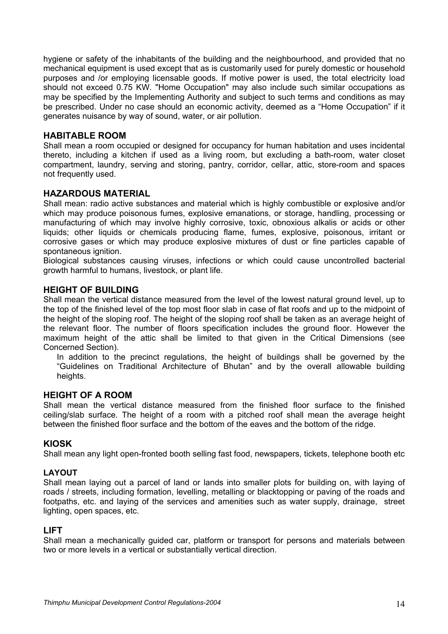hygiene or safety of the inhabitants of the building and the neighbourhood, and provided that no mechanical equipment is used except that as is customarily used for purely domestic or household purposes and /or employing licensable goods. If motive power is used, the total electricity load should not exceed 0.75 KW. "Home Occupation" may also include such similar occupations as may be specified by the Implementing Authority and subject to such terms and conditions as may be prescribed. Under no case should an economic activity, deemed as a "Home Occupation" if it generates nuisance by way of sound, water, or air pollution.

## **HABITABLE ROOM**

Shall mean a room occupied or designed for occupancy for human habitation and uses incidental thereto, including a kitchen if used as a living room, but excluding a bath-room, water closet compartment, laundry, serving and storing, pantry, corridor, cellar, attic, store-room and spaces not frequently used.

## **HAZARDOUS MATERIAL**

Shall mean: radio active substances and material which is highly combustible or explosive and/or which may produce poisonous fumes, explosive emanations, or storage, handling, processing or manufacturing of which may involve highly corrosive, toxic, obnoxious alkalis or acids or other liquids; other liquids or chemicals producing flame, fumes, explosive, poisonous, irritant or corrosive gases or which may produce explosive mixtures of dust or fine particles capable of spontaneous ignition.

Biological substances causing viruses, infections or which could cause uncontrolled bacterial growth harmful to humans, livestock, or plant life.

#### **HEIGHT OF BUILDING**

Shall mean the vertical distance measured from the level of the lowest natural ground level, up to the top of the finished level of the top most floor slab in case of flat roofs and up to the midpoint of the height of the sloping roof. The height of the sloping roof shall be taken as an average height of the relevant floor. The number of floors specification includes the ground floor. However the maximum height of the attic shall be limited to that given in the Critical Dimensions (see Concerned Section).

In addition to the precinct regulations, the height of buildings shall be governed by the "Guidelines on Traditional Architecture of Bhutan" and by the overall allowable building heights.

#### **HEIGHT OF A ROOM**

Shall mean the vertical distance measured from the finished floor surface to the finished ceiling/slab surface. The height of a room with a pitched roof shall mean the average height between the finished floor surface and the bottom of the eaves and the bottom of the ridge.

## **KIOSK**

Shall mean any light open-fronted booth selling fast food, newspapers, tickets, telephone booth etc

## **LAYOUT**

Shall mean laying out a parcel of land or lands into smaller plots for building on, with laying of roads / streets, including formation, levelling, metalling or blacktopping or paving of the roads and footpaths, etc. and laying of the services and amenities such as water supply, drainage, street lighting, open spaces, etc.

#### **LIFT**

Shall mean a mechanically guided car, platform or transport for persons and materials between two or more levels in a vertical or substantially vertical direction.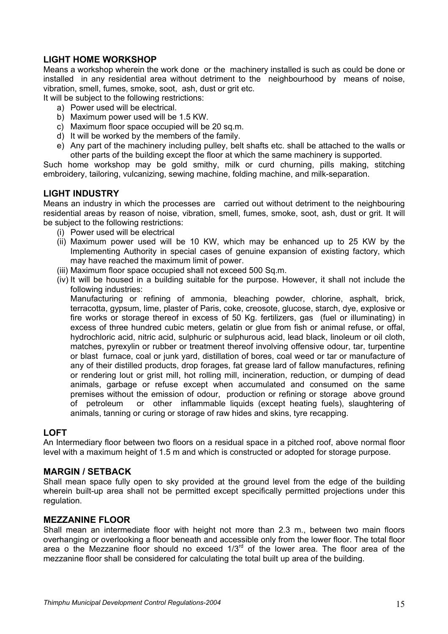## **LIGHT HOME WORKSHOP**

Means a workshop wherein the work done or the machinery installed is such as could be done or installed in any residential area without detriment to the neighbourhood by means of noise, vibration, smell, fumes, smoke, soot, ash, dust or grit etc.

It will be subject to the following restrictions:

- a) Power used will be electrical.
- b) Maximum power used will be 1.5 KW.
- c) Maximum floor space occupied will be 20 sq.m.
- d) It will be worked by the members of the family.
- e) Any part of the machinery including pulley, belt shafts etc. shall be attached to the walls or other parts of the building except the floor at which the same machinery is supported.

Such home workshop may be gold smithy, milk or curd churning, pills making, stitching embroidery, tailoring, vulcanizing, sewing machine, folding machine, and milk-separation.

## **LIGHT INDUSTRY**

Means an industry in which the processes are carried out without detriment to the neighbouring residential areas by reason of noise, vibration, smell, fumes, smoke, soot, ash, dust or grit. It will be subject to the following restrictions:

- (i) Power used will be electrical
- (ii) Maximum power used will be 10 KW, which may be enhanced up to 25 KW by the Implementing Authority in special cases of genuine expansion of existing factory, which may have reached the maximum limit of power.
- (iii) Maximum floor space occupied shall not exceed 500 Sq.m.
- (iv) It will be housed in a building suitable for the purpose. However, it shall not include the following industries:

Manufacturing or refining of ammonia, bleaching powder, chlorine, asphalt, brick, terracotta, gypsum, lime, plaster of Paris, coke, creosote, glucose, starch, dye, explosive or fire works or storage thereof in excess of 50 Kg. fertilizers, gas (fuel or illuminating) in excess of three hundred cubic meters, gelatin or glue from fish or animal refuse, or offal, hydrochloric acid, nitric acid, sulphuric or sulphurous acid, lead black, linoleum or oil cloth, matches, pyrexylin or rubber or treatment thereof involving offensive odour, tar, turpentine or blast furnace, coal or junk yard, distillation of bores, coal weed or tar or manufacture of any of their distilled products, drop forages, fat grease lard of fallow manufactures, refining or rendering lout or grist mill, hot rolling mill, incineration, reduction, or dumping of dead animals, garbage or refuse except when accumulated and consumed on the same premises without the emission of odour, production or refining or storage above ground of petroleum or other inflammable liquids (except heating fuels), slaughtering of animals, tanning or curing or storage of raw hides and skins, tyre recapping.

## **LOFT**

An Intermediary floor between two floors on a residual space in a pitched roof, above normal floor level with a maximum height of 1.5 m and which is constructed or adopted for storage purpose.

## **MARGIN / SETBACK**

Shall mean space fully open to sky provided at the ground level from the edge of the building wherein built-up area shall not be permitted except specifically permitted projections under this regulation.

## **MEZZANINE FLOOR**

Shall mean an intermediate floor with height not more than 2.3 m., between two main floors overhanging or overlooking a floor beneath and accessible only from the lower floor. The total floor area o the Mezzanine floor should no exceed  $1/3<sup>rd</sup>$  of the lower area. The floor area of the mezzanine floor shall be considered for calculating the total built up area of the building.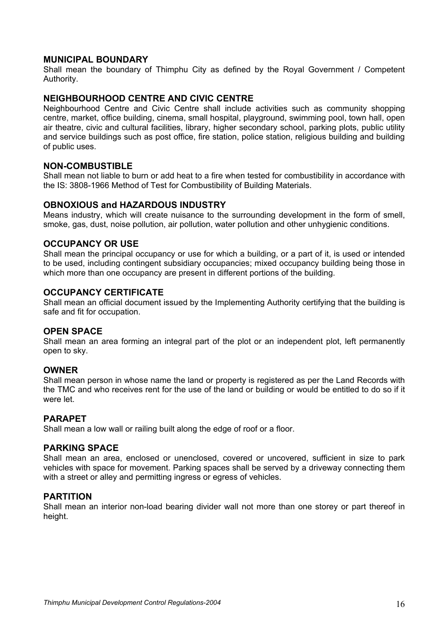## **MUNICIPAL BOUNDARY**

Shall mean the boundary of Thimphu City as defined by the Royal Government / Competent Authority.

#### **NEIGHBOURHOOD CENTRE AND CIVIC CENTRE**

Neighbourhood Centre and Civic Centre shall include activities such as community shopping centre, market, office building, cinema, small hospital, playground, swimming pool, town hall, open air theatre, civic and cultural facilities, library, higher secondary school, parking plots, public utility and service buildings such as post office, fire station, police station, religious building and building of public uses.

#### **NON-COMBUSTIBLE**

Shall mean not liable to burn or add heat to a fire when tested for combustibility in accordance with the IS: 3808-1966 Method of Test for Combustibility of Building Materials.

#### **OBNOXIOUS and HAZARDOUS INDUSTRY**

Means industry, which will create nuisance to the surrounding development in the form of smell, smoke, gas, dust, noise pollution, air pollution, water pollution and other unhygienic conditions.

## **OCCUPANCY OR USE**

Shall mean the principal occupancy or use for which a building, or a part of it, is used or intended to be used, including contingent subsidiary occupancies; mixed occupancy building being those in which more than one occupancy are present in different portions of the building.

## **OCCUPANCY CERTIFICATE**

Shall mean an official document issued by the Implementing Authority certifying that the building is safe and fit for occupation.

#### **OPEN SPACE**

Shall mean an area forming an integral part of the plot or an independent plot, left permanently open to sky.

#### **OWNER**

Shall mean person in whose name the land or property is registered as per the Land Records with the TMC and who receives rent for the use of the land or building or would be entitled to do so if it were let.

## **PARAPET**

Shall mean a low wall or railing built along the edge of roof or a floor.

#### **PARKING SPACE**

Shall mean an area, enclosed or unenclosed, covered or uncovered, sufficient in size to park vehicles with space for movement. Parking spaces shall be served by a driveway connecting them with a street or alley and permitting ingress or egress of vehicles.

#### **PARTITION**

Shall mean an interior non-load bearing divider wall not more than one storey or part thereof in height.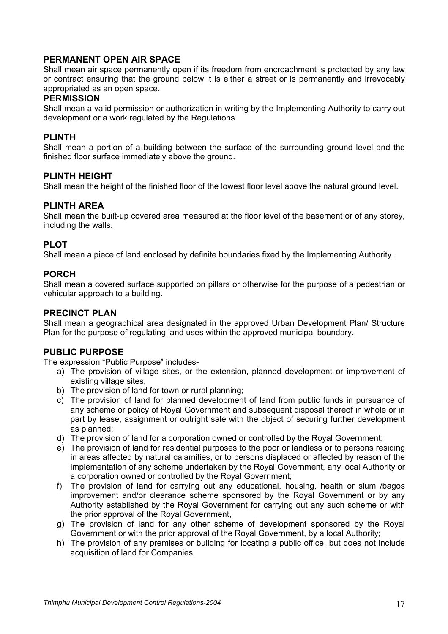## **PERMANENT OPEN AIR SPACE**

Shall mean air space permanently open if its freedom from encroachment is protected by any law or contract ensuring that the ground below it is either a street or is permanently and irrevocably appropriated as an open space.

## **PERMISSION**

Shall mean a valid permission or authorization in writing by the Implementing Authority to carry out development or a work regulated by the Regulations.

## **PLINTH**

Shall mean a portion of a building between the surface of the surrounding ground level and the finished floor surface immediately above the ground.

## **PLINTH HEIGHT**

Shall mean the height of the finished floor of the lowest floor level above the natural ground level.

## **PLINTH AREA**

Shall mean the built-up covered area measured at the floor level of the basement or of any storey, including the walls.

## **PLOT**

Shall mean a piece of land enclosed by definite boundaries fixed by the Implementing Authority.

## **PORCH**

Shall mean a covered surface supported on pillars or otherwise for the purpose of a pedestrian or vehicular approach to a building.

## **PRECINCT PLAN**

Shall mean a geographical area designated in the approved Urban Development Plan/ Structure Plan for the purpose of regulating land uses within the approved municipal boundary.

## **PUBLIC PURPOSE**

The expression "Public Purpose" includes-

- a) The provision of village sites, or the extension, planned development or improvement of existing village sites;
- b) The provision of land for town or rural planning;
- c) The provision of land for planned development of land from public funds in pursuance of any scheme or policy of Royal Government and subsequent disposal thereof in whole or in part by lease, assignment or outright sale with the object of securing further development as planned;
- d) The provision of land for a corporation owned or controlled by the Royal Government;
- e) The provision of land for residential purposes to the poor or landless or to persons residing in areas affected by natural calamities, or to persons displaced or affected by reason of the implementation of any scheme undertaken by the Royal Government, any local Authority or a corporation owned or controlled by the Royal Government;
- f) The provision of land for carrying out any educational, housing, health or slum /bagos improvement and/or clearance scheme sponsored by the Royal Government or by any Authority established by the Royal Government for carrying out any such scheme or with the prior approval of the Royal Government,
- g) The provision of land for any other scheme of development sponsored by the Royal Government or with the prior approval of the Royal Government, by a local Authority;
- h) The provision of any premises or building for locating a public office, but does not include acquisition of land for Companies.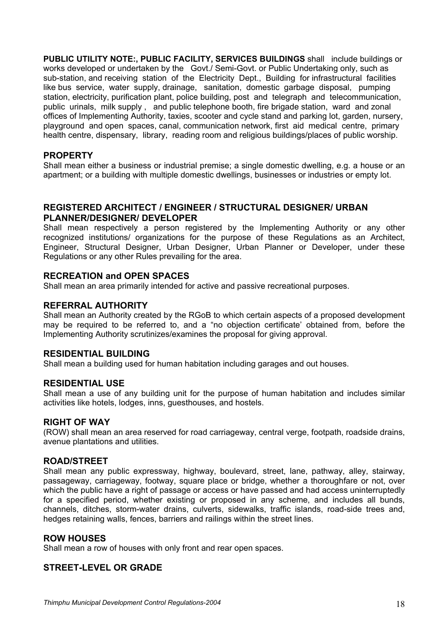**PUBLIC UTILITY NOTE:, PUBLIC FACILITY, SERVICES BUILDINGS** shall include buildings or works developed or undertaken by the Govt./ Semi-Govt. or Public Undertaking only, such as sub-station, and receiving station of the Electricity Dept., Building for infrastructural facilities like bus service, water supply, drainage, sanitation, domestic garbage disposal, pumping station, electricity, purification plant, police building, post and telegraph and telecommunication, public urinals, milk supply , and public telephone booth, fire brigade station, ward and zonal offices of Implementing Authority, taxies, scooter and cycle stand and parking lot, garden, nursery, playground and open spaces, canal, communication network, first aid medical centre, primary health centre, dispensary, library, reading room and religious buildings/places of public worship.

## **PROPERTY**

Shall mean either a business or industrial premise; a single domestic dwelling, e.g. a house or an apartment; or a building with multiple domestic dwellings, businesses or industries or empty lot.

## **REGISTERED ARCHITECT / ENGINEER / STRUCTURAL DESIGNER/ URBAN PLANNER/DESIGNER/ DEVELOPER**

Shall mean respectively a person registered by the Implementing Authority or any other recognized institutions/ organizations for the purpose of these Regulations as an Architect, Engineer, Structural Designer, Urban Designer, Urban Planner or Developer, under these Regulations or any other Rules prevailing for the area.

## **RECREATION and OPEN SPACES**

Shall mean an area primarily intended for active and passive recreational purposes.

## **REFERRAL AUTHORITY**

Shall mean an Authority created by the RGoB to which certain aspects of a proposed development may be required to be referred to, and a "no objection certificate' obtained from, before the Implementing Authority scrutinizes/examines the proposal for giving approval.

## **RESIDENTIAL BUILDING**

Shall mean a building used for human habitation including garages and out houses.

## **RESIDENTIAL USE**

Shall mean a use of any building unit for the purpose of human habitation and includes similar activities like hotels, lodges, inns, guesthouses, and hostels.

## **RIGHT OF WAY**

(ROW) shall mean an area reserved for road carriageway, central verge, footpath, roadside drains, avenue plantations and utilities.

#### **ROAD/STREET**

Shall mean any public expressway, highway, boulevard, street, lane, pathway, alley, stairway, passageway, carriageway, footway, square place or bridge, whether a thoroughfare or not, over which the public have a right of passage or access or have passed and had access uninterruptedly for a specified period, whether existing or proposed in any scheme, and includes all bunds, channels, ditches, storm-water drains, culverts, sidewalks, traffic islands, road-side trees and, hedges retaining walls, fences, barriers and railings within the street lines.

## **ROW HOUSES**

Shall mean a row of houses with only front and rear open spaces.

## **STREET-LEVEL OR GRADE**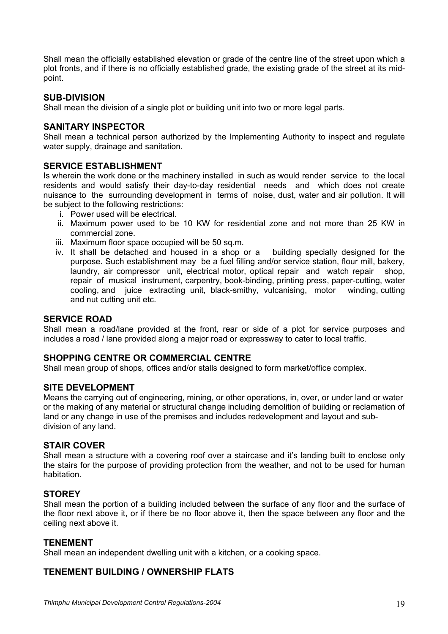Shall mean the officially established elevation or grade of the centre line of the street upon which a plot fronts, and if there is no officially established grade, the existing grade of the street at its midpoint.

## **SUB-DIVISION**

Shall mean the division of a single plot or building unit into two or more legal parts.

## **SANITARY INSPECTOR**

Shall mean a technical person authorized by the Implementing Authority to inspect and regulate water supply, drainage and sanitation.

## **SERVICE ESTABLISHMENT**

Is wherein the work done or the machinery installed in such as would render service to the local residents and would satisfy their day-to-day residential needs and which does not create nuisance to the surrounding development in terms of noise, dust, water and air pollution. It will be subject to the following restrictions:

- i. Power used will be electrical.
- ii. Maximum power used to be 10 KW for residential zone and not more than 25 KW in commercial zone.
- iii. Maximum floor space occupied will be 50 sq.m.
- iv. It shall be detached and housed in a shop or a building specially designed for the purpose. Such establishment may be a fuel filling and/or service station, flour mill, bakery, laundry, air compressor unit, electrical motor, optical repair and watch repair shop, repair of musical instrument, carpentry, book-binding, printing press, paper-cutting, water cooling, and juice extracting unit, black-smithy, vulcanising, motor winding, cutting and nut cutting unit etc.

### **SERVICE ROAD**

Shall mean a road/lane provided at the front, rear or side of a plot for service purposes and includes a road / lane provided along a major road or expressway to cater to local traffic.

## **SHOPPING CENTRE OR COMMERCIAL CENTRE**

Shall mean group of shops, offices and/or stalls designed to form market/office complex.

## **SITE DEVELOPMENT**

Means the carrying out of engineering, mining, or other operations, in, over, or under land or water or the making of any material or structural change including demolition of building or reclamation of land or any change in use of the premises and includes redevelopment and layout and subdivision of any land.

## **STAIR COVER**

Shall mean a structure with a covering roof over a staircase and it's landing built to enclose only the stairs for the purpose of providing protection from the weather, and not to be used for human habitation.

## **STOREY**

Shall mean the portion of a building included between the surface of any floor and the surface of the floor next above it, or if there be no floor above it, then the space between any floor and the ceiling next above it.

## **TENEMENT**

Shall mean an independent dwelling unit with a kitchen, or a cooking space.

## **TENEMENT BUILDING / OWNERSHIP FLATS**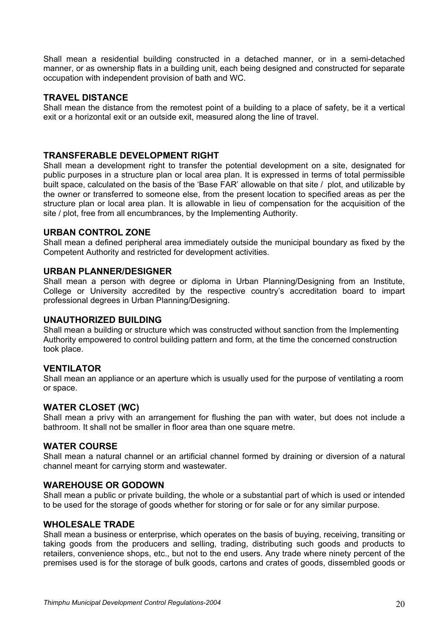Shall mean a residential building constructed in a detached manner, or in a semi-detached manner, or as ownership flats in a building unit, each being designed and constructed for separate occupation with independent provision of bath and WC.

## **TRAVEL DISTANCE**

Shall mean the distance from the remotest point of a building to a place of safety, be it a vertical exit or a horizontal exit or an outside exit, measured along the line of travel.

## **TRANSFERABLE DEVELOPMENT RIGHT**

Shall mean a development right to transfer the potential development on a site, designated for public purposes in a structure plan or local area plan. It is expressed in terms of total permissible built space, calculated on the basis of the 'Base FAR' allowable on that site / plot, and utilizable by the owner or transferred to someone else, from the present location to specified areas as per the structure plan or local area plan. It is allowable in lieu of compensation for the acquisition of the site / plot, free from all encumbrances, by the Implementing Authority.

## **URBAN CONTROL ZONE**

Shall mean a defined peripheral area immediately outside the municipal boundary as fixed by the Competent Authority and restricted for development activities.

## **URBAN PLANNER/DESIGNER**

Shall mean a person with degree or diploma in Urban Planning/Designing from an Institute, College or University accredited by the respective country's accreditation board to impart professional degrees in Urban Planning/Designing.

## **UNAUTHORIZED BUILDING**

Shall mean a building or structure which was constructed without sanction from the Implementing Authority empowered to control building pattern and form, at the time the concerned construction took place.

## **VENTILATOR**

Shall mean an appliance or an aperture which is usually used for the purpose of ventilating a room or space.

## **WATER CLOSET (WC)**

Shall mean a privy with an arrangement for flushing the pan with water, but does not include a bathroom. It shall not be smaller in floor area than one square metre.

## **WATER COURSE**

Shall mean a natural channel or an artificial channel formed by draining or diversion of a natural channel meant for carrying storm and wastewater.

## **WAREHOUSE OR GODOWN**

Shall mean a public or private building, the whole or a substantial part of which is used or intended to be used for the storage of goods whether for storing or for sale or for any similar purpose.

## **WHOLESALE TRADE**

Shall mean a business or enterprise, which operates on the basis of buying, receiving, transiting or taking goods from the producers and selling, trading, distributing such goods and products to retailers, convenience shops, etc., but not to the end users. Any trade where ninety percent of the premises used is for the storage of bulk goods, cartons and crates of goods, dissembled goods or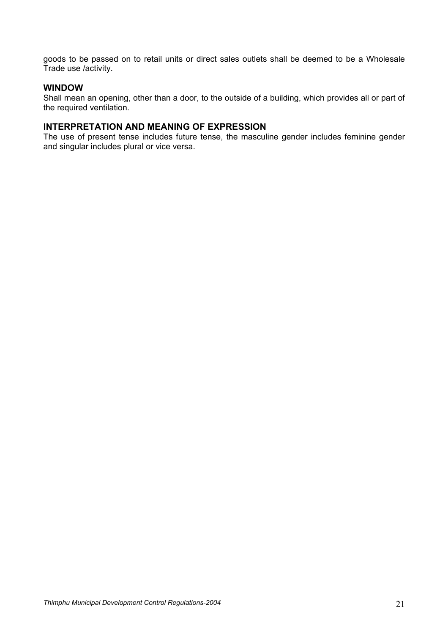goods to be passed on to retail units or direct sales outlets shall be deemed to be a Wholesale Trade use /activity.

## **WINDOW**

Shall mean an opening, other than a door, to the outside of a building, which provides all or part of the required ventilation.

#### **INTERPRETATION AND MEANING OF EXPRESSION**

The use of present tense includes future tense, the masculine gender includes feminine gender and singular includes plural or vice versa.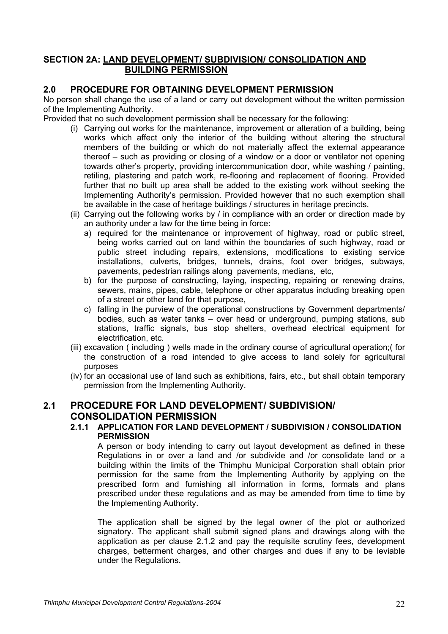## **SECTION 2A: LAND DEVELOPMENT/ SUBDIVISION/ CONSOLIDATION AND BUILDING PERMISSION**

## **2.0 PROCEDURE FOR OBTAINING DEVELOPMENT PERMISSION**

No person shall change the use of a land or carry out development without the written permission of the Implementing Authority.

Provided that no such development permission shall be necessary for the following:

- (i) Carrying out works for the maintenance, improvement or alteration of a building, being works which affect only the interior of the building without altering the structural members of the building or which do not materially affect the external appearance thereof – such as providing or closing of a window or a door or ventilator not opening towards other's property, providing intercommunication door, white washing / painting, retiling, plastering and patch work, re-flooring and replacement of flooring. Provided further that no built up area shall be added to the existing work without seeking the Implementing Authority's permission. Provided however that no such exemption shall be available in the case of heritage buildings / structures in heritage precincts.
- (ii) Carrying out the following works by / in compliance with an order or direction made by an authority under a law for the time being in force:
	- a) required for the maintenance or improvement of highway, road or public street, being works carried out on land within the boundaries of such highway, road or public street including repairs, extensions, modifications to existing service installations, culverts, bridges, tunnels, drains, foot over bridges, subways, pavements, pedestrian railings along pavements, medians, etc,
	- b) for the purpose of constructing, laying, inspecting, repairing or renewing drains, sewers, mains, pipes, cable, telephone or other apparatus including breaking open of a street or other land for that purpose,
	- c) falling in the purview of the operational constructions by Government departments/ bodies, such as water tanks – over head or underground, pumping stations, sub stations, traffic signals, bus stop shelters, overhead electrical equipment for electrification, etc.
- (iii) excavation ( including ) wells made in the ordinary course of agricultural operation;( for the construction of a road intended to give access to land solely for agricultural purposes
- (iv) for an occasional use of land such as exhibitions, fairs, etc., but shall obtain temporary permission from the Implementing Authority.

## **2.1 PROCEDURE FOR LAND DEVELOPMENT/ SUBDIVISION/ CONSOLIDATION PERMISSION**

## **2.1.1 APPLICATION FOR LAND DEVELOPMENT / SUBDIVISION / CONSOLIDATION PERMISSION**

A person or body intending to carry out layout development as defined in these Regulations in or over a land and /or subdivide and /or consolidate land or a building within the limits of the Thimphu Municipal Corporation shall obtain prior permission for the same from the Implementing Authority by applying on the prescribed form and furnishing all information in forms, formats and plans prescribed under these regulations and as may be amended from time to time by the Implementing Authority.

The application shall be signed by the legal owner of the plot or authorized signatory. The applicant shall submit signed plans and drawings along with the application as per clause 2.1.2 and pay the requisite scrutiny fees, development charges, betterment charges, and other charges and dues if any to be leviable under the Regulations.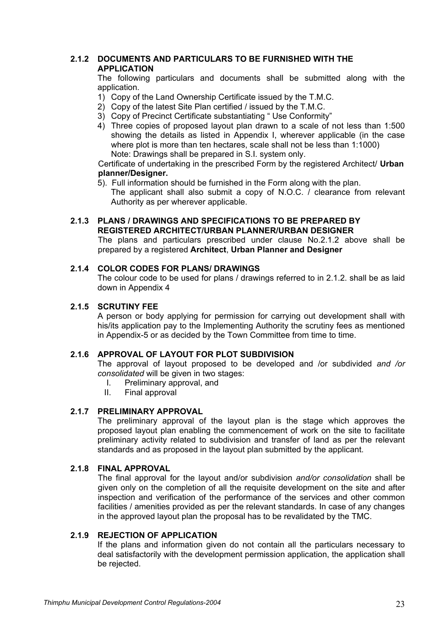## **2.1.2 DOCUMENTS AND PARTICULARS TO BE FURNISHED WITH THE APPLICATION**

The following particulars and documents shall be submitted along with the application.

- 1) Copy of the Land Ownership Certificate issued by the T.M.C.
- 2) Copy of the latest Site Plan certified / issued by the T.M.C.
- 3) Copy of Precinct Certificate substantiating " Use Conformity"
- 4) Three copies of proposed layout plan drawn to a scale of not less than 1:500 showing the details as listed in Appendix I, wherever applicable (in the case where plot is more than ten hectares, scale shall not be less than 1:1000) Note: Drawings shall be prepared in S.I. system only.

Certificate of undertaking in the prescribed Form by the registered Architect/ **Urban planner/Designer.** 

5). Full information should be furnished in the Form along with the plan.

The applicant shall also submit a copy of N.O.C. / clearance from relevant Authority as per wherever applicable.

## **2.1.3 PLANS / DRAWINGS AND SPECIFICATIONS TO BE PREPARED BY REGISTERED ARCHITECT/URBAN PLANNER/URBAN DESIGNER**

The plans and particulars prescribed under clause No.2.1.2 above shall be prepared by a registered **Architect**, **Urban Planner and Designer**

## **2.1.4 COLOR CODES FOR PLANS/ DRAWINGS**

The colour code to be used for plans / drawings referred to in 2.1.2. shall be as laid down in Appendix 4

## **2.1.5 SCRUTINY FEE**

A person or body applying for permission for carrying out development shall with his/its application pay to the Implementing Authority the scrutiny fees as mentioned in Appendix-5 or as decided by the Town Committee from time to time.

## **2.1.6 APPROVAL OF LAYOUT FOR PLOT SUBDIVISION**

The approval of layout proposed to be developed and /or subdivided *and /or consolidated* will be given in two stages:

- I. Preliminary approval, and<br>II. Final approval
- Final approval

## **2.1.7 PRELIMINARY APPROVAL**

The preliminary approval of the layout plan is the stage which approves the proposed layout plan enabling the commencement of work on the site to facilitate preliminary activity related to subdivision and transfer of land as per the relevant standards and as proposed in the layout plan submitted by the applicant.

## **2.1.8 FINAL APPROVAL**

The final approval for the layout and/or subdivision *and/or consolidation* shall be given only on the completion of all the requisite development on the site and after inspection and verification of the performance of the services and other common facilities / amenities provided as per the relevant standards. In case of any changes in the approved layout plan the proposal has to be revalidated by the TMC.

## **2.1.9 REJECTION OF APPLICATION**

If the plans and information given do not contain all the particulars necessary to deal satisfactorily with the development permission application, the application shall be rejected.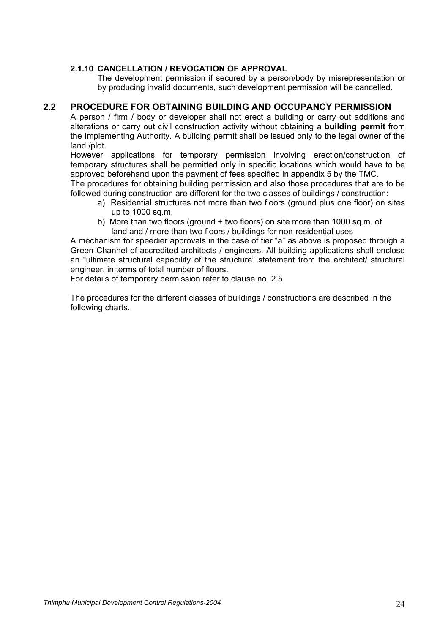## **2.1.10 CANCELLATION / REVOCATION OF APPROVAL**

The development permission if secured by a person/body by misrepresentation or by producing invalid documents, such development permission will be cancelled.

## **2.2 PROCEDURE FOR OBTAINING BUILDING AND OCCUPANCY PERMISSION**

A person / firm / body or developer shall not erect a building or carry out additions and alterations or carry out civil construction activity without obtaining a **building permit** from the Implementing Authority. A building permit shall be issued only to the legal owner of the land /plot.

However applications for temporary permission involving erection/construction of temporary structures shall be permitted only in specific locations which would have to be approved beforehand upon the payment of fees specified in appendix 5 by the TMC.

The procedures for obtaining building permission and also those procedures that are to be followed during construction are different for the two classes of buildings / construction:

- a) Residential structures not more than two floors (ground plus one floor) on sites up to 1000 sq.m.
- b) More than two floors (ground + two floors) on site more than 1000 sq.m. of land and / more than two floors / buildings for non-residential uses

A mechanism for speedier approvals in the case of tier "a" as above is proposed through a Green Channel of accredited architects / engineers. All building applications shall enclose an "ultimate structural capability of the structure" statement from the architect/ structural engineer, in terms of total number of floors.

For details of temporary permission refer to clause no. 2.5

The procedures for the different classes of buildings / constructions are described in the following charts.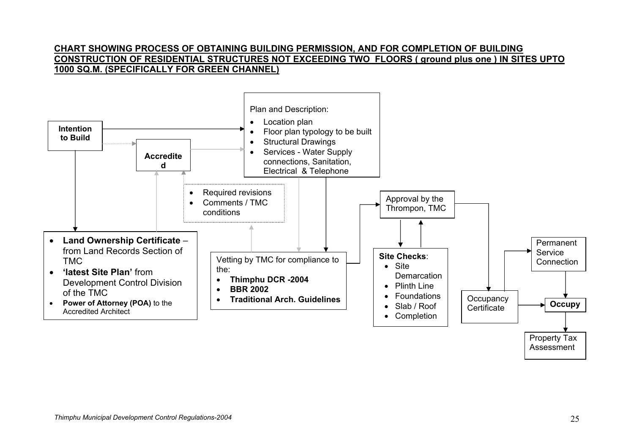## **CHART SHOWING PROCESS OF OBTAINING BUILDING PERMISSION, AND FOR COMPLETION OF BUILDING CONSTRUCTION OF RESIDENTIAL STRUCTURES NOT EXCEEDING TWO FLOORS ( ground plus one ) IN SITES UPTO 1000 SQ.M. (SPECIFICALLY FOR GREEN CHANNEL)**

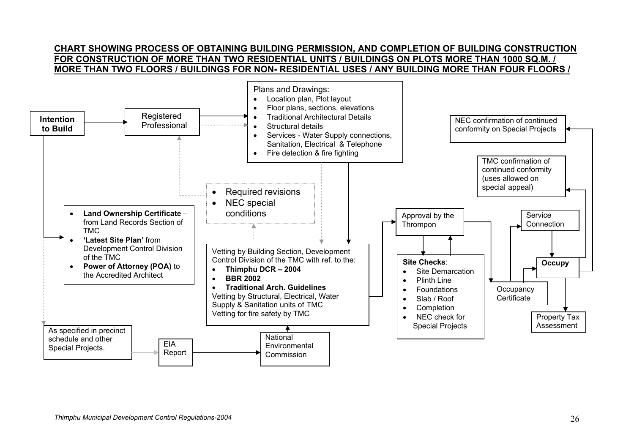## **CHART SHOWING PROCESS OF OBTAINING BUILDING PERMISSION, AND COMPLETION OF BUILDING CONSTRUCTION FOR CONSTRUCTION OF MORE THAN TWO RESIDENTIAL UNITS / BUILDINGS ON PLOTS MORE THAN 1000 SQ.M. / MORE THAN TWO FLOORS / BUILDINGS FOR NON- RESIDENTIAL USES / ANY BUILDING MORE THAN FOUR FLOORS /**

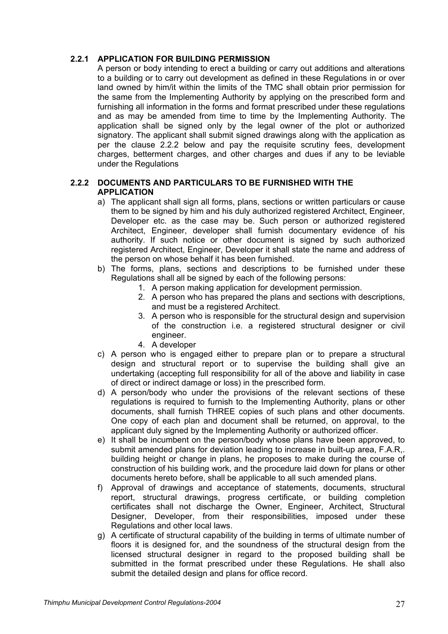## **2.2.1 APPLICATION FOR BUILDING PERMISSION**

A person or body intending to erect a building or carry out additions and alterations to a building or to carry out development as defined in these Regulations in or over land owned by him/it within the limits of the TMC shall obtain prior permission for the same from the Implementing Authority by applying on the prescribed form and furnishing all information in the forms and format prescribed under these regulations and as may be amended from time to time by the Implementing Authority. The application shall be signed only by the legal owner of the plot or authorized signatory. The applicant shall submit signed drawings along with the application as per the clause 2.2.2 below and pay the requisite scrutiny fees, development charges, betterment charges, and other charges and dues if any to be leviable under the Regulations

## **2.2.2 DOCUMENTS AND PARTICULARS TO BE FURNISHED WITH THE APPLICATION**

- a) The applicant shall sign all forms, plans, sections or written particulars or cause them to be signed by him and his duly authorized registered Architect, Engineer, Developer etc. as the case may be. Such person or authorized registered Architect, Engineer, developer shall furnish documentary evidence of his authority. If such notice or other document is signed by such authorized registered Architect, Engineer, Developer it shall state the name and address of the person on whose behalf it has been furnished.
- b) The forms, plans, sections and descriptions to be furnished under these Regulations shall all be signed by each of the following persons:
	- 1. A person making application for development permission.
	- 2. A person who has prepared the plans and sections with descriptions, and must be a registered Architect.
	- 3. A person who is responsible for the structural design and supervision of the construction i.e. a registered structural designer or civil engineer.
	- 4. A developer
- c) A person who is engaged either to prepare plan or to prepare a structural design and structural report or to supervise the building shall give an undertaking (accepting full responsibility for all of the above and liability in case of direct or indirect damage or loss) in the prescribed form.
- d) A person/body who under the provisions of the relevant sections of these regulations is required to furnish to the Implementing Authority, plans or other documents, shall furnish THREE copies of such plans and other documents. One copy of each plan and document shall be returned, on approval, to the applicant duly signed by the Implementing Authority or authorized officer.
- e) It shall be incumbent on the person/body whose plans have been approved, to submit amended plans for deviation leading to increase in built-up area, F.A.R,. building height or change in plans, he proposes to make during the course of construction of his building work, and the procedure laid down for plans or other documents hereto before, shall be applicable to all such amended plans.
- f) Approval of drawings and acceptance of statements, documents, structural report, structural drawings, progress certificate, or building completion certificates shall not discharge the Owner, Engineer, Architect, Structural Designer, Developer, from their responsibilities, imposed under these Regulations and other local laws.
- g) A certificate of structural capability of the building in terms of ultimate number of floors it is designed for, and the soundness of the structural design from the licensed structural designer in regard to the proposed building shall be submitted in the format prescribed under these Regulations. He shall also submit the detailed design and plans for office record.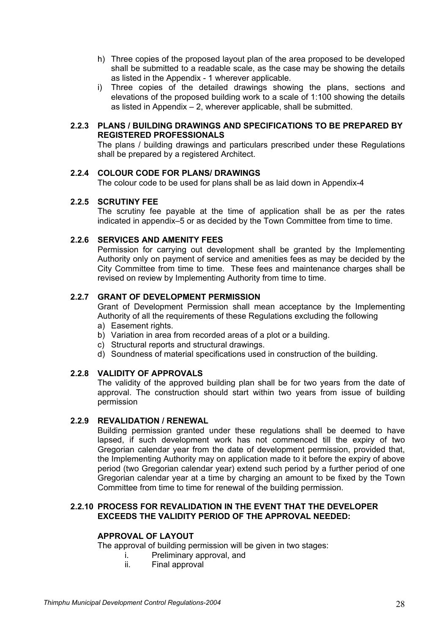- h) Three copies of the proposed layout plan of the area proposed to be developed shall be submitted to a readable scale, as the case may be showing the details as listed in the Appendix - 1 wherever applicable.
- i) Three copies of the detailed drawings showing the plans, sections and elevations of the proposed building work to a scale of 1:100 showing the details as listed in Appendix – 2, wherever applicable, shall be submitted.

## **2.2.3 PLANS / BUILDING DRAWINGS AND SPECIFICATIONS TO BE PREPARED BY REGISTERED PROFESSIONALS**

The plans / building drawings and particulars prescribed under these Regulations shall be prepared by a registered Architect.

## **2.2.4 COLOUR CODE FOR PLANS/ DRAWINGS**

The colour code to be used for plans shall be as laid down in Appendix-4

#### **2.2.5 SCRUTINY FEE**

The scrutiny fee payable at the time of application shall be as per the rates indicated in appendix–5 or as decided by the Town Committee from time to time.

#### **2.2.6 SERVICES AND AMENITY FEES**

Permission for carrying out development shall be granted by the Implementing Authority only on payment of service and amenities fees as may be decided by the City Committee from time to time. These fees and maintenance charges shall be revised on review by Implementing Authority from time to time.

#### **2.2.7 GRANT OF DEVELOPMENT PERMISSION**

 Grant of Development Permission shall mean acceptance by the Implementing Authority of all the requirements of these Regulations excluding the following a) Easement rights.

- b) Variation in area from recorded areas of a plot or a building.
- c) Structural reports and structural drawings.
- d) Soundness of material specifications used in construction of the building.

## **2.2.8 VALIDITY OF APPROVALS**

The validity of the approved building plan shall be for two years from the date of approval. The construction should start within two years from issue of building permission

#### **2.2.9 REVALIDATION / RENEWAL**

Building permission granted under these regulations shall be deemed to have lapsed, if such development work has not commenced till the expiry of two Gregorian calendar year from the date of development permission, provided that, the Implementing Authority may on application made to it before the expiry of above period (two Gregorian calendar year) extend such period by a further period of one Gregorian calendar year at a time by charging an amount to be fixed by the Town Committee from time to time for renewal of the building permission.

#### **2.2.10 PROCESS FOR REVALIDATION IN THE EVENT THAT THE DEVELOPER EXCEEDS THE VALIDITY PERIOD OF THE APPROVAL NEEDED:**

#### **APPROVAL OF LAYOUT**

The approval of building permission will be given in two stages:

- i. Preliminary approval, and
- ii. Final approval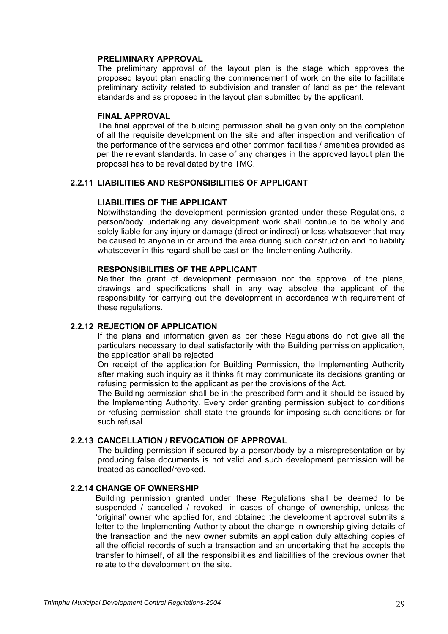#### **PRELIMINARY APPROVAL**

The preliminary approval of the layout plan is the stage which approves the proposed layout plan enabling the commencement of work on the site to facilitate preliminary activity related to subdivision and transfer of land as per the relevant standards and as proposed in the layout plan submitted by the applicant.

#### **FINAL APPROVAL**

The final approval of the building permission shall be given only on the completion of all the requisite development on the site and after inspection and verification of the performance of the services and other common facilities / amenities provided as per the relevant standards. In case of any changes in the approved layout plan the proposal has to be revalidated by the TMC.

#### **2.2.11 LIABILITIES AND RESPONSIBILITIES OF APPLICANT**

#### **LIABILITIES OF THE APPLICANT**

Notwithstanding the development permission granted under these Regulations, a person/body undertaking any development work shall continue to be wholly and solely liable for any injury or damage (direct or indirect) or loss whatsoever that may be caused to anyone in or around the area during such construction and no liability whatsoever in this regard shall be cast on the Implementing Authority.

### **RESPONSIBILITIES OF THE APPLICANT**

Neither the grant of development permission nor the approval of the plans, drawings and specifications shall in any way absolve the applicant of the responsibility for carrying out the development in accordance with requirement of these regulations.

#### **2.2.12 REJECTION OF APPLICATION**

If the plans and information given as per these Regulations do not give all the particulars necessary to deal satisfactorily with the Building permission application, the application shall be rejected

On receipt of the application for Building Permission, the Implementing Authority after making such inquiry as it thinks fit may communicate its decisions granting or refusing permission to the applicant as per the provisions of the Act.

The Building permission shall be in the prescribed form and it should be issued by the Implementing Authority. Every order granting permission subject to conditions or refusing permission shall state the grounds for imposing such conditions or for such refusal

#### **2.2.13 CANCELLATION / REVOCATION OF APPROVAL**

The building permission if secured by a person/body by a misrepresentation or by producing false documents is not valid and such development permission will be treated as cancelled/revoked.

## **2.2.14 CHANGE OF OWNERSHIP**

Building permission granted under these Regulations shall be deemed to be suspended / cancelled / revoked, in cases of change of ownership, unless the 'original' owner who applied for, and obtained the development approval submits a letter to the Implementing Authority about the change in ownership giving details of the transaction and the new owner submits an application duly attaching copies of all the official records of such a transaction and an undertaking that he accepts the transfer to himself, of all the responsibilities and liabilities of the previous owner that relate to the development on the site.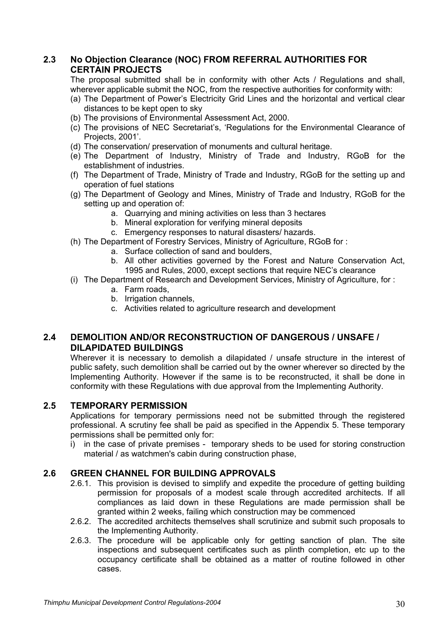## **2.3 No Objection Clearance (NOC) FROM REFERRAL AUTHORITIES FOR CERTAIN PROJECTS**

The proposal submitted shall be in conformity with other Acts / Regulations and shall, wherever applicable submit the NOC, from the respective authorities for conformity with:

- (a) The Department of Power's Electricity Grid Lines and the horizontal and vertical clear distances to be kept open to sky
- (b) The provisions of Environmental Assessment Act, 2000.
- (c) The provisions of NEC Secretariat's, 'Regulations for the Environmental Clearance of Projects, 2001'.
- (d) The conservation/ preservation of monuments and cultural heritage.
- (e) The Department of Industry, Ministry of Trade and Industry, RGoB for the establishment of industries.
- (f) The Department of Trade, Ministry of Trade and Industry, RGoB for the setting up and operation of fuel stations
- (g) The Department of Geology and Mines, Ministry of Trade and Industry, RGoB for the setting up and operation of:
	- a. Quarrying and mining activities on less than 3 hectares
	- b. Mineral exploration for verifying mineral deposits
	- c. Emergency responses to natural disasters/ hazards.
- (h) The Department of Forestry Services, Ministry of Agriculture, RGoB for :
	- a. Surface collection of sand and boulders,
	- b. All other activities governed by the Forest and Nature Conservation Act, 1995 and Rules, 2000, except sections that require NEC's clearance
- (i) The Department of Research and Development Services, Ministry of Agriculture, for :
	- a. Farm roads,
	- b. Irrigation channels,
	- c. Activities related to agriculture research and development

## **2.4 DEMOLITION AND/OR RECONSTRUCTION OF DANGEROUS / UNSAFE / DILAPIDATED BUILDINGS**

Wherever it is necessary to demolish a dilapidated / unsafe structure in the interest of public safety, such demolition shall be carried out by the owner wherever so directed by the Implementing Authority. However if the same is to be reconstructed, it shall be done in conformity with these Regulations with due approval from the Implementing Authority.

## **2.5 TEMPORARY PERMISSION**

Applications for temporary permissions need not be submitted through the registered professional. A scrutiny fee shall be paid as specified in the Appendix 5. These temporary permissions shall be permitted only for:

i) in the case of private premises - temporary sheds to be used for storing construction material / as watchmen's cabin during construction phase,

## **2.6 GREEN CHANNEL FOR BUILDING APPROVALS**

- 2.6.1. This provision is devised to simplify and expedite the procedure of getting building permission for proposals of a modest scale through accredited architects. If all compliances as laid down in these Regulations are made permission shall be granted within 2 weeks, failing which construction may be commenced
- 2.6.2. The accredited architects themselves shall scrutinize and submit such proposals to the Implementing Authority.
- 2.6.3. The procedure will be applicable only for getting sanction of plan. The site inspections and subsequent certificates such as plinth completion, etc up to the occupancy certificate shall be obtained as a matter of routine followed in other cases.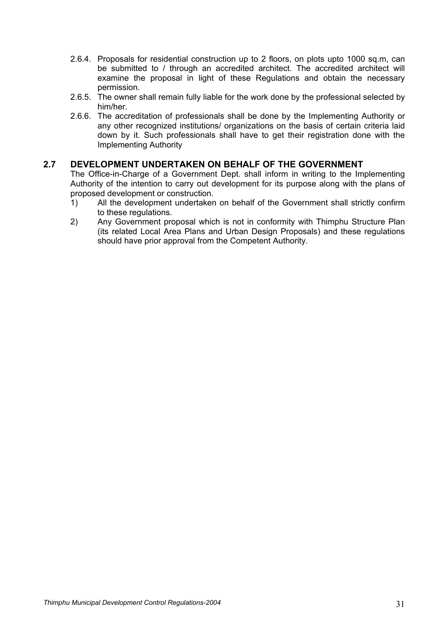- 2.6.4. Proposals for residential construction up to 2 floors, on plots upto 1000 sq.m, can be submitted to / through an accredited architect. The accredited architect will examine the proposal in light of these Regulations and obtain the necessary permission.
- 2.6.5. The owner shall remain fully liable for the work done by the professional selected by him/her.
- 2.6.6. The accreditation of professionals shall be done by the Implementing Authority or any other recognized institutions/ organizations on the basis of certain criteria laid down by it. Such professionals shall have to get their registration done with the Implementing Authority

## **2.7 DEVELOPMENT UNDERTAKEN ON BEHALF OF THE GOVERNMENT**

The Office-in-Charge of a Government Dept. shall inform in writing to the Implementing Authority of the intention to carry out development for its purpose along with the plans of proposed development or construction.

- 1) All the development undertaken on behalf of the Government shall strictly confirm to these regulations.
- 2) Any Government proposal which is not in conformity with Thimphu Structure Plan (its related Local Area Plans and Urban Design Proposals) and these regulations should have prior approval from the Competent Authority.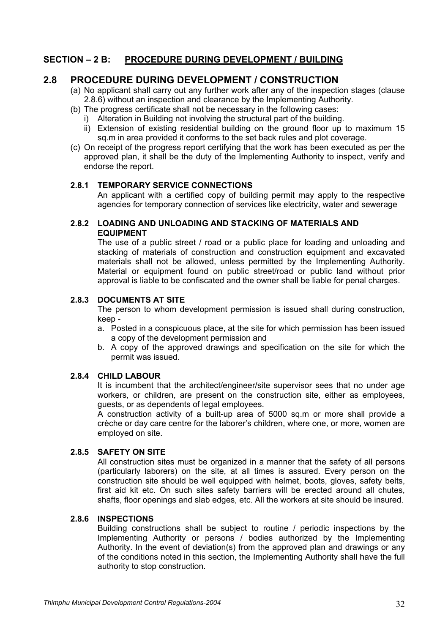## **SECTION – 2 B: PROCEDURE DURING DEVELOPMENT / BUILDING**

## **2.8 PROCEDURE DURING DEVELOPMENT / CONSTRUCTION**

- (a) No applicant shall carry out any further work after any of the inspection stages (clause 2.8.6) without an inspection and clearance by the Implementing Authority.
- (b) The progress certificate shall not be necessary in the following cases:
	- i) Alteration in Building not involving the structural part of the building.
	- ii) Extension of existing residential building on the ground floor up to maximum 15 sq.m in area provided it conforms to the set back rules and plot coverage.
- (c) On receipt of the progress report certifying that the work has been executed as per the approved plan, it shall be the duty of the Implementing Authority to inspect, verify and endorse the report.

#### **2.8.1 TEMPORARY SERVICE CONNECTIONS**

An applicant with a certified copy of building permit may apply to the respective agencies for temporary connection of services like electricity, water and sewerage

### **2.8.2 LOADING AND UNLOADING AND STACKING OF MATERIALS AND EQUIPMENT**

The use of a public street / road or a public place for loading and unloading and stacking of materials of construction and construction equipment and excavated materials shall not be allowed, unless permitted by the Implementing Authority. Material or equipment found on public street/road or public land without prior approval is liable to be confiscated and the owner shall be liable for penal charges.

## **2.8.3 DOCUMENTS AT SITE**

The person to whom development permission is issued shall during construction, keep -

- a. Posted in a conspicuous place, at the site for which permission has been issued a copy of the development permission and
- b. A copy of the approved drawings and specification on the site for which the permit was issued.

## **2.8.4 CHILD LABOUR**

It is incumbent that the architect/engineer/site supervisor sees that no under age workers, or children, are present on the construction site, either as employees, guests, or as dependents of legal employees.

A construction activity of a built-up area of 5000 sq.m or more shall provide a crèche or day care centre for the laborer's children, where one, or more, women are employed on site.

## **2.8.5 SAFETY ON SITE**

All construction sites must be organized in a manner that the safety of all persons (particularly laborers) on the site, at all times is assured. Every person on the construction site should be well equipped with helmet, boots, gloves, safety belts, first aid kit etc. On such sites safety barriers will be erected around all chutes, shafts, floor openings and slab edges, etc. All the workers at site should be insured.

#### **2.8.6 INSPECTIONS**

Building constructions shall be subject to routine / periodic inspections by the Implementing Authority or persons / bodies authorized by the Implementing Authority. In the event of deviation(s) from the approved plan and drawings or any of the conditions noted in this section, the Implementing Authority shall have the full authority to stop construction.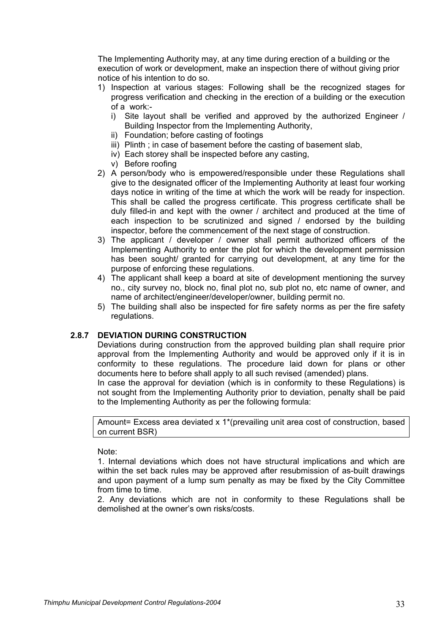The Implementing Authority may, at any time during erection of a building or the execution of work or development, make an inspection there of without giving prior notice of his intention to do so.

- 1) Inspection at various stages: Following shall be the recognized stages for progress verification and checking in the erection of a building or the execution of a work:
	- i) Site layout shall be verified and approved by the authorized Engineer / Building Inspector from the Implementing Authority,
	- ii) Foundation; before casting of footings
	- iii) Plinth ; in case of basement before the casting of basement slab,
	- iv) Each storey shall be inspected before any casting,
	- v) Before roofing
- 2) A person/body who is empowered/responsible under these Regulations shall give to the designated officer of the Implementing Authority at least four working days notice in writing of the time at which the work will be ready for inspection. This shall be called the progress certificate. This progress certificate shall be duly filled-in and kept with the owner / architect and produced at the time of each inspection to be scrutinized and signed / endorsed by the building inspector, before the commencement of the next stage of construction.
- 3) The applicant / developer / owner shall permit authorized officers of the Implementing Authority to enter the plot for which the development permission has been sought/ granted for carrying out development, at any time for the purpose of enforcing these regulations.
- 4) The applicant shall keep a board at site of development mentioning the survey no., city survey no, block no, final plot no, sub plot no, etc name of owner, and name of architect/engineer/developer/owner, building permit no.
- 5) The building shall also be inspected for fire safety norms as per the fire safety regulations.

## **2.8.7 DEVIATION DURING CONSTRUCTION**

Deviations during construction from the approved building plan shall require prior approval from the Implementing Authority and would be approved only if it is in conformity to these regulations. The procedure laid down for plans or other documents here to before shall apply to all such revised (amended) plans.

In case the approval for deviation (which is in conformity to these Regulations) is not sought from the Implementing Authority prior to deviation, penalty shall be paid to the Implementing Authority as per the following formula:

Amount= Excess area deviated x 1\*(prevailing unit area cost of construction, based on current BSR)

Note:

1. Internal deviations which does not have structural implications and which are within the set back rules may be approved after resubmission of as-built drawings and upon payment of a lump sum penalty as may be fixed by the City Committee from time to time.

2. Any deviations which are not in conformity to these Regulations shall be demolished at the owner's own risks/costs.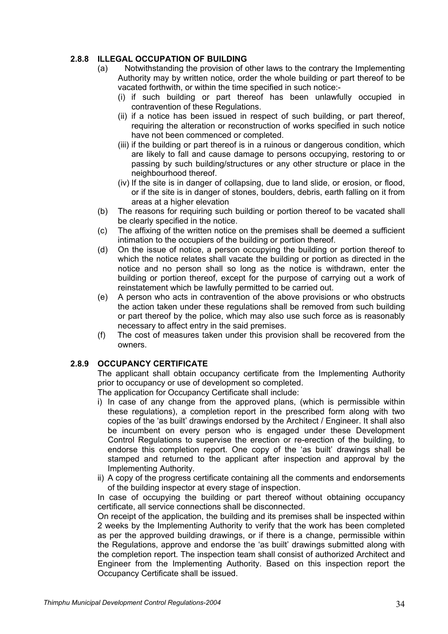## **2.8.8 ILLEGAL OCCUPATION OF BUILDING**

- (a) Notwithstanding the provision of other laws to the contrary the Implementing Authority may by written notice, order the whole building or part thereof to be vacated forthwith, or within the time specified in such notice:-
	- (i) if such building or part thereof has been unlawfully occupied in contravention of these Regulations.
	- (ii) if a notice has been issued in respect of such building, or part thereof, requiring the alteration or reconstruction of works specified in such notice have not been commenced or completed.
	- (iii) if the building or part thereof is in a ruinous or dangerous condition, which are likely to fall and cause damage to persons occupying, restoring to or passing by such building/structures or any other structure or place in the neighbourhood thereof.
	- (iv) If the site is in danger of collapsing, due to land slide, or erosion, or flood, or if the site is in danger of stones, boulders, debris, earth falling on it from areas at a higher elevation
- (b) The reasons for requiring such building or portion thereof to be vacated shall be clearly specified in the notice.
- (c) The affixing of the written notice on the premises shall be deemed a sufficient intimation to the occupiers of the building or portion thereof.
- (d) On the issue of notice, a person occupying the building or portion thereof to which the notice relates shall vacate the building or portion as directed in the notice and no person shall so long as the notice is withdrawn, enter the building or portion thereof, except for the purpose of carrying out a work of reinstatement which be lawfully permitted to be carried out.
- (e) A person who acts in contravention of the above provisions or who obstructs the action taken under these regulations shall be removed from such building or part thereof by the police, which may also use such force as is reasonably necessary to affect entry in the said premises.
- (f) The cost of measures taken under this provision shall be recovered from the owners.

# **2.8.9 OCCUPANCY CERTIFICATE**

The applicant shall obtain occupancy certificate from the Implementing Authority prior to occupancy or use of development so completed.

The application for Occupancy Certificate shall include:

- i) In case of any change from the approved plans, (which is permissible within these regulations), a completion report in the prescribed form along with two copies of the 'as built' drawings endorsed by the Architect / Engineer. It shall also be incumbent on every person who is engaged under these Development Control Regulations to supervise the erection or re-erection of the building, to endorse this completion report. One copy of the 'as built' drawings shall be stamped and returned to the applicant after inspection and approval by the Implementing Authority.
- ii) A copy of the progress certificate containing all the comments and endorsements of the building inspector at every stage of inspection.

In case of occupying the building or part thereof without obtaining occupancy certificate, all service connections shall be disconnected.

On receipt of the application, the building and its premises shall be inspected within 2 weeks by the Implementing Authority to verify that the work has been completed as per the approved building drawings, or if there is a change, permissible within the Regulations, approve and endorse the 'as built' drawings submitted along with the completion report. The inspection team shall consist of authorized Architect and Engineer from the Implementing Authority. Based on this inspection report the Occupancy Certificate shall be issued.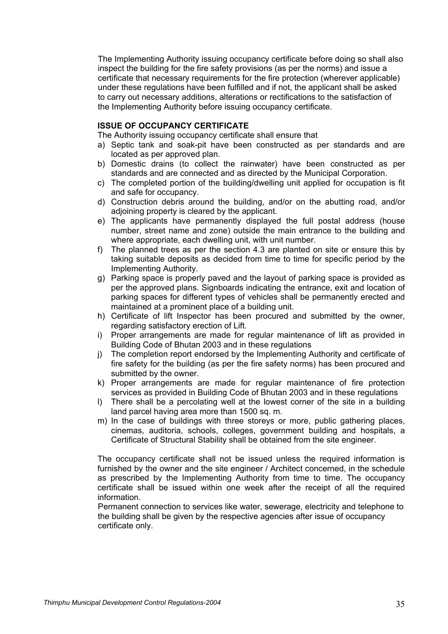The Implementing Authority issuing occupancy certificate before doing so shall also inspect the building for the fire safety provisions (as per the norms) and issue a certificate that necessary requirements for the fire protection (wherever applicable) under these regulations have been fulfilled and if not, the applicant shall be asked to carry out necessary additions, alterations or rectifications to the satisfaction of the Implementing Authority before issuing occupancy certificate.

#### **ISSUE OF OCCUPANCY CERTIFICATE**

The Authority issuing occupancy certificate shall ensure that

- a) Septic tank and soak-pit have been constructed as per standards and are located as per approved plan.
- b) Domestic drains (to collect the rainwater) have been constructed as per standards and are connected and as directed by the Municipal Corporation.
- c) The completed portion of the building/dwelling unit applied for occupation is fit and safe for occupancy.
- d) Construction debris around the building, and/or on the abutting road, and/or adjoining property is cleared by the applicant.
- e) The applicants have permanently displayed the full postal address (house number, street name and zone) outside the main entrance to the building and where appropriate, each dwelling unit, with unit number.
- f) The planned trees as per the section 4.3 are planted on site or ensure this by taking suitable deposits as decided from time to time for specific period by the Implementing Authority.
- g) Parking space is properly paved and the layout of parking space is provided as per the approved plans. Signboards indicating the entrance, exit and location of parking spaces for different types of vehicles shall be permanently erected and maintained at a prominent place of a building unit.
- h) Certificate of lift Inspector has been procured and submitted by the owner, regarding satisfactory erection of Lift.
- i) Proper arrangements are made for regular maintenance of lift as provided in Building Code of Bhutan 2003 and in these regulations
- j) The completion report endorsed by the Implementing Authority and certificate of fire safety for the building (as per the fire safety norms) has been procured and submitted by the owner.
- k) Proper arrangements are made for regular maintenance of fire protection services as provided in Building Code of Bhutan 2003 and in these regulations
- l) There shall be a percolating well at the lowest corner of the site in a building land parcel having area more than 1500 sq. m.
- m) In the case of buildings with three storeys or more, public gathering places, cinemas, auditoria, schools, colleges, government building and hospitals, a Certificate of Structural Stability shall be obtained from the site engineer.

The occupancy certificate shall not be issued unless the required information is furnished by the owner and the site engineer / Architect concerned, in the schedule as prescribed by the Implementing Authority from time to time. The occupancy certificate shall be issued within one week after the receipt of all the required information.

Permanent connection to services like water, sewerage, electricity and telephone to the building shall be given by the respective agencies after issue of occupancy certificate only.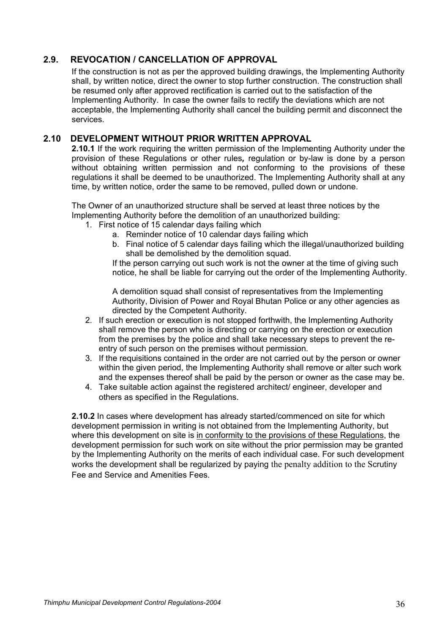# **2.9. REVOCATION / CANCELLATION OF APPROVAL**

If the construction is not as per the approved building drawings, the Implementing Authority shall, by written notice, direct the owner to stop further construction. The construction shall be resumed only after approved rectification is carried out to the satisfaction of the Implementing Authority. In case the owner fails to rectify the deviations which are not acceptable, the Implementing Authority shall cancel the building permit and disconnect the services.

# **2.10 DEVELOPMENT WITHOUT PRIOR WRITTEN APPROVAL**

**2.10.1** If the work requiring the written permission of the Implementing Authority under the provision of these Regulations or other rules*,* regulation or by-law is done by a person without obtaining written permission and not conforming to the provisions of these regulations it shall be deemed to be unauthorized. The Implementing Authority shall at any time, by written notice, order the same to be removed, pulled down or undone.

The Owner of an unauthorized structure shall be served at least three notices by the Implementing Authority before the demolition of an unauthorized building:

- 1. First notice of 15 calendar days failing which
	- a. Reminder notice of 10 calendar days failing which
		- b. Final notice of 5 calendar days failing which the illegal/unauthorized building shall be demolished by the demolition squad.

If the person carrying out such work is not the owner at the time of giving such notice, he shall be liable for carrying out the order of the Implementing Authority.

A demolition squad shall consist of representatives from the Implementing Authority, Division of Power and Royal Bhutan Police or any other agencies as directed by the Competent Authority.

- 2. If such erection or execution is not stopped forthwith, the Implementing Authority shall remove the person who is directing or carrying on the erection or execution from the premises by the police and shall take necessary steps to prevent the reentry of such person on the premises without permission.
- 3. If the requisitions contained in the order are not carried out by the person or owner within the given period, the Implementing Authority shall remove or alter such work and the expenses thereof shall be paid by the person or owner as the case may be.
- 4. Take suitable action against the registered architect/ engineer, developer and others as specified in the Regulations.

**2.10.2** In cases where development has already started/commenced on site for which development permission in writing is not obtained from the Implementing Authority, but where this development on site is in conformity to the provisions of these Regulations, the development permission for such work on site without the prior permission may be granted by the Implementing Authority on the merits of each individual case. For such development works the development shall be regularized by paying the penalty addition to the Scrutiny Fee and Service and Amenities Fees.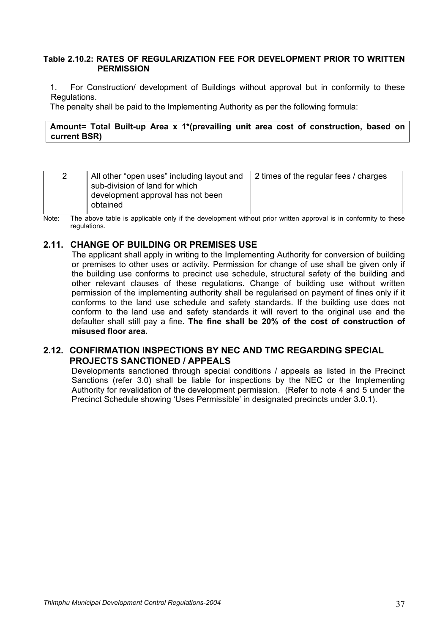## **Table 2.10.2: RATES OF REGULARIZATION FEE FOR DEVELOPMENT PRIOR TO WRITTEN PERMISSION**

1. For Construction/ development of Buildings without approval but in conformity to these Regulations.

The penalty shall be paid to the Implementing Authority as per the following formula:

## **Amount= Total Built-up Area x 1\*(prevailing unit area cost of construction, based on current BSR)**

| All other "open uses" including layout and<br>2<br>sub-division of land for which<br>development approval has not been<br>obtained | 2 times of the regular fees / charges |
|------------------------------------------------------------------------------------------------------------------------------------|---------------------------------------|
|------------------------------------------------------------------------------------------------------------------------------------|---------------------------------------|

Note: The above table is applicable only if the development without prior written approval is in conformity to these regulations.

# **2.11. CHANGE OF BUILDING OR PREMISES USE**

The applicant shall apply in writing to the Implementing Authority for conversion of building or premises to other uses or activity. Permission for change of use shall be given only if the building use conforms to precinct use schedule, structural safety of the building and other relevant clauses of these regulations. Change of building use without written permission of the implementing authority shall be regularised on payment of fines only if it conforms to the land use schedule and safety standards. If the building use does not conform to the land use and safety standards it will revert to the original use and the defaulter shall still pay a fine. **The fine shall be 20% of the cost of construction of misused floor area.** 

# **2.12. CONFIRMATION INSPECTIONS BY NEC AND TMC REGARDING SPECIAL PROJECTS SANCTIONED / APPEALS**

Developments sanctioned through special conditions / appeals as listed in the Precinct Sanctions (refer 3.0) shall be liable for inspections by the NEC or the Implementing Authority for revalidation of the development permission. (Refer to note 4 and 5 under the Precinct Schedule showing 'Uses Permissible' in designated precincts under 3.0.1).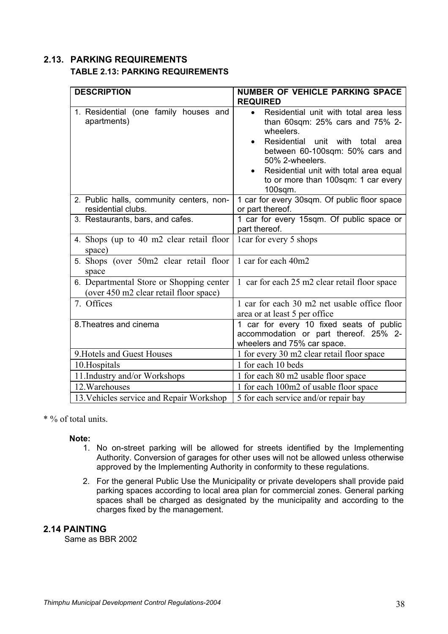# **2.13. PARKING REQUIREMENTS TABLE 2.13: PARKING REQUIREMENTS**

| <b>DESCRIPTION</b>                                                                 | <b>NUMBER OF VEHICLE PARKING SPACE</b><br><b>REQUIRED</b>                                                                                                                                                                                                                                      |
|------------------------------------------------------------------------------------|------------------------------------------------------------------------------------------------------------------------------------------------------------------------------------------------------------------------------------------------------------------------------------------------|
| 1. Residential (one family houses and<br>apartments)                               | Residential unit with total area less<br>$\bullet$<br>than 60sqm: 25% cars and 75% 2-<br>wheelers.<br>Residential unit with<br>total<br>area<br>between 60-100sqm: 50% cars and<br>50% 2-wheelers.<br>Residential unit with total area equal<br>to or more than 100sqm: 1 car every<br>100sqm. |
| 2. Public halls, community centers, non-<br>residential clubs.                     | 1 car for every 30sqm. Of public floor space<br>or part thereof.                                                                                                                                                                                                                               |
| 3. Restaurants, bars, and cafes.                                                   | 1 car for every 15sqm. Of public space or<br>part thereof.                                                                                                                                                                                                                                     |
| 4. Shops (up to 40 m2 clear retail floor<br>space)                                 | 1 car for every 5 shops                                                                                                                                                                                                                                                                        |
| 5. Shops (over 50m2 clear retail floor<br>space                                    | 1 car for each 40m2                                                                                                                                                                                                                                                                            |
| 6. Departmental Store or Shopping center<br>(over 450 m2 clear retail floor space) | 1 car for each 25 m2 clear retail floor space                                                                                                                                                                                                                                                  |
| 7. Offices                                                                         | 1 car for each 30 m2 net usable office floor<br>area or at least 5 per office                                                                                                                                                                                                                  |
| 8. Theatres and cinema                                                             | 1 car for every 10 fixed seats of public<br>accommodation or part thereof. 25% 2-<br>wheelers and 75% car space.                                                                                                                                                                               |
| 9. Hotels and Guest Houses                                                         | 1 for every 30 m2 clear retail floor space                                                                                                                                                                                                                                                     |
| 10.Hospitals                                                                       | 1 for each 10 beds                                                                                                                                                                                                                                                                             |
| 11. Industry and/or Workshops                                                      | 1 for each 80 m2 usable floor space                                                                                                                                                                                                                                                            |
| 12. Warehouses                                                                     | 1 for each 100m2 of usable floor space                                                                                                                                                                                                                                                         |
| 13. Vehicles service and Repair Workshop                                           | 5 for each service and/or repair bay                                                                                                                                                                                                                                                           |

\* % of total units.

# **Note:**

- 1. No on-street parking will be allowed for streets identified by the Implementing Authority. Conversion of garages for other uses will not be allowed unless otherwise approved by the Implementing Authority in conformity to these regulations.
- 2. For the general Public Use the Municipality or private developers shall provide paid parking spaces according to local area plan for commercial zones. General parking spaces shall be charged as designated by the municipality and according to the charges fixed by the management.

# **2.14 PAINTING**

Same as BBR 2002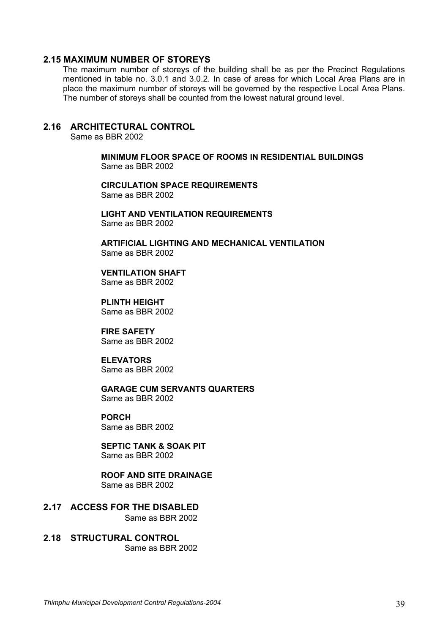### **2.15 MAXIMUM NUMBER OF STOREYS**

The maximum number of storeys of the building shall be as per the Precinct Regulations mentioned in table no. 3.0.1 and 3.0.2. In case of areas for which Local Area Plans are in place the maximum number of storeys will be governed by the respective Local Area Plans. The number of storeys shall be counted from the lowest natural ground level.

## **2.16 ARCHITECTURAL CONTROL**

Same as BBR 2002

**MINIMUM FLOOR SPACE OF ROOMS IN RESIDENTIAL BUILDINGS**  Same as BBR 2002

**CIRCULATION SPACE REQUIREMENTS**  Same as BBR 2002

**LIGHT AND VENTILATION REQUIREMENTS**  Same as BBR 2002

**ARTIFICIAL LIGHTING AND MECHANICAL VENTILATION** Same as BBR 2002

**VENTILATION SHAFT**Same as BBR 2002

**PLINTH HEIGHT**  Same as BBR 2002

**FIRE SAFETY**  Same as BBR 2002

**ELEVATORS**  Same as BBR 2002

**GARAGE CUM SERVANTS QUARTERS**  Same as BBR 2002

# **PORCH**

Same as BBR 2002

# **SEPTIC TANK & SOAK PIT**

Same as BBR 2002

# **ROOF AND SITE DRAINAGE**

Same as BBR 2002

**2.17 ACCESS FOR THE DISABLED** Same as BBR 2002

#### **2.18 STRUCTURAL CONTROL**  Same as BBR 2002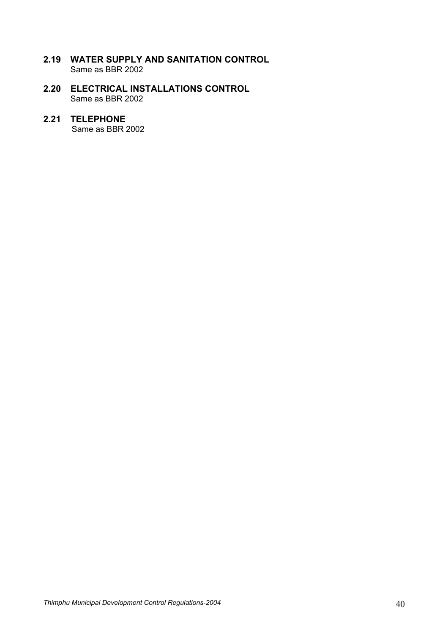- **2.19 WATER SUPPLY AND SANITATION CONTROL**  Same as BBR 2002
- **2.20 ELECTRICAL INSTALLATIONS CONTROL**  Same as BBR 2002

# **2.21 TELEPHONE**

Same as BBR 2002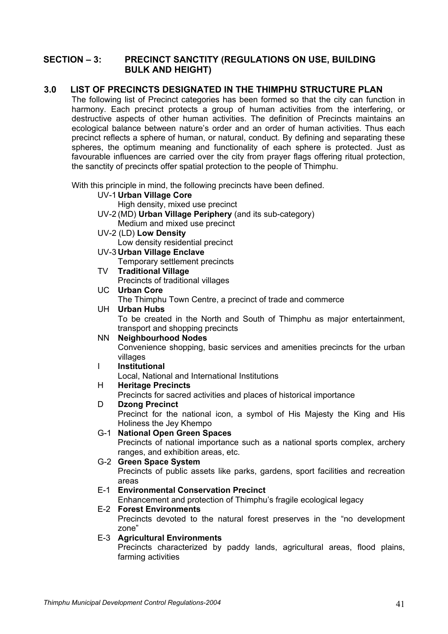# **SECTION – 3: PRECINCT SANCTITY (REGULATIONS ON USE, BUILDING BULK AND HEIGHT)**

# **3.0 LIST OF PRECINCTS DESIGNATED IN THE THIMPHU STRUCTURE PLAN**

The following list of Precinct categories has been formed so that the city can function in harmony. Each precinct protects a group of human activities from the interfering, or destructive aspects of other human activities. The definition of Precincts maintains an ecological balance between nature's order and an order of human activities. Thus each precinct reflects a sphere of human, or natural, conduct. By defining and separating these spheres, the optimum meaning and functionality of each sphere is protected. Just as favourable influences are carried over the city from prayer flags offering ritual protection, the sanctity of precincts offer spatial protection to the people of Thimphu.

With this principle in mind, the following precincts have been defined.

- UV-1 **Urban Village Core**
	- High density, mixed use precinct
- UV-2 (MD) **Urban Village Periphery** (and its sub-category)
- Medium and mixed use precinct
- UV-2 (LD) **Low Density**

Low density residential precinct

- UV-3 **Urban Village Enclave** 
	- Temporary settlement precincts
- TV **Traditional Village**

Precincts of traditional villages

UC **Urban Core** 

The Thimphu Town Centre, a precinct of trade and commerce

# UH **Urban Hubs**

 To be created in the North and South of Thimphu as major entertainment, transport and shopping precincts

#### NN **Neighbourhood Nodes**

 Convenience shopping, basic services and amenities precincts for the urban villages

# I **Institutional**

Local, National and International Institutions

## H **Heritage Precincts**

Precincts for sacred activities and places of historical importance

## D **Dzong Precinct**

 Precinct for the national icon, a symbol of His Majesty the King and His Holiness the Jey Khempo

## G-1 **National Open Green Spaces**

 Precincts of national importance such as a national sports complex, archery ranges, and exhibition areas, etc.

## G-2 **Green Space System**

 Precincts of public assets like parks, gardens, sport facilities and recreation areas

# E-1 **Environmental Conservation Precinct**

Enhancement and protection of Thimphu's fragile ecological legacy

## E-2 **Forest Environments**

 Precincts devoted to the natural forest preserves in the "no development zone"

#### E-3 **Agricultural Environments**

 Precincts characterized by paddy lands, agricultural areas, flood plains, farming activities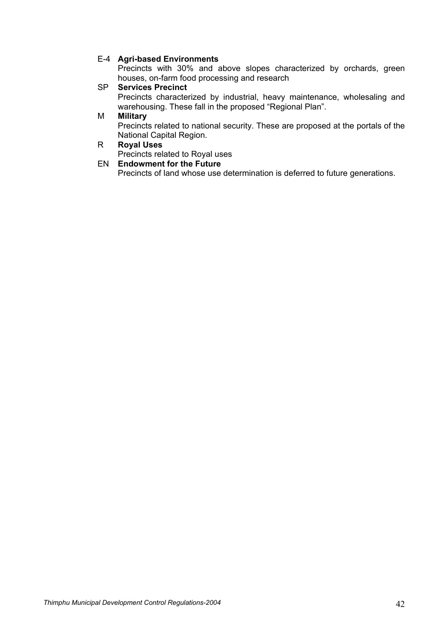## E-4 **Agri-based Environments**

 Precincts with 30% and above slopes characterized by orchards, green houses, on-farm food processing and research

## SP **Services Precinct**

 Precincts characterized by industrial, heavy maintenance, wholesaling and warehousing. These fall in the proposed "Regional Plan".

#### M **Military**

 Precincts related to national security. These are proposed at the portals of the National Capital Region.

## R **Royal Uses**

Precincts related to Royal uses

## EN **Endowment for the Future**

Precincts of land whose use determination is deferred to future generations.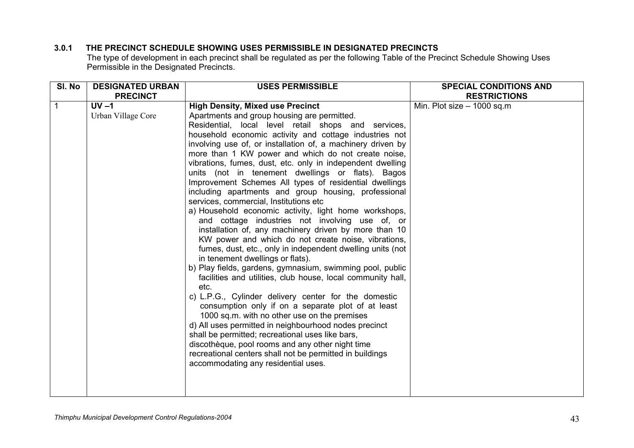# **3.0.1 THE PRECINCT SCHEDULE SHOWING USES PERMISSIBLE IN DESIGNATED PRECINCTS**

The type of development in each precinct shall be regulated as per the following Table of the Precinct Schedule Showing Uses Permissible in the Designated Precincts.

| SI. No | <b>DESIGNATED URBAN</b> | <b>USES PERMISSIBLE</b>                                                                                     | <b>SPECIAL CONDITIONS AND</b> |
|--------|-------------------------|-------------------------------------------------------------------------------------------------------------|-------------------------------|
|        | <b>PRECINCT</b>         |                                                                                                             | <b>RESTRICTIONS</b>           |
|        | $UV -1$                 | <b>High Density, Mixed use Precinct</b>                                                                     | Min. Plot size $-$ 1000 sq.m  |
|        | Urban Village Core      | Apartments and group housing are permitted.                                                                 |                               |
|        |                         | Residential, local level retail shops and services,                                                         |                               |
|        |                         | household economic activity and cottage industries not                                                      |                               |
|        |                         | involving use of, or installation of, a machinery driven by                                                 |                               |
|        |                         | more than 1 KW power and which do not create noise,                                                         |                               |
|        |                         | vibrations, fumes, dust, etc. only in independent dwelling                                                  |                               |
|        |                         | units (not in tenement dwellings or flats). Bagos<br>Improvement Schemes All types of residential dwellings |                               |
|        |                         | including apartments and group housing, professional                                                        |                               |
|        |                         | services, commercial, Institutions etc.                                                                     |                               |
|        |                         | a) Household economic activity, light home workshops,                                                       |                               |
|        |                         | and cottage industries not involving use of, or                                                             |                               |
|        |                         | installation of, any machinery driven by more than 10                                                       |                               |
|        |                         | KW power and which do not create noise, vibrations,                                                         |                               |
|        |                         | fumes, dust, etc., only in independent dwelling units (not                                                  |                               |
|        |                         | in tenement dwellings or flats).                                                                            |                               |
|        |                         | b) Play fields, gardens, gymnasium, swimming pool, public                                                   |                               |
|        |                         | facilities and utilities, club house, local community hall,                                                 |                               |
|        |                         | etc.                                                                                                        |                               |
|        |                         | c) L.P.G., Cylinder delivery center for the domestic                                                        |                               |
|        |                         | consumption only if on a separate plot of at least                                                          |                               |
|        |                         | 1000 sq.m. with no other use on the premises<br>d) All uses permitted in neighbourhood nodes precinct       |                               |
|        |                         | shall be permitted; recreational uses like bars,                                                            |                               |
|        |                         | discothèque, pool rooms and any other night time                                                            |                               |
|        |                         | recreational centers shall not be permitted in buildings                                                    |                               |
|        |                         | accommodating any residential uses.                                                                         |                               |
|        |                         |                                                                                                             |                               |
|        |                         |                                                                                                             |                               |
|        |                         |                                                                                                             |                               |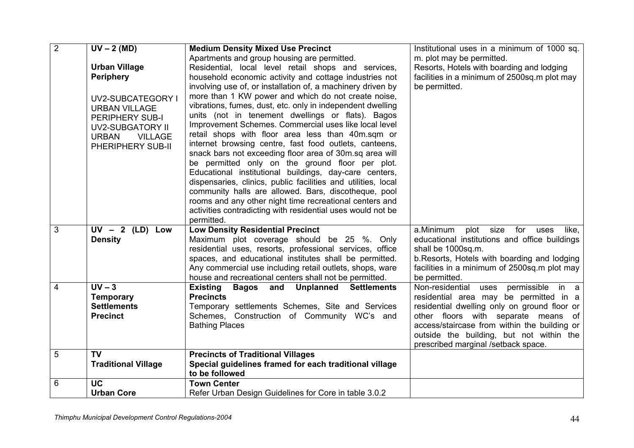| $\overline{2}$ | $UV - 2$ (MD)                  | <b>Medium Density Mixed Use Precinct</b>                                                                               | Institutional uses in a minimum of 1000 sq.   |
|----------------|--------------------------------|------------------------------------------------------------------------------------------------------------------------|-----------------------------------------------|
|                |                                | Apartments and group housing are permitted.                                                                            | m. plot may be permitted.                     |
|                | <b>Urban Village</b>           | Residential, local level retail shops and services,                                                                    | Resorts, Hotels with boarding and lodging     |
|                | <b>Periphery</b>               | household economic activity and cottage industries not                                                                 | facilities in a minimum of 2500sq.m plot may  |
|                |                                | involving use of, or installation of, a machinery driven by                                                            | be permitted.                                 |
|                | <b>UV2-SUBCATEGORY I</b>       | more than 1 KW power and which do not create noise,                                                                    |                                               |
|                | <b>URBAN VILLAGE</b>           | vibrations, fumes, dust, etc. only in independent dwelling                                                             |                                               |
|                | PERIPHERY SUB-I                | units (not in tenement dwellings or flats). Bagos                                                                      |                                               |
|                | <b>UV2-SUBGATORY II</b>        | Improvement Schemes. Commercial uses like local level                                                                  |                                               |
|                | <b>URBAN</b><br><b>VILLAGE</b> | retail shops with floor area less than 40m.sqm or                                                                      |                                               |
|                | PHERIPHERY SUB-II              | internet browsing centre, fast food outlets, canteens,                                                                 |                                               |
|                |                                | snack bars not exceeding floor area of 30m.sq area will                                                                |                                               |
|                |                                | be permitted only on the ground floor per plot.                                                                        |                                               |
|                |                                | Educational institutional buildings, day-care centers,                                                                 |                                               |
|                |                                | dispensaries, clinics, public facilities and utilities, local                                                          |                                               |
|                |                                | community halls are allowed. Bars, discotheque, pool                                                                   |                                               |
|                |                                | rooms and any other night time recreational centers and<br>activities contradicting with residential uses would not be |                                               |
|                |                                | permitted.                                                                                                             |                                               |
| 3              | $UV - 2$ (LD) Low              | <b>Low Density Residential Precinct</b>                                                                                | a.Minimum<br>plot size for<br>like,<br>uses   |
|                | <b>Density</b>                 | Maximum plot coverage should be 25 %. Only                                                                             | educational institutions and office buildings |
|                |                                | residential uses, resorts, professional services, office                                                               | shall be 1000sq.m.                            |
|                |                                | spaces, and educational institutes shall be permitted.                                                                 | b. Resorts, Hotels with boarding and lodging  |
|                |                                | Any commercial use including retail outlets, shops, ware                                                               | facilities in a minimum of 2500sq.m plot may  |
|                |                                | house and recreational centers shall not be permitted.                                                                 | be permitted.                                 |
| 4              | $UV - 3$                       | <b>Bagos and Unplanned Settlements</b><br><b>Existing</b>                                                              | Non-residential uses<br>permissible in a      |
|                | <b>Temporary</b>               | <b>Precincts</b>                                                                                                       | residential area may be permitted in a        |
|                | <b>Settlements</b>             | Temporary settlements Schemes, Site and Services                                                                       | residential dwelling only on ground floor or  |
|                | <b>Precinct</b>                | Schemes, Construction of Community WC's and                                                                            | other floors with separate means of           |
|                |                                | <b>Bathing Places</b>                                                                                                  | access/staircase from within the building or  |
|                |                                |                                                                                                                        | outside the building, but not within the      |
|                |                                |                                                                                                                        | prescribed marginal /setback space.           |
| 5              | <b>TV</b>                      | <b>Precincts of Traditional Villages</b>                                                                               |                                               |
|                | <b>Traditional Village</b>     | Special guidelines framed for each traditional village<br>to be followed                                               |                                               |
| 6              | <b>UC</b>                      | <b>Town Center</b>                                                                                                     |                                               |
|                | <b>Urban Core</b>              | Refer Urban Design Guidelines for Core in table 3.0.2                                                                  |                                               |
|                |                                |                                                                                                                        |                                               |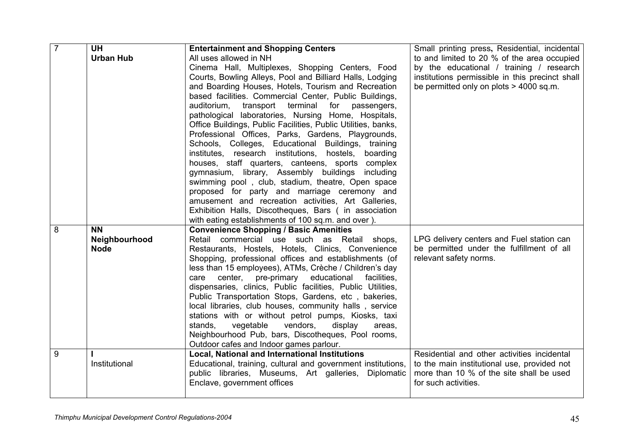| $\overline{7}$ | <b>UH</b>        | <b>Entertainment and Shopping Centers</b>                     | Small printing press, Residential, incidental   |
|----------------|------------------|---------------------------------------------------------------|-------------------------------------------------|
|                | <b>Urban Hub</b> | All uses allowed in NH                                        | to and limited to 20 % of the area occupied     |
|                |                  | Cinema Hall, Multiplexes, Shopping Centers, Food              | by the educational / training / research        |
|                |                  | Courts, Bowling Alleys, Pool and Billiard Halls, Lodging      | institutions permissible in this precinct shall |
|                |                  | and Boarding Houses, Hotels, Tourism and Recreation           | be permitted only on plots $> 4000$ sq.m.       |
|                |                  | based facilities. Commercial Center, Public Buildings,        |                                                 |
|                |                  | auditorium,<br>transport terminal<br>for<br>passengers,       |                                                 |
|                |                  | pathological laboratories, Nursing Home, Hospitals,           |                                                 |
|                |                  | Office Buildings, Public Facilities, Public Utilities, banks, |                                                 |
|                |                  | Professional Offices, Parks, Gardens, Playgrounds,            |                                                 |
|                |                  | Schools, Colleges, Educational Buildings, training            |                                                 |
|                |                  | institutes, research institutions, hostels,<br>boarding       |                                                 |
|                |                  | houses, staff quarters, canteens, sports complex              |                                                 |
|                |                  | gymnasium, library, Assembly buildings<br>including           |                                                 |
|                |                  | swimming pool, club, stadium, theatre, Open space             |                                                 |
|                |                  | proposed for party and marriage ceremony and                  |                                                 |
|                |                  | amusement and recreation activities, Art Galleries,           |                                                 |
|                |                  | Exhibition Halls, Discotheques, Bars (in association          |                                                 |
|                |                  | with eating establishments of 100 sq.m. and over ).           |                                                 |
| 8              | <b>NN</b>        | <b>Convenience Shopping / Basic Amenities</b>                 |                                                 |
|                | Neighbourhood    | Retail commercial use such as Retail shops,                   | LPG delivery centers and Fuel station can       |
|                | <b>Node</b>      | Restaurants, Hostels, Hotels, Clinics, Convenience            | be permitted under the fulfillment of all       |
|                |                  | Shopping, professional offices and establishments (of         | relevant safety norms.                          |
|                |                  | less than 15 employees), ATMs, Crèche / Children's day        |                                                 |
|                |                  | center, pre-primary<br>educational<br>facilities.<br>care     |                                                 |
|                |                  | dispensaries, clinics, Public facilities, Public Utilities,   |                                                 |
|                |                  | Public Transportation Stops, Gardens, etc, bakeries,          |                                                 |
|                |                  | local libraries, club houses, community halls, service        |                                                 |
|                |                  | stations with or without petrol pumps, Kiosks, taxi           |                                                 |
|                |                  | vegetable<br>vendors,<br>display<br>stands.<br>areas,         |                                                 |
|                |                  | Neighbourhood Pub, bars, Discotheques, Pool rooms,            |                                                 |
|                |                  | Outdoor cafes and Indoor games parlour.                       |                                                 |
| 9              |                  | <b>Local, National and International Institutions</b>         | Residential and other activities incidental     |
|                | Institutional    | Educational, training, cultural and government institutions,  | to the main institutional use, provided not     |
|                |                  | public libraries, Museums, Art galleries, Diplomatic          | more than 10 % of the site shall be used        |
|                |                  | Enclave, government offices                                   | for such activities.                            |
|                |                  |                                                               |                                                 |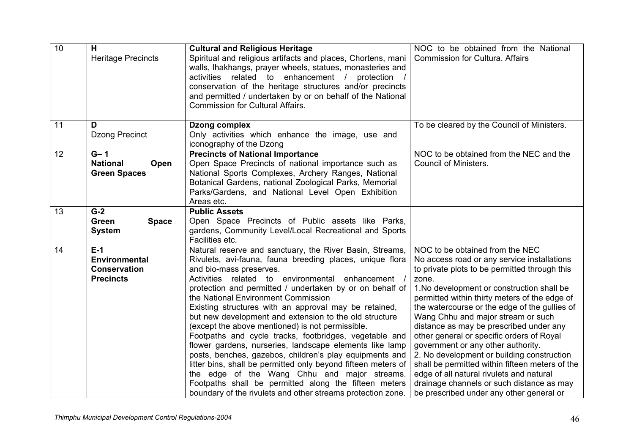| $\overline{10}$ | H<br><b>Heritage Precincts</b>                                           | <b>Cultural and Religious Heritage</b><br>Spiritual and religious artifacts and places, Chortens, mani<br>walls, Ihakhangs, prayer wheels, statues, monasteries and<br>activities related to enhancement / protection<br>conservation of the heritage structures and/or precincts<br>and permitted / undertaken by or on behalf of the National<br><b>Commission for Cultural Affairs.</b>                                                                                                                                                                                                                                                                                                                                                                                                                                                                                                            | NOC to be obtained from the National<br><b>Commission for Cultura. Affairs</b>                                                                                                                                                                                                                                                                                                                                                                                                                                                                                                                                                                                                                     |
|-----------------|--------------------------------------------------------------------------|-------------------------------------------------------------------------------------------------------------------------------------------------------------------------------------------------------------------------------------------------------------------------------------------------------------------------------------------------------------------------------------------------------------------------------------------------------------------------------------------------------------------------------------------------------------------------------------------------------------------------------------------------------------------------------------------------------------------------------------------------------------------------------------------------------------------------------------------------------------------------------------------------------|----------------------------------------------------------------------------------------------------------------------------------------------------------------------------------------------------------------------------------------------------------------------------------------------------------------------------------------------------------------------------------------------------------------------------------------------------------------------------------------------------------------------------------------------------------------------------------------------------------------------------------------------------------------------------------------------------|
| 11              | D<br><b>Dzong Precinct</b>                                               | Dzong complex<br>Only activities which enhance the image, use and<br>iconography of the Dzong                                                                                                                                                                                                                                                                                                                                                                                                                                                                                                                                                                                                                                                                                                                                                                                                         | To be cleared by the Council of Ministers.                                                                                                                                                                                                                                                                                                                                                                                                                                                                                                                                                                                                                                                         |
| 12              | $G - 1$<br><b>National</b><br>Open<br><b>Green Spaces</b>                | <b>Precincts of National Importance</b><br>Open Space Precincts of national importance such as<br>National Sports Complexes, Archery Ranges, National<br>Botanical Gardens, national Zoological Parks, Memorial<br>Parks/Gardens, and National Level Open Exhibition<br>Areas etc.                                                                                                                                                                                                                                                                                                                                                                                                                                                                                                                                                                                                                    | NOC to be obtained from the NEC and the<br>Council of Ministers.                                                                                                                                                                                                                                                                                                                                                                                                                                                                                                                                                                                                                                   |
| 13              | $G-2$<br><b>Green</b><br><b>Space</b><br><b>System</b>                   | <b>Public Assets</b><br>Open Space Precincts of Public assets like Parks,<br>gardens, Community Level/Local Recreational and Sports<br>Facilities etc.                                                                                                                                                                                                                                                                                                                                                                                                                                                                                                                                                                                                                                                                                                                                                |                                                                                                                                                                                                                                                                                                                                                                                                                                                                                                                                                                                                                                                                                                    |
| 14              | $E-1$<br><b>Environmental</b><br><b>Conservation</b><br><b>Precincts</b> | Natural reserve and sanctuary, the River Basin, Streams,<br>Rivulets, avi-fauna, fauna breeding places, unique flora<br>and bio-mass preserves.<br>Activities related to environmental enhancement<br>protection and permitted / undertaken by or on behalf of<br>the National Environment Commission<br>Existing structures with an approval may be retained,<br>but new development and extension to the old structure<br>(except the above mentioned) is not permissible.<br>Footpaths and cycle tracks, footbridges, vegetable and<br>flower gardens, nurseries, landscape elements like lamp<br>posts, benches, gazebos, children's play equipments and<br>litter bins, shall be permitted only beyond fifteen meters of<br>the edge of the Wang Chhu and major streams.<br>Footpaths shall be permitted along the fifteen meters<br>boundary of the rivulets and other streams protection zone. | NOC to be obtained from the NEC<br>No access road or any service installations<br>to private plots to be permitted through this<br>zone.<br>1. No development or construction shall be<br>permitted within thirty meters of the edge of<br>the watercourse or the edge of the gullies of<br>Wang Chhu and major stream or such<br>distance as may be prescribed under any<br>other general or specific orders of Royal<br>government or any other authority.<br>2. No development or building construction<br>shall be permitted within fifteen meters of the<br>edge of all natural rivulets and natural<br>drainage channels or such distance as may<br>be prescribed under any other general or |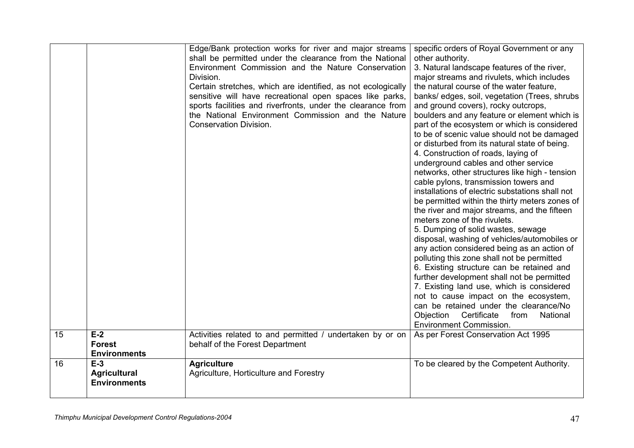|    |                                                     | Edge/Bank protection works for river and major streams<br>shall be permitted under the clearance from the National<br>Environment Commission and the Nature Conservation<br>Division.<br>Certain stretches, which are identified, as not ecologically<br>sensitive will have recreational open spaces like parks,<br>sports facilities and riverfronts, under the clearance from<br>the National Environment Commission and the Nature<br><b>Conservation Division.</b> | specific orders of Royal Government or any<br>other authority.<br>3. Natural landscape features of the river,<br>major streams and rivulets, which includes<br>the natural course of the water feature.<br>banks/ edges, soil, vegetation (Trees, shrubs<br>and ground covers), rocky outcrops,<br>boulders and any feature or element which is<br>part of the ecosystem or which is considered<br>to be of scenic value should not be damaged<br>or disturbed from its natural state of being.<br>4. Construction of roads, laying of<br>underground cables and other service<br>networks, other structures like high - tension<br>cable pylons, transmission towers and<br>installations of electric substations shall not<br>be permitted within the thirty meters zones of<br>the river and major streams, and the fifteen<br>meters zone of the rivulets.<br>5. Dumping of solid wastes, sewage<br>disposal, washing of vehicles/automobiles or<br>any action considered being as an action of<br>polluting this zone shall not be permitted<br>6. Existing structure can be retained and<br>further development shall not be permitted<br>7. Existing land use, which is considered<br>not to cause impact on the ecosystem,<br>can be retained under the clearance/No<br>Certificate<br>Objection<br>from<br>National<br><b>Environment Commission.</b> |
|----|-----------------------------------------------------|-------------------------------------------------------------------------------------------------------------------------------------------------------------------------------------------------------------------------------------------------------------------------------------------------------------------------------------------------------------------------------------------------------------------------------------------------------------------------|----------------------------------------------------------------------------------------------------------------------------------------------------------------------------------------------------------------------------------------------------------------------------------------------------------------------------------------------------------------------------------------------------------------------------------------------------------------------------------------------------------------------------------------------------------------------------------------------------------------------------------------------------------------------------------------------------------------------------------------------------------------------------------------------------------------------------------------------------------------------------------------------------------------------------------------------------------------------------------------------------------------------------------------------------------------------------------------------------------------------------------------------------------------------------------------------------------------------------------------------------------------------------------------------------------------------------------------------------------------|
| 15 | $E-2$<br><b>Forest</b><br><b>Environments</b>       | Activities related to and permitted / undertaken by or on<br>behalf of the Forest Department                                                                                                                                                                                                                                                                                                                                                                            | As per Forest Conservation Act 1995                                                                                                                                                                                                                                                                                                                                                                                                                                                                                                                                                                                                                                                                                                                                                                                                                                                                                                                                                                                                                                                                                                                                                                                                                                                                                                                            |
| 16 | $E-3$<br><b>Agricultural</b><br><b>Environments</b> | <b>Agriculture</b><br>Agriculture, Horticulture and Forestry                                                                                                                                                                                                                                                                                                                                                                                                            | To be cleared by the Competent Authority.                                                                                                                                                                                                                                                                                                                                                                                                                                                                                                                                                                                                                                                                                                                                                                                                                                                                                                                                                                                                                                                                                                                                                                                                                                                                                                                      |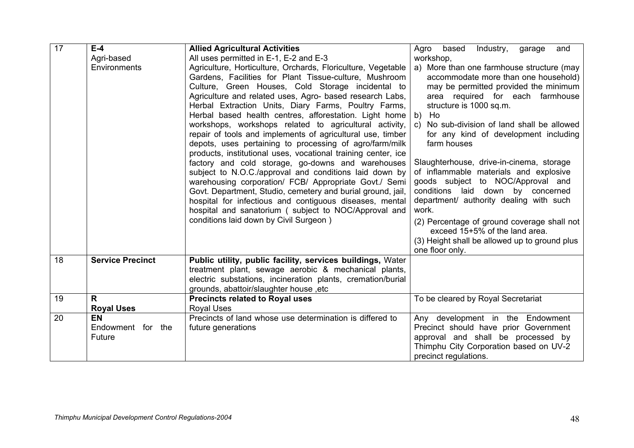| 17 | $E-4$                                    | <b>Allied Agricultural Activities</b>                                                                                                                                                                                                                                                                                                                                                                                                                                                                                                                                                                                                                                                                                                                                                                                                                                                                                                                                                                              | based<br>Industry,<br>Agro<br>garage<br>and                                                                                                                                                                                                                                                                                                                                                                                                                                                                                                                                                                                                                                     |  |
|----|------------------------------------------|--------------------------------------------------------------------------------------------------------------------------------------------------------------------------------------------------------------------------------------------------------------------------------------------------------------------------------------------------------------------------------------------------------------------------------------------------------------------------------------------------------------------------------------------------------------------------------------------------------------------------------------------------------------------------------------------------------------------------------------------------------------------------------------------------------------------------------------------------------------------------------------------------------------------------------------------------------------------------------------------------------------------|---------------------------------------------------------------------------------------------------------------------------------------------------------------------------------------------------------------------------------------------------------------------------------------------------------------------------------------------------------------------------------------------------------------------------------------------------------------------------------------------------------------------------------------------------------------------------------------------------------------------------------------------------------------------------------|--|
|    | Agri-based                               | All uses permitted in E-1, E-2 and E-3                                                                                                                                                                                                                                                                                                                                                                                                                                                                                                                                                                                                                                                                                                                                                                                                                                                                                                                                                                             | workshop,                                                                                                                                                                                                                                                                                                                                                                                                                                                                                                                                                                                                                                                                       |  |
|    | Environments                             | Agriculture, Horticulture, Orchards, Floriculture, Vegetable<br>Gardens, Facilities for Plant Tissue-culture, Mushroom<br>Culture, Green Houses, Cold Storage incidental to<br>Agriculture and related uses, Agro- based research Labs,<br>Herbal Extraction Units, Diary Farms, Poultry Farms,<br>Herbal based health centres, afforestation. Light home<br>workshops, workshops related to agricultural activity,<br>repair of tools and implements of agricultural use, timber<br>depots, uses pertaining to processing of agro/farm/milk<br>products, institutional uses, vocational training center, ice<br>factory and cold storage, go-downs and warehouses<br>subject to N.O.C./approval and conditions laid down by<br>warehousing corporation/ FCB/ Appropriate Govt./ Semi<br>Govt. Department, Studio, cemetery and burial ground, jail,<br>hospital for infectious and contiguous diseases, mental<br>hospital and sanatorium ( subject to NOC/Approval and<br>conditions laid down by Civil Surgeon) | a) More than one farmhouse structure (may<br>accommodate more than one household)<br>may be permitted provided the minimum<br>area required for each farmhouse<br>structure is 1000 sq.m.<br>Ho<br>b)<br>No sub-division of land shall be allowed<br>$\mathbf{C}$<br>for any kind of development including<br>farm houses<br>Slaughterhouse, drive-in-cinema, storage<br>of inflammable materials and explosive<br>goods subject to NOC/Approval and<br>conditions laid down by concerned<br>department/ authority dealing with such<br>work.<br>(2) Percentage of ground coverage shall not<br>exceed 15+5% of the land area.<br>(3) Height shall be allowed up to ground plus |  |
| 18 | <b>Service Precinct</b>                  | Public utility, public facility, services buildings, Water<br>treatment plant, sewage aerobic & mechanical plants,<br>electric substations, incineration plants, cremation/burial<br>grounds, abattoir/slaughter house, etc                                                                                                                                                                                                                                                                                                                                                                                                                                                                                                                                                                                                                                                                                                                                                                                        |                                                                                                                                                                                                                                                                                                                                                                                                                                                                                                                                                                                                                                                                                 |  |
| 19 | $\mathsf{R}$<br><b>Royal Uses</b>        | <b>Precincts related to Royal uses</b><br><b>Royal Uses</b>                                                                                                                                                                                                                                                                                                                                                                                                                                                                                                                                                                                                                                                                                                                                                                                                                                                                                                                                                        | To be cleared by Royal Secretariat                                                                                                                                                                                                                                                                                                                                                                                                                                                                                                                                                                                                                                              |  |
| 20 | <b>EN</b><br>Endowment for the<br>Future | Precincts of land whose use determination is differed to<br>future generations                                                                                                                                                                                                                                                                                                                                                                                                                                                                                                                                                                                                                                                                                                                                                                                                                                                                                                                                     | Any development in the Endowment<br>Precinct should have prior Government<br>approval and shall be processed by<br>Thimphu City Corporation based on UV-2<br>precinct regulations.                                                                                                                                                                                                                                                                                                                                                                                                                                                                                              |  |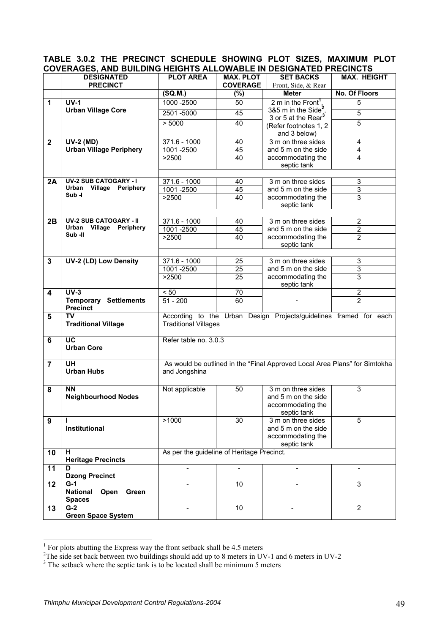|                | COVERAGES, AND BUILDING NEIGN 13 ALLOWADLE IN DESIGNATED FRECINCTS |                                                                                                  |                                     |                                                                            |                      |
|----------------|--------------------------------------------------------------------|--------------------------------------------------------------------------------------------------|-------------------------------------|----------------------------------------------------------------------------|----------------------|
|                | <b>DESIGNATED</b><br><b>PRECINCT</b>                               | <b>PLOT AREA</b>                                                                                 | <b>MAX. PLOT</b><br><b>COVERAGE</b> | <b>SET BACKS</b><br>Front, Side, & Rear                                    | <b>MAX. HEIGHT</b>   |
|                |                                                                    | (SQ.M.)                                                                                          | $(\%)$                              | <b>Meter</b>                                                               | <b>No. Of Floors</b> |
| $\mathbf{1}$   | $UV-1$                                                             | 1000 - 2500                                                                                      | 50                                  | 2 m in the Front <sup>1</sup> ,                                            | 5                    |
|                | <b>Urban Village Core</b>                                          | 2501-5000                                                                                        | 45                                  | 3&5 m in the Side <sup>2</sup>                                             | 5                    |
|                |                                                                    |                                                                                                  | 40                                  | 3 or 5 at the Rear <sup>3</sup>                                            | $\overline{5}$       |
|                |                                                                    | > 5000                                                                                           |                                     | (Refer footnotes 1, 2                                                      |                      |
|                |                                                                    |                                                                                                  |                                     | and 3 below)                                                               |                      |
| $\mathbf 2$    | <b>UV-2 (MD)</b><br><b>Urban Village Periphery</b>                 | $371.6 - 1000$<br>1001-2500                                                                      | 40<br>45                            | 3 m on three sides<br>and 5 m on the side                                  | 4<br>$\overline{4}$  |
|                |                                                                    | >2500                                                                                            | 40                                  | accommodating the                                                          | 4                    |
|                |                                                                    |                                                                                                  |                                     | septic tank                                                                |                      |
|                |                                                                    |                                                                                                  |                                     |                                                                            |                      |
| 2A             | <b>UV-2 SUB CATOGARY - I</b>                                       | $371.6 - 1000$                                                                                   | 40                                  | 3 m on three sides                                                         | 3                    |
|                | Urban<br>Village<br>Periphery<br>Sub-I                             | 1001 - 2500                                                                                      | 45                                  | and 5 m on the side                                                        | $\overline{3}$       |
|                |                                                                    | >2500                                                                                            | 40                                  | accommodating the<br>septic tank                                           | 3                    |
|                |                                                                    |                                                                                                  |                                     |                                                                            |                      |
| 2B             | <b>UV-2 SUB CATOGARY - II</b>                                      | $371.6 - 1000$                                                                                   | 40                                  | 3 m on three sides                                                         | $\overline{2}$       |
|                | Urban<br>Village<br>Periphery                                      | 1001-2500                                                                                        | 45                                  | and 5 m on the side                                                        | $\overline{2}$       |
|                | Sub-II                                                             | >2500                                                                                            | 40                                  | accommodating the                                                          | $\overline{2}$       |
|                |                                                                    |                                                                                                  |                                     | septic tank                                                                |                      |
|                |                                                                    |                                                                                                  |                                     |                                                                            | 3                    |
| $\mathbf{3}$   | UV-2 (LD) Low Density                                              | $371.6 - 1000$<br>1001 - 2500                                                                    | $\overline{25}$<br>25               | 3 m on three sides<br>and 5 m on the side                                  | 3                    |
|                |                                                                    | >2500                                                                                            | $\overline{25}$                     | accommodating the                                                          | $\overline{3}$       |
|                |                                                                    |                                                                                                  |                                     | septic tank                                                                |                      |
| 4              | $UV-3$                                                             | < 50                                                                                             | $\overline{70}$                     |                                                                            | $\overline{2}$       |
|                | <b>Temporary Settlements</b><br><b>Precinct</b>                    | $51 - 200$                                                                                       | 60                                  |                                                                            | 2                    |
| 5              | <b>TV</b><br><b>Traditional Village</b>                            | According to the Urban Design Projects/guidelines framed for each<br><b>Traditional Villages</b> |                                     |                                                                            |                      |
| $6\phantom{1}$ | $\overline{UC}$                                                    | Refer table no. 3.0.3                                                                            |                                     |                                                                            |                      |
|                | <b>Urban Core</b>                                                  |                                                                                                  |                                     |                                                                            |                      |
| $\overline{7}$ | <b>UH</b>                                                          |                                                                                                  |                                     | As would be outlined in the "Final Approved Local Area Plans" for Simtokha |                      |
|                | <b>Urban Hubs</b>                                                  | and Jongshina                                                                                    |                                     |                                                                            |                      |
| 8              | <b>NN</b>                                                          | Not applicable                                                                                   | 50                                  | 3 m on three sides                                                         | 3                    |
|                | <b>Neighbourhood Nodes</b>                                         |                                                                                                  |                                     | and 5 m on the side                                                        |                      |
|                |                                                                    |                                                                                                  |                                     | accommodating the                                                          |                      |
| 9              |                                                                    | >1000                                                                                            | 30                                  | septic tank<br>3 m on three sides                                          | $\overline{5}$       |
|                | Institutional                                                      |                                                                                                  |                                     | and 5 m on the side                                                        |                      |
|                |                                                                    |                                                                                                  |                                     | accommodating the                                                          |                      |
|                |                                                                    |                                                                                                  |                                     | septic tank                                                                |                      |
| 10             | н<br><b>Heritage Precincts</b>                                     | As per the guideline of Heritage Precinct.                                                       |                                     |                                                                            |                      |
| 11             | D<br><b>Dzong Precinct</b>                                         | $\overline{a}$                                                                                   |                                     |                                                                            |                      |
| 12             | $G-1$                                                              |                                                                                                  | 10                                  |                                                                            | 3                    |
|                | <b>National</b><br>Open<br>Green<br><b>Spaces</b>                  |                                                                                                  |                                     |                                                                            |                      |
| 13             | $G-2$                                                              |                                                                                                  | 10                                  |                                                                            | $\overline{2}$       |
|                | <b>Green Space System</b>                                          |                                                                                                  |                                     |                                                                            |                      |

## **TABLE 3.0.2 THE PRECINCT SCHEDULE SHOWING PLOT SIZES, MAXIMUM PLOT COVERAGES, AND BUILDING HEIGHTS ALLOWABLE IN DESIGNATED PRECINCTS**

<sup>&</sup>lt;sup>1</sup> For plots abutting the Express way the front setback shall be 4.5 meters<br><sup>2</sup>The side set back between two buildings should add up to 8 meters in UV-1 and 6 meters in UV-2<br><sup>3</sup>The setback where the septic tank is to be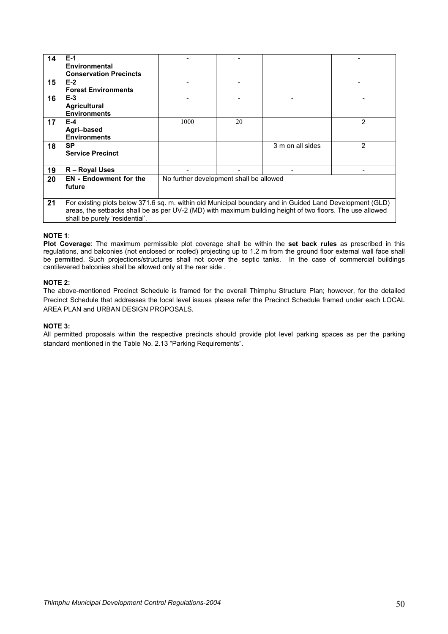| 14 | $E-1$                                                                                                     |                                         |    |                  |   |
|----|-----------------------------------------------------------------------------------------------------------|-----------------------------------------|----|------------------|---|
|    | Environmental                                                                                             |                                         |    |                  |   |
|    | <b>Conservation Precincts</b>                                                                             |                                         |    |                  |   |
| 15 | $E-2$                                                                                                     |                                         |    |                  |   |
|    | <b>Forest Environments</b>                                                                                |                                         |    |                  |   |
| 16 | $E-3$                                                                                                     |                                         |    |                  |   |
|    | <b>Agricultural</b>                                                                                       |                                         |    |                  |   |
|    | <b>Environments</b>                                                                                       |                                         |    |                  |   |
| 17 | $E-4$                                                                                                     | 1000                                    | 20 |                  | 2 |
|    | Agri-based                                                                                                |                                         |    |                  |   |
|    | <b>Environments</b>                                                                                       |                                         |    |                  |   |
| 18 | <b>SP</b>                                                                                                 |                                         |    | 3 m on all sides | 2 |
|    | <b>Service Precinct</b>                                                                                   |                                         |    |                  |   |
|    |                                                                                                           |                                         |    |                  |   |
| 19 | R - Royal Uses                                                                                            |                                         |    |                  |   |
| 20 | <b>EN</b> - Endowment for the                                                                             | No further development shall be allowed |    |                  |   |
|    | future                                                                                                    |                                         |    |                  |   |
|    |                                                                                                           |                                         |    |                  |   |
| 21 | For existing plots below 371.6 sq. m. within old Municipal boundary and in Guided Land Development (GLD)  |                                         |    |                  |   |
|    | areas, the setbacks shall be as per UV-2 (MD) with maximum building height of two floors. The use allowed |                                         |    |                  |   |
|    | shall be purely 'residential'.                                                                            |                                         |    |                  |   |

#### **NOTE 1**:

**Plot Coverage**: The maximum permissible plot coverage shall be within the **set back rules** as prescribed in this regulations, and balconies (not enclosed or roofed) projecting up to 1.2 m from the ground floor external wall face shall be permitted. Such projections/structures shall not cover the septic tanks. In the case of commercial buildings cantilevered balconies shall be allowed only at the rear side .

#### **NOTE 2:**

The above-mentioned Precinct Schedule is framed for the overall Thimphu Structure Plan; however, for the detailed Precinct Schedule that addresses the local level issues please refer the Precinct Schedule framed under each LOCAL AREA PLAN and URBAN DESIGN PROPOSALS.

#### **NOTE 3:**

All permitted proposals within the respective precincts should provide plot level parking spaces as per the parking standard mentioned in the Table No. 2.13 "Parking Requirements".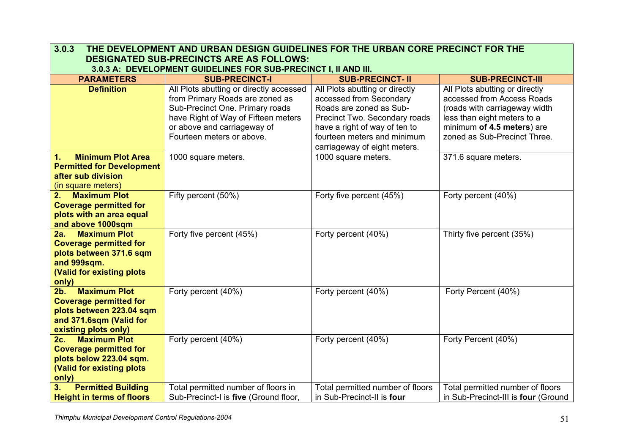| 3.0.3<br>THE DEVELOPMENT AND URBAN DESIGN GUIDELINES FOR THE URBAN CORE PRECINCT FOR THE |                                                                                                                                                                     |                                  |                                     |  |  |  |
|------------------------------------------------------------------------------------------|---------------------------------------------------------------------------------------------------------------------------------------------------------------------|----------------------------------|-------------------------------------|--|--|--|
| <b>DESIGNATED SUB-PRECINCTS ARE AS FOLLOWS:</b>                                          |                                                                                                                                                                     |                                  |                                     |  |  |  |
|                                                                                          | 3.0.3 A: DEVELOPMENT GUIDELINES FOR SUB-PRECINCT I, II AND III.<br><b>PARAMETERS</b><br><b>SUB-PRECINCT- II</b><br><b>SUB-PRECINCT-I</b><br><b>SUB-PRECINCT-III</b> |                                  |                                     |  |  |  |
| <b>Definition</b>                                                                        | All Plots abutting or directly accessed                                                                                                                             | All Plots abutting or directly   | All Plots abutting or directly      |  |  |  |
|                                                                                          | from Primary Roads are zoned as                                                                                                                                     | accessed from Secondary          | accessed from Access Roads          |  |  |  |
|                                                                                          | Sub-Precinct One. Primary roads                                                                                                                                     | Roads are zoned as Sub-          | (roads with carriageway width       |  |  |  |
|                                                                                          | have Right of Way of Fifteen meters                                                                                                                                 | Precinct Two. Secondary roads    | less than eight meters to a         |  |  |  |
|                                                                                          | or above and carriageway of                                                                                                                                         | have a right of way of ten to    | minimum of 4.5 meters) are          |  |  |  |
|                                                                                          | Fourteen meters or above.                                                                                                                                           | fourteen meters and minimum      | zoned as Sub-Precinct Three.        |  |  |  |
|                                                                                          |                                                                                                                                                                     | carriageway of eight meters.     |                                     |  |  |  |
| <b>Minimum Plot Area</b><br>1.                                                           | 1000 square meters.                                                                                                                                                 | 1000 square meters.              | 371.6 square meters.                |  |  |  |
| <b>Permitted for Development</b>                                                         |                                                                                                                                                                     |                                  |                                     |  |  |  |
| after sub division                                                                       |                                                                                                                                                                     |                                  |                                     |  |  |  |
| (in square meters)                                                                       |                                                                                                                                                                     |                                  |                                     |  |  |  |
| <b>Maximum Plot</b><br>2.                                                                | Fifty percent (50%)                                                                                                                                                 | Forty five percent (45%)         | Forty percent (40%)                 |  |  |  |
| <b>Coverage permitted for</b>                                                            |                                                                                                                                                                     |                                  |                                     |  |  |  |
| plots with an area equal                                                                 |                                                                                                                                                                     |                                  |                                     |  |  |  |
| and above 1000sqm<br><b>Maximum Plot</b><br>2a.                                          | Forty five percent (45%)                                                                                                                                            | Forty percent (40%)              | Thirty five percent (35%)           |  |  |  |
| <b>Coverage permitted for</b>                                                            |                                                                                                                                                                     |                                  |                                     |  |  |  |
| plots between 371.6 sqm                                                                  |                                                                                                                                                                     |                                  |                                     |  |  |  |
| and 999sqm.                                                                              |                                                                                                                                                                     |                                  |                                     |  |  |  |
| (Valid for existing plots                                                                |                                                                                                                                                                     |                                  |                                     |  |  |  |
| only)                                                                                    |                                                                                                                                                                     |                                  |                                     |  |  |  |
| <b>Maximum Plot</b><br>$2b$ .                                                            | Forty percent (40%)                                                                                                                                                 | Forty percent (40%)              | Forty Percent (40%)                 |  |  |  |
| <b>Coverage permitted for</b>                                                            |                                                                                                                                                                     |                                  |                                     |  |  |  |
| plots between 223.04 sqm                                                                 |                                                                                                                                                                     |                                  |                                     |  |  |  |
| and 371.6sqm (Valid for                                                                  |                                                                                                                                                                     |                                  |                                     |  |  |  |
| existing plots only)                                                                     |                                                                                                                                                                     |                                  |                                     |  |  |  |
| <b>Maximum Plot</b><br>2c.                                                               | Forty percent (40%)                                                                                                                                                 | Forty percent (40%)              | Forty Percent (40%)                 |  |  |  |
| <b>Coverage permitted for</b>                                                            |                                                                                                                                                                     |                                  |                                     |  |  |  |
| plots below 223.04 sqm.                                                                  |                                                                                                                                                                     |                                  |                                     |  |  |  |
| (Valid for existing plots                                                                |                                                                                                                                                                     |                                  |                                     |  |  |  |
| only)                                                                                    |                                                                                                                                                                     |                                  |                                     |  |  |  |
| <b>Permitted Building</b><br>3.                                                          | Total permitted number of floors in                                                                                                                                 | Total permitted number of floors | Total permitted number of floors    |  |  |  |
| <b>Height in terms of floors</b>                                                         | Sub-Precinct-I is five (Ground floor,                                                                                                                               | in Sub-Precinct-II is four       | in Sub-Precinct-III is four (Ground |  |  |  |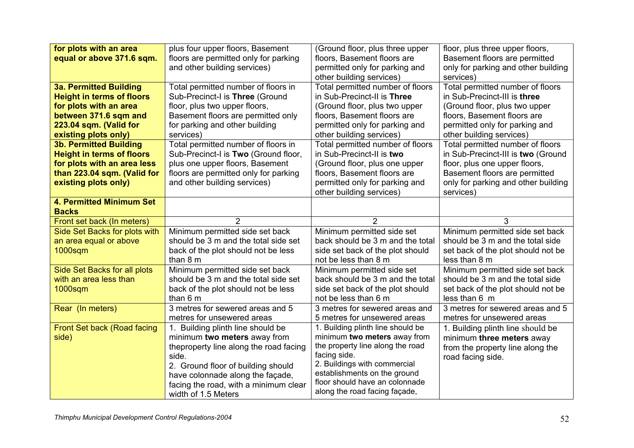| for plots with an area           | plus four upper floors, Basement       | (Ground floor, plus three upper                                | floor, plus three upper floors,     |
|----------------------------------|----------------------------------------|----------------------------------------------------------------|-------------------------------------|
| equal or above 371.6 sqm.        | floors are permitted only for parking  | floors, Basement floors are                                    | Basement floors are permitted       |
|                                  | and other building services)           | permitted only for parking and                                 | only for parking and other building |
|                                  |                                        | other building services)                                       | services)                           |
| <b>3a. Permitted Building</b>    | Total permitted number of floors in    | Total permitted number of floors                               | Total permitted number of floors    |
| <b>Height in terms of floors</b> | Sub-Precinct-I is Three (Ground        | in Sub-Precinct-II is Three                                    | in Sub-Precinct-III is three        |
| for plots with an area           | floor, plus two upper floors,          | (Ground floor, plus two upper                                  | (Ground floor, plus two upper       |
| between 371.6 sqm and            | Basement floors are permitted only     | floors, Basement floors are                                    | floors, Basement floors are         |
| 223.04 sqm. (Valid for           | for parking and other building         | permitted only for parking and                                 | permitted only for parking and      |
| existing plots only)             | services)                              | other building services)                                       | other building services)            |
| <b>3b. Permitted Building</b>    | Total permitted number of floors in    | Total permitted number of floors                               | Total permitted number of floors    |
| <b>Height in terms of floors</b> | Sub-Precinct-I is Two (Ground floor,   | in Sub-Precinct-II is two                                      | in Sub-Precinct-III is two (Ground  |
| for plots with an area less      | plus one upper floors, Basement        | (Ground floor, plus one upper                                  | floor, plus one upper floors,       |
| than 223.04 sqm. (Valid for      | floors are permitted only for parking  | floors, Basement floors are                                    | Basement floors are permitted       |
| existing plots only)             | and other building services)           | permitted only for parking and                                 | only for parking and other building |
|                                  |                                        | other building services)                                       | services)                           |
| 4. Permitted Minimum Set         |                                        |                                                                |                                     |
| <b>Backs</b>                     |                                        |                                                                |                                     |
| Front set back (In meters)       | $\overline{2}$                         | 2                                                              | 3                                   |
| Side Set Backs for plots with    | Minimum permitted side set back        | Minimum permitted side set                                     | Minimum permitted side set back     |
| an area equal or above           | should be 3 m and the total side set   | back should be 3 m and the total                               | should be 3 m and the total side    |
| 1000sqm                          | back of the plot should not be less    | side set back of the plot should                               | set back of the plot should not be  |
|                                  | than 8 m                               | not be less than 8 m                                           | less than 8 m                       |
| Side Set Backs for all plots     | Minimum permitted side set back        | Minimum permitted side set                                     | Minimum permitted side set back     |
| with an area less than           | should be 3 m and the total side set   | back should be 3 m and the total                               | should be 3 m and the total side    |
| 1000sqm                          | back of the plot should not be less    | side set back of the plot should                               | set back of the plot should not be  |
|                                  | than 6 m                               | not be less than 6 m                                           | less than 6 m                       |
| Rear (In meters)                 | 3 metres for sewered areas and 5       | 3 metres for sewered areas and                                 | 3 metres for sewered areas and 5    |
|                                  | metres for unsewered areas             | 5 metres for unsewered areas                                   | metres for unsewered areas          |
| Front Set back (Road facing      | 1. Building plinth line should be      | 1. Building plinth line should be                              | 1. Building plinth line should be   |
| side)                            | minimum two meters away from           | minimum two meters away from                                   | minimum three meters away           |
|                                  | theproperty line along the road facing | the property line along the road                               | from the property line along the    |
|                                  | side.                                  | facing side.                                                   | road facing side.                   |
|                                  | 2. Ground floor of building should     | 2. Buildings with commercial                                   |                                     |
|                                  | have colonnade along the façade,       | establishments on the ground<br>floor should have an colonnade |                                     |
|                                  | facing the road, with a minimum clear  | along the road facing façade,                                  |                                     |
|                                  | width of 1.5 Meters                    |                                                                |                                     |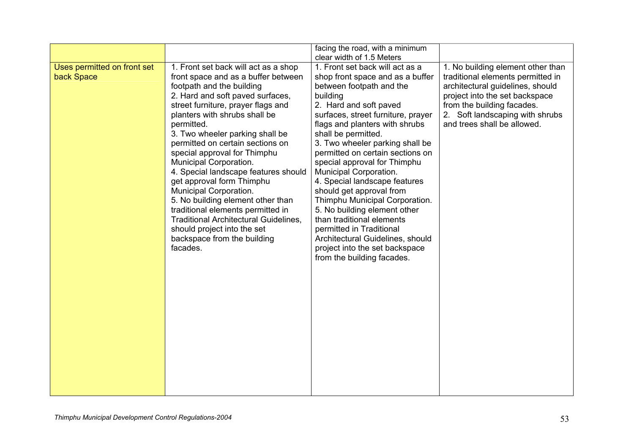|                                           |                                                                                                                                                                                                                                                                                                                                                                                                                                                                                                                                                                                                                                                                       | facing the road, with a minimum<br>clear width of 1.5 Meters                                                                                                                                                                                                                                                                                                                                                                                                                                                                                                                                                                                                      |                                                                                                                                                                                                                                              |
|-------------------------------------------|-----------------------------------------------------------------------------------------------------------------------------------------------------------------------------------------------------------------------------------------------------------------------------------------------------------------------------------------------------------------------------------------------------------------------------------------------------------------------------------------------------------------------------------------------------------------------------------------------------------------------------------------------------------------------|-------------------------------------------------------------------------------------------------------------------------------------------------------------------------------------------------------------------------------------------------------------------------------------------------------------------------------------------------------------------------------------------------------------------------------------------------------------------------------------------------------------------------------------------------------------------------------------------------------------------------------------------------------------------|----------------------------------------------------------------------------------------------------------------------------------------------------------------------------------------------------------------------------------------------|
| Uses permitted on front set<br>back Space | 1. Front set back will act as a shop<br>front space and as a buffer between<br>footpath and the building<br>2. Hard and soft paved surfaces,<br>street furniture, prayer flags and<br>planters with shrubs shall be<br>permitted.<br>3. Two wheeler parking shall be<br>permitted on certain sections on<br>special approval for Thimphu<br>Municipal Corporation.<br>4. Special landscape features should<br>get approval form Thimphu<br>Municipal Corporation.<br>5. No building element other than<br>traditional elements permitted in<br><b>Traditional Architectural Guidelines,</b><br>should project into the set<br>backspace from the building<br>facades. | 1. Front set back will act as a<br>shop front space and as a buffer<br>between footpath and the<br>building<br>2. Hard and soft paved<br>surfaces, street furniture, prayer<br>flags and planters with shrubs<br>shall be permitted.<br>3. Two wheeler parking shall be<br>permitted on certain sections on<br>special approval for Thimphu<br>Municipal Corporation.<br>4. Special landscape features<br>should get approval from<br>Thimphu Municipal Corporation.<br>5. No building element other<br>than traditional elements<br>permitted in Traditional<br>Architectural Guidelines, should<br>project into the set backspace<br>from the building facades. | 1. No building element other than<br>traditional elements permitted in<br>architectural guidelines, should<br>project into the set backspace<br>from the building facades.<br>2. Soft landscaping with shrubs<br>and trees shall be allowed. |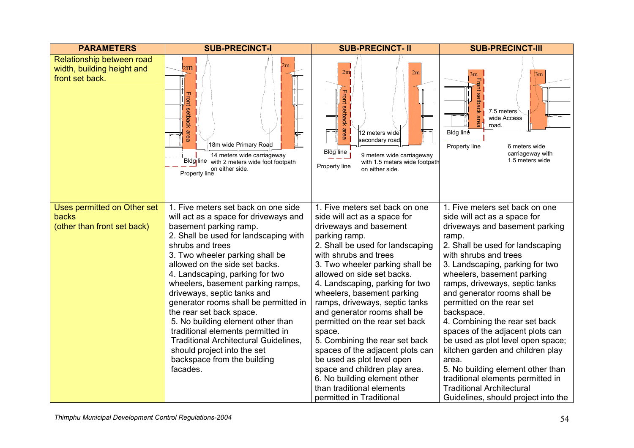| <b>PARAMETERS</b>                                                          | <b>SUB-PRECINCT-I</b>                                                                                                                                                              | <b>SUB-PRECINCT- II</b>                                                                                                                                                                        | <b>SUB-PRECINCT-III</b>                                                                                                                             |
|----------------------------------------------------------------------------|------------------------------------------------------------------------------------------------------------------------------------------------------------------------------------|------------------------------------------------------------------------------------------------------------------------------------------------------------------------------------------------|-----------------------------------------------------------------------------------------------------------------------------------------------------|
| Relationship between road<br>width, building height and<br>front set back. | 2m<br>2m<br>setba<br>흇<br>$\omega$<br>пеа<br>18m wide Primary Road<br>14 meters wide carriageway<br>Bldg line with 2 meters wide foot footpath<br>on either side.<br>Property line | 2m<br>2m<br><b>Front</b><br>setback<br>area<br>12 meters wide<br>secondary road<br>Bldg line<br>9 meters wide carriageway<br>with 1.5 meters wide footpath<br>Property line<br>on either side. | 3m<br>$\rm 3m$<br>7.5 meters<br>area<br>wide Access<br>road.<br>-Bldg line<br>Property line<br>6 meters wide<br>carriageway with<br>1.5 meters wide |
| Uses permitted on Other set<br><b>backs</b><br>(other than front set back) | 1. Five meters set back on one side<br>will act as a space for driveways and<br>basement parking ramp.                                                                             | 1. Five meters set back on one<br>side will act as a space for<br>driveways and basement                                                                                                       | 1. Five meters set back on one<br>side will act as a space for<br>driveways and basement parking                                                    |
|                                                                            | 2. Shall be used for landscaping with                                                                                                                                              | parking ramp.                                                                                                                                                                                  | ramp.                                                                                                                                               |
|                                                                            | shrubs and trees                                                                                                                                                                   | 2. Shall be used for landscaping                                                                                                                                                               | 2. Shall be used for landscaping                                                                                                                    |
|                                                                            | 3. Two wheeler parking shall be                                                                                                                                                    | with shrubs and trees                                                                                                                                                                          | with shrubs and trees                                                                                                                               |
|                                                                            | allowed on the side set backs.                                                                                                                                                     | 3. Two wheeler parking shall be<br>allowed on side set backs.                                                                                                                                  | 3. Landscaping, parking for two<br>wheelers, basement parking                                                                                       |
|                                                                            | 4. Landscaping, parking for two<br>wheelers, basement parking ramps,                                                                                                               | 4. Landscaping, parking for two                                                                                                                                                                | ramps, driveways, septic tanks                                                                                                                      |
|                                                                            | driveways, septic tanks and                                                                                                                                                        | wheelers, basement parking                                                                                                                                                                     | and generator rooms shall be                                                                                                                        |
|                                                                            | generator rooms shall be permitted in                                                                                                                                              | ramps, driveways, septic tanks                                                                                                                                                                 | permitted on the rear set                                                                                                                           |
|                                                                            | the rear set back space.                                                                                                                                                           | and generator rooms shall be                                                                                                                                                                   | backspace.                                                                                                                                          |
|                                                                            | 5. No building element other than                                                                                                                                                  | permitted on the rear set back                                                                                                                                                                 | 4. Combining the rear set back                                                                                                                      |
|                                                                            | traditional elements permitted in<br><b>Traditional Architectural Guidelines,</b>                                                                                                  | space.<br>5. Combining the rear set back                                                                                                                                                       | spaces of the adjacent plots can<br>be used as plot level open space;                                                                               |
|                                                                            | should project into the set                                                                                                                                                        | spaces of the adjacent plots can                                                                                                                                                               | kitchen garden and children play                                                                                                                    |
|                                                                            | backspace from the building                                                                                                                                                        | be used as plot level open                                                                                                                                                                     | area.                                                                                                                                               |
|                                                                            | facades.                                                                                                                                                                           | space and children play area.                                                                                                                                                                  | 5. No building element other than                                                                                                                   |
|                                                                            |                                                                                                                                                                                    | 6. No building element other                                                                                                                                                                   | traditional elements permitted in                                                                                                                   |
|                                                                            |                                                                                                                                                                                    | than traditional elements                                                                                                                                                                      | <b>Traditional Architectural</b>                                                                                                                    |
|                                                                            |                                                                                                                                                                                    | permitted in Traditional                                                                                                                                                                       | Guidelines, should project into the                                                                                                                 |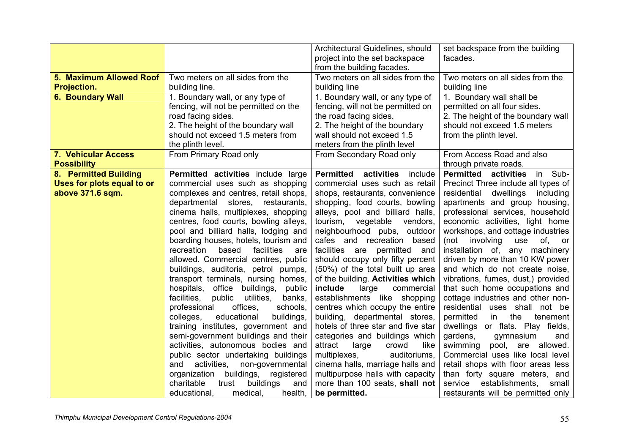|                            |                                                                            | Architectural Guidelines, should                                     | set backspace from the building                           |
|----------------------------|----------------------------------------------------------------------------|----------------------------------------------------------------------|-----------------------------------------------------------|
|                            |                                                                            | project into the set backspace<br>from the building facades.         | facades.                                                  |
| 5. Maximum Allowed Roof    | Two meters on all sides from the                                           | Two meters on all sides from the                                     | Two meters on all sides from the                          |
| Projection.                | building line.                                                             | building line                                                        | building line                                             |
| <b>6. Boundary Wall</b>    | 1. Boundary wall, or any type of                                           | 1. Boundary wall, or any type of                                     | 1. Boundary wall shall be                                 |
|                            | fencing, will not be permitted on the                                      | fencing, will not be permitted on                                    | permitted on all four sides.                              |
|                            | road facing sides.                                                         | the road facing sides.                                               | 2. The height of the boundary wall                        |
|                            | 2. The height of the boundary wall                                         | 2. The height of the boundary                                        | should not exceed 1.5 meters                              |
|                            | should not exceed 1.5 meters from                                          | wall should not exceed 1.5                                           | from the plinth level.                                    |
|                            | the plinth level.                                                          | meters from the plinth level                                         |                                                           |
| 7. Vehicular Access        | From Primary Road only                                                     | From Secondary Road only                                             | From Access Road and also                                 |
| <b>Possibility</b>         |                                                                            |                                                                      | through private roads.                                    |
| 8. Permitted Building      | Permitted activities include large                                         | <b>Permitted</b><br>activities<br>include                            | <b>Permitted activities</b><br>in Sub-                    |
| Uses for plots equal to or | commercial uses such as shopping                                           | commercial uses such as retail                                       | Precinct Three include all types of                       |
| above 371.6 sqm.           | complexes and centres, retail shops,                                       | shops, restaurants, convenience                                      | residential<br>dwellings<br>including                     |
|                            | departmental stores,<br>restaurants,                                       | shopping, food courts, bowling                                       | apartments and group housing,                             |
|                            | cinema halls, multiplexes, shopping                                        | alleys, pool and billiard halls,                                     | professional services, household                          |
|                            | centres, food courts, bowling alleys,                                      | tourism,<br>vegetable<br>vendors,                                    | economic activities, light home                           |
|                            | pool and billiard halls, lodging and                                       | neighbourhood pubs, outdoor                                          | workshops, and cottage industries                         |
|                            | boarding houses, hotels, tourism and                                       | cafes and recreation based                                           | (not involving<br>use<br>of, or                           |
|                            | based<br>facilities<br>recreation<br>are                                   | facilities are permitted and                                         | installation of, any machinery                            |
|                            | allowed. Commercial centres, public                                        | should occupy only fifty percent                                     | driven by more than 10 KW power                           |
|                            | (50%) of the total built up area<br>buildings, auditoria, petrol pumps,    |                                                                      | and which do not create noise,                            |
|                            | transport terminals, nursing homes,                                        | of the building. Activities which                                    | vibrations, fumes, dust,) provided                        |
|                            | hospitals, office buildings, public                                        | include<br>large<br>commercial                                       | that such home occupations and                            |
|                            | public<br>utilities,<br>banks,<br>facilities,                              | establishments like shopping                                         | cottage industries and other non-                         |
|                            | offices,<br>professional<br>schools,                                       | centres which occupy the entire                                      | residential uses shall not be                             |
|                            | colleges,<br>educational<br>buildings,                                     | building, departmental stores,<br>hotels of three star and five star | permitted<br>the<br>tenement<br>in                        |
|                            | training institutes, government and<br>semi-government buildings and their | categories and buildings which                                       | dwellings or flats. Play fields,<br>gardens,<br>gymnasium |
|                            | activities, autonomous bodies and                                          | attract<br>large<br>crowd<br>like                                    | and<br>swimming<br>pool, are allowed.                     |
|                            | public sector undertaking buildings                                        | multiplexes,<br>auditoriums,                                         | Commercial uses like local level                          |
|                            | activities,<br>non-governmental<br>and                                     | cinema halls, marriage halls and                                     | retail shops with floor areas less                        |
|                            | buildings, registered<br>organization                                      | multipurpose halls with capacity                                     | than forty square meters, and                             |
|                            | charitable<br>buildings<br>trust<br>and                                    | more than 100 seats, shall not                                       | establishments,<br>service<br>small                       |
|                            | health,<br>educational,<br>medical,                                        | be permitted.                                                        | restaurants will be permitted only                        |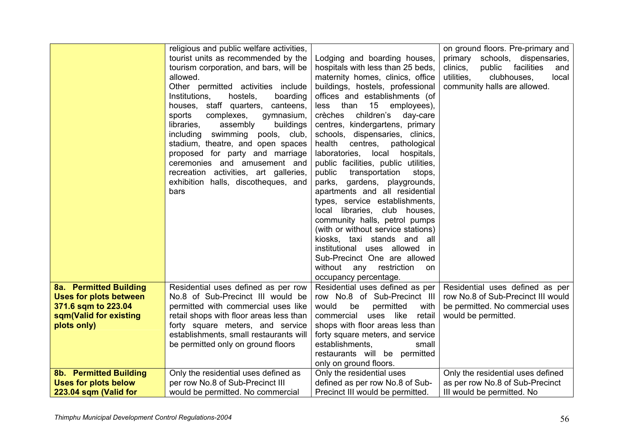|                               | religious and public welfare activities, |                                      | on ground floors. Pre-primary and       |
|-------------------------------|------------------------------------------|--------------------------------------|-----------------------------------------|
|                               | tourist units as recommended by the      | Lodging and boarding houses,         | schools, dispensaries,<br>primary       |
|                               | tourism corporation, and bars, will be   | hospitals with less than 25 beds,    | facilities<br>clinics,<br>public<br>and |
|                               | allowed.                                 | maternity homes, clinics, office     | utilities,<br>clubhouses,<br>local      |
|                               | Other permitted activities include       | buildings, hostels, professional     | community halls are allowed.            |
|                               | hostels,<br>boarding<br>Institutions,    | offices and establishments (of       |                                         |
|                               | houses, staff quarters, canteens,        | than<br>15<br>less<br>employees),    |                                         |
|                               | complexes,<br>gymnasium,<br>sports       | crèches<br>children's<br>day-care    |                                         |
|                               | libraries,<br>assembly<br>buildings      | centres, kindergartens, primary      |                                         |
|                               | swimming<br>including<br>pools, club,    | schools, dispensaries, clinics,      |                                         |
|                               | stadium, theatre, and open spaces        | health<br>centres,<br>pathological   |                                         |
|                               | proposed for party and marriage          | laboratories,<br>local<br>hospitals, |                                         |
|                               | ceremonies and amusement and             | public facilities, public utilities, |                                         |
|                               | recreation activities, art galleries,    | transportation<br>public<br>stops,   |                                         |
|                               | exhibition halls, discotheques, and      | parks, gardens, playgrounds,         |                                         |
|                               | bars                                     | apartments and all residential       |                                         |
|                               |                                          | types, service establishments,       |                                         |
|                               |                                          | libraries, club houses,<br>local     |                                         |
|                               |                                          | community halls, petrol pumps        |                                         |
|                               |                                          | (with or without service stations)   |                                         |
|                               |                                          | kiosks, taxi stands and<br>all       |                                         |
|                               |                                          | institutional uses allowed in        |                                         |
|                               |                                          | Sub-Precinct One are allowed         |                                         |
|                               |                                          | without<br>restriction<br>any<br>on  |                                         |
|                               |                                          | occupancy percentage.                |                                         |
| 8a. Permitted Building        | Residential uses defined as per row      | Residential uses defined as per      | Residential uses defined as per         |
| <b>Uses for plots between</b> | No.8 of Sub-Precinct III would be        | row No.8 of Sub-Precinct III         | row No.8 of Sub-Precinct III would      |
| 371.6 sqm to 223.04           | permitted with commercial uses like      | would<br>permitted<br>with<br>be     | be permitted. No commercial uses        |
| sqm(Valid for existing        | retail shops with floor areas less than  | uses like<br>retail<br>commercial    | would be permitted.                     |
| plots only)                   | forty square meters, and service         | shops with floor areas less than     |                                         |
|                               | establishments, small restaurants will   | forty square meters, and service     |                                         |
|                               | be permitted only on ground floors       | establishments,<br>small             |                                         |
|                               |                                          | restaurants will be permitted        |                                         |
|                               |                                          | only on ground floors.               |                                         |
| 8b. Permitted Building        | Only the residential uses defined as     | Only the residential uses            | Only the residential uses defined       |
| <b>Uses for plots below</b>   | per row No.8 of Sub-Precinct III         | defined as per row No.8 of Sub-      | as per row No.8 of Sub-Precinct         |
| 223.04 sqm (Valid for         | would be permitted. No commercial        | Precinct III would be permitted.     | III would be permitted. No              |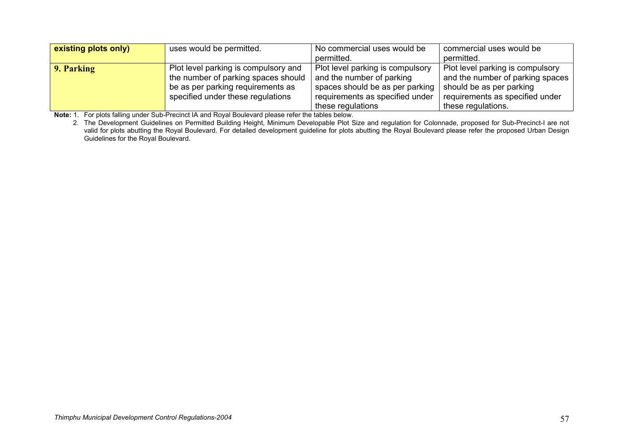| existing plots only) | uses would be permitted.             | No commercial uses would be      | commercial uses would be         |
|----------------------|--------------------------------------|----------------------------------|----------------------------------|
|                      |                                      | permitted.                       | permitted.                       |
| 9. Parking           | Plot level parking is compulsory and | Plot level parking is compulsory | Plot level parking is compulsory |
|                      | the number of parking spaces should  | and the number of parking        | and the number of parking spaces |
|                      | be as per parking requirements as    | spaces should be as per parking  | should be as per parking         |
|                      | specified under these regulations    | requirements as specified under  | requirements as specified under  |
|                      |                                      | these regulations                | these regulations.               |

**Note:** 1. For plots falling under Sub-Precinct IA and Royal Boulevard please refer the tables below.

 2. The Development Guidelines on Permitted Building Height, Minimum Developable Plot Size and regulation for Colonnade, proposed for Sub-Precinct-I are not valid for plots abutting the Royal Boulevard. For detailed development guideline for plots abutting the Royal Boulevard please refer the proposed Urban Design Guidelines for the Royal Boulevard.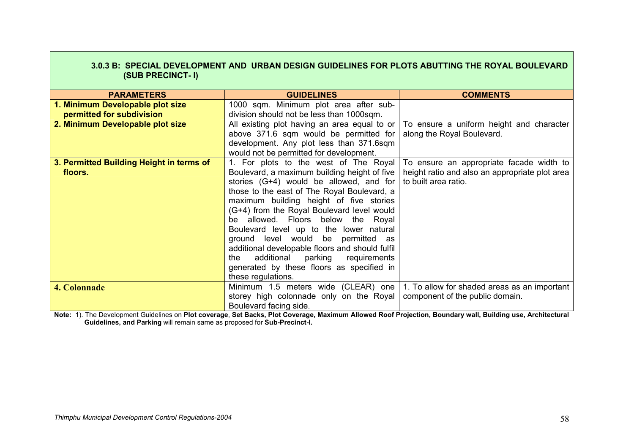| 3.0.3 B: SPECIAL DEVELOPMENT AND URBAN DESIGN GUIDELINES FOR PLOTS ABUTTING THE ROYAL BOULEVARD<br>(SUB PRECINCT- I) |                                                 |                                                |  |  |
|----------------------------------------------------------------------------------------------------------------------|-------------------------------------------------|------------------------------------------------|--|--|
|                                                                                                                      |                                                 |                                                |  |  |
| <b>PARAMETERS</b>                                                                                                    | <b>GUIDELINES</b>                               | <b>COMMENTS</b>                                |  |  |
| 1. Minimum Developable plot size                                                                                     | 1000 sqm. Minimum plot area after sub-          |                                                |  |  |
| permitted for subdivision                                                                                            | division should not be less than 1000sqm.       |                                                |  |  |
| 2. Minimum Developable plot size                                                                                     | All existing plot having an area equal to or    | To ensure a uniform height and character       |  |  |
|                                                                                                                      | above 371.6 sqm would be permitted for          | along the Royal Boulevard.                     |  |  |
|                                                                                                                      | development. Any plot less than 371.6sqm        |                                                |  |  |
|                                                                                                                      | would not be permitted for development.         |                                                |  |  |
| 3. Permitted Building Height in terms of                                                                             | 1. For plots to the west of The Royal           | To ensure an appropriate facade width to       |  |  |
| floors.                                                                                                              | Boulevard, a maximum building height of five    | height ratio and also an appropriate plot area |  |  |
|                                                                                                                      | stories $(G+4)$ would be allowed, and for       | to built area ratio.                           |  |  |
|                                                                                                                      | those to the east of The Royal Boulevard, a     |                                                |  |  |
|                                                                                                                      | maximum building height of five stories         |                                                |  |  |
|                                                                                                                      | (G+4) from the Royal Boulevard level would      |                                                |  |  |
|                                                                                                                      | be allowed. Floors below the Royal              |                                                |  |  |
|                                                                                                                      | Boulevard level up to the lower natural         |                                                |  |  |
|                                                                                                                      | ground level would be permitted as              |                                                |  |  |
|                                                                                                                      | additional developable floors and should fulfil |                                                |  |  |
|                                                                                                                      | additional<br>parking<br>requirements<br>the    |                                                |  |  |
|                                                                                                                      | generated by these floors as specified in       |                                                |  |  |
|                                                                                                                      | these regulations.                              |                                                |  |  |
| <b>4. Colonnade</b>                                                                                                  | Minimum 1.5 meters wide (CLEAR) one             | 1. To allow for shaded areas as an important   |  |  |
|                                                                                                                      | storey high colonnade only on the Royal         | component of the public domain.                |  |  |
|                                                                                                                      | Boulevard facing side.                          |                                                |  |  |

**Note:** 1). The Development Guidelines on **Plot coverage**, **Set Backs, Plot Coverage, Maximum Allowed Roof Projection, Boundary wall, Building use, Architectural Guidelines, and Parking** will remain same as proposed for **Sub-Precinct-I.**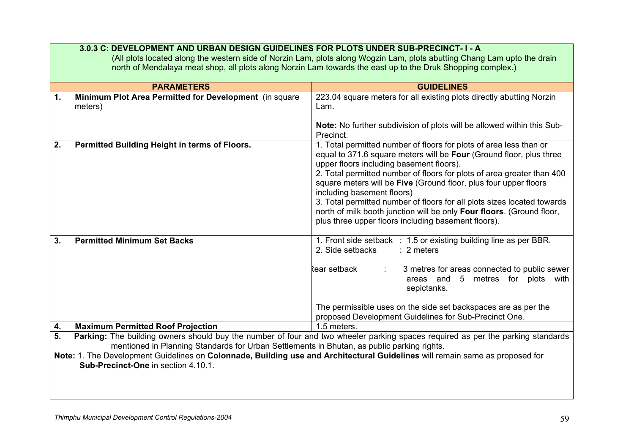|               | 3.0.3 C: DEVELOPMENT AND URBAN DESIGN GUIDELINES FOR PLOTS UNDER SUB-PRECINCT-1-A<br>(All plots located along the western side of Norzin Lam, plots along Wogzin Lam, plots abutting Chang Lam upto the drain<br>north of Mendalaya meat shop, all plots along Norzin Lam towards the east up to the Druk Shopping complex.) |                                                                                                                                                                                                                                                                                                                                                                                                                                                                                                                                                                              |  |  |
|---------------|------------------------------------------------------------------------------------------------------------------------------------------------------------------------------------------------------------------------------------------------------------------------------------------------------------------------------|------------------------------------------------------------------------------------------------------------------------------------------------------------------------------------------------------------------------------------------------------------------------------------------------------------------------------------------------------------------------------------------------------------------------------------------------------------------------------------------------------------------------------------------------------------------------------|--|--|
|               | <b>PARAMETERS</b>                                                                                                                                                                                                                                                                                                            | <b>GUIDELINES</b>                                                                                                                                                                                                                                                                                                                                                                                                                                                                                                                                                            |  |  |
|               |                                                                                                                                                                                                                                                                                                                              |                                                                                                                                                                                                                                                                                                                                                                                                                                                                                                                                                                              |  |  |
| $\mathbf 1$ . | Minimum Plot Area Permitted for Development (in square<br>meters)                                                                                                                                                                                                                                                            | 223.04 square meters for all existing plots directly abutting Norzin<br>Lam.                                                                                                                                                                                                                                                                                                                                                                                                                                                                                                 |  |  |
|               |                                                                                                                                                                                                                                                                                                                              | Note: No further subdivision of plots will be allowed within this Sub-<br>Precinct.                                                                                                                                                                                                                                                                                                                                                                                                                                                                                          |  |  |
| 2.            | Permitted Building Height in terms of Floors.                                                                                                                                                                                                                                                                                | 1. Total permitted number of floors for plots of area less than or<br>equal to 371.6 square meters will be Four (Ground floor, plus three<br>upper floors including basement floors).<br>2. Total permitted number of floors for plots of area greater than 400<br>square meters will be Five (Ground floor, plus four upper floors<br>including basement floors)<br>3. Total permitted number of floors for all plots sizes located towards<br>north of milk booth junction will be only Four floors. (Ground floor,<br>plus three upper floors including basement floors). |  |  |
| 3.            | <b>Permitted Minimum Set Backs</b>                                                                                                                                                                                                                                                                                           | 1. Front side setback : 1.5 or existing building line as per BBR.<br>2. Side setbacks<br>$: 2$ meters<br>Rear setback<br>3 metres for areas connected to public sewer<br>areas and 5 metres for plots with<br>sepictanks.<br>The permissible uses on the side set backspaces are as per the<br>proposed Development Guidelines for Sub-Precinct One.                                                                                                                                                                                                                         |  |  |
| 4.            | <b>Maximum Permitted Roof Projection</b>                                                                                                                                                                                                                                                                                     | 1.5 meters.                                                                                                                                                                                                                                                                                                                                                                                                                                                                                                                                                                  |  |  |
| 5.            | mentioned in Planning Standards for Urban Settlements in Bhutan, as public parking rights.                                                                                                                                                                                                                                   | Parking: The building owners should buy the number of four and two wheeler parking spaces required as per the parking standards                                                                                                                                                                                                                                                                                                                                                                                                                                              |  |  |
|               | Note: 1. The Development Guidelines on Colonnade, Building use and Architectural Guidelines will remain same as proposed for<br>Sub-Precinct-One in section 4.10.1.                                                                                                                                                          |                                                                                                                                                                                                                                                                                                                                                                                                                                                                                                                                                                              |  |  |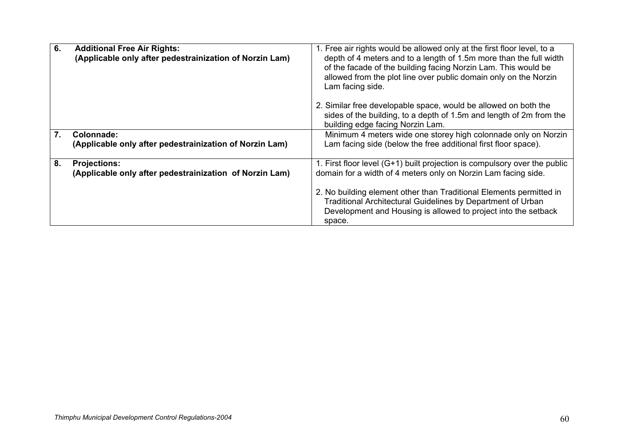| 6. | <b>Additional Free Air Rights:</b><br>(Applicable only after pedestrainization of Norzin Lam) | 1. Free air rights would be allowed only at the first floor level, to a<br>depth of 4 meters and to a length of 1.5m more than the full width<br>of the facade of the building facing Norzin Lam. This would be<br>allowed from the plot line over public domain only on the Norzin<br>Lam facing side. |
|----|-----------------------------------------------------------------------------------------------|---------------------------------------------------------------------------------------------------------------------------------------------------------------------------------------------------------------------------------------------------------------------------------------------------------|
|    |                                                                                               | 2. Similar free developable space, would be allowed on both the<br>sides of the building, to a depth of 1.5m and length of 2m from the<br>building edge facing Norzin Lam.                                                                                                                              |
| 7. | Colonnade:<br>(Applicable only after pedestrainization of Norzin Lam)                         | Minimum 4 meters wide one storey high colonnade only on Norzin<br>Lam facing side (below the free additional first floor space).                                                                                                                                                                        |
| 8. | <b>Projections:</b><br>(Applicable only after pedestrainization of Norzin Lam)                | 1. First floor level (G+1) built projection is compulsory over the public<br>domain for a width of 4 meters only on Norzin Lam facing side.                                                                                                                                                             |
|    |                                                                                               | 2. No building element other than Traditional Elements permitted in<br>Traditional Architectural Guidelines by Department of Urban<br>Development and Housing is allowed to project into the setback<br>space.                                                                                          |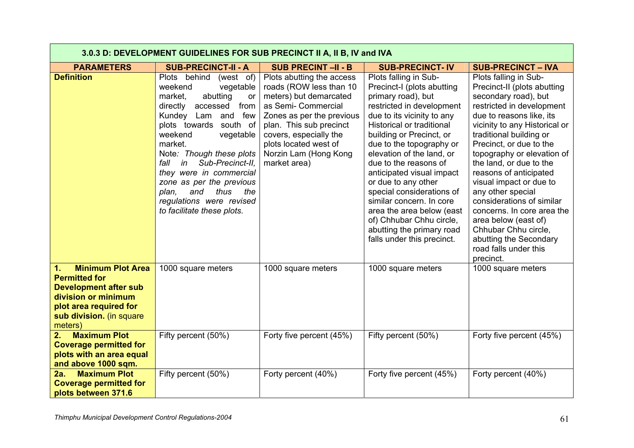|                                                                                                                                                                                | 3.0.3 D: DEVELOPMENT GUIDELINES FOR SUB PRECINCT II A, II B, IV and IVA                                                                                                                                                                                                                                                                                                                                                      |                                                                                                                                                                                                                                                           |                                                                                                                                                                                                                                                                                                                                                                                                                                                                                                                  |                                                                                                                                                                                                                                                                                                                                                                                                                                                                                                                                            |  |
|--------------------------------------------------------------------------------------------------------------------------------------------------------------------------------|------------------------------------------------------------------------------------------------------------------------------------------------------------------------------------------------------------------------------------------------------------------------------------------------------------------------------------------------------------------------------------------------------------------------------|-----------------------------------------------------------------------------------------------------------------------------------------------------------------------------------------------------------------------------------------------------------|------------------------------------------------------------------------------------------------------------------------------------------------------------------------------------------------------------------------------------------------------------------------------------------------------------------------------------------------------------------------------------------------------------------------------------------------------------------------------------------------------------------|--------------------------------------------------------------------------------------------------------------------------------------------------------------------------------------------------------------------------------------------------------------------------------------------------------------------------------------------------------------------------------------------------------------------------------------------------------------------------------------------------------------------------------------------|--|
| <b>PARAMETERS</b>                                                                                                                                                              | <b>SUB-PRECINCT-II - A</b>                                                                                                                                                                                                                                                                                                                                                                                                   | <b>SUB PRECINT -II - B</b>                                                                                                                                                                                                                                | <b>SUB-PRECINCT-IV</b>                                                                                                                                                                                                                                                                                                                                                                                                                                                                                           | <b>SUB-PRECINCT - IVA</b>                                                                                                                                                                                                                                                                                                                                                                                                                                                                                                                  |  |
| <b>Definition</b>                                                                                                                                                              | Plots behind<br>(west of)<br>weekend<br>vegetable<br>market,<br>abutting<br><b>or</b><br>directly<br>accessed<br>from<br>Kundey Lam and<br>few<br>plots towards<br>south of<br>weekend<br>vegetable<br>market.<br>Note: Though these plots<br>Sub-Precinct-II.<br>in<br>fall<br>they were in commercial<br>zone as per the previous<br>and<br>thus<br>plan,<br>the<br>regulations were revised<br>to facilitate these plots. | Plots abutting the access<br>roads (ROW less than 10<br>meters) but demarcated<br>as Semi- Commercial<br>Zones as per the previous<br>plan. This sub precinct<br>covers, especially the<br>plots located west of<br>Norzin Lam (Hong Kong<br>market area) | Plots falling in Sub-<br>Precinct-I (plots abutting<br>primary road), but<br>restricted in development<br>due to its vicinity to any<br>Historical or traditional<br>building or Precinct, or<br>due to the topography or<br>elevation of the land, or<br>due to the reasons of<br>anticipated visual impact<br>or due to any other<br>special considerations of<br>similar concern. In core<br>area the area below (east<br>of) Chhubar Chhu circle,<br>abutting the primary road<br>falls under this precinct. | Plots falling in Sub-<br>Precinct-II (plots abutting<br>secondary road), but<br>restricted in development<br>due to reasons like, its<br>vicinity to any Historical or<br>traditional building or<br>Precinct, or due to the<br>topography or elevation of<br>the land, or due to the<br>reasons of anticipated<br>visual impact or due to<br>any other special<br>considerations of similar<br>concerns. In core area the<br>area below (east of)<br>Chhubar Chhu circle,<br>abutting the Secondary<br>road falls under this<br>precinct. |  |
| <b>Minimum Plot Area</b><br>1.<br><b>Permitted for</b><br><b>Development after sub</b><br>division or minimum<br>plot area required for<br>sub division. (in square<br>meters) | 1000 square meters                                                                                                                                                                                                                                                                                                                                                                                                           | 1000 square meters                                                                                                                                                                                                                                        | 1000 square meters                                                                                                                                                                                                                                                                                                                                                                                                                                                                                               | 1000 square meters                                                                                                                                                                                                                                                                                                                                                                                                                                                                                                                         |  |
| <b>Maximum Plot</b><br>2.<br><b>Coverage permitted for</b><br>plots with an area equal<br>and above 1000 sqm.                                                                  | Fifty percent (50%)                                                                                                                                                                                                                                                                                                                                                                                                          | Forty five percent (45%)                                                                                                                                                                                                                                  | Fifty percent (50%)                                                                                                                                                                                                                                                                                                                                                                                                                                                                                              | Forty five percent (45%)                                                                                                                                                                                                                                                                                                                                                                                                                                                                                                                   |  |
| <b>Maximum Plot</b><br>2a.<br><b>Coverage permitted for</b><br>plots between 371.6                                                                                             | Fifty percent (50%)                                                                                                                                                                                                                                                                                                                                                                                                          | Forty percent (40%)                                                                                                                                                                                                                                       | Forty five percent (45%)                                                                                                                                                                                                                                                                                                                                                                                                                                                                                         | Forty percent (40%)                                                                                                                                                                                                                                                                                                                                                                                                                                                                                                                        |  |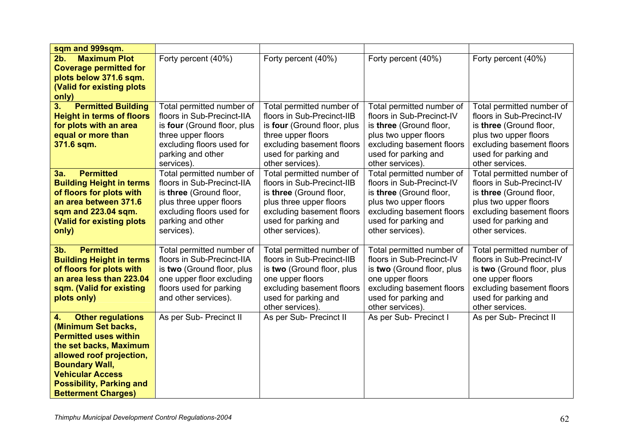| sqm and 999sqm.                                                                                                                                                                                                                                                  |                                                                                                                                                                               |                                                                                                                                                                                        |                                                                                                                                                                                     |                                                                                                                                                                                    |
|------------------------------------------------------------------------------------------------------------------------------------------------------------------------------------------------------------------------------------------------------------------|-------------------------------------------------------------------------------------------------------------------------------------------------------------------------------|----------------------------------------------------------------------------------------------------------------------------------------------------------------------------------------|-------------------------------------------------------------------------------------------------------------------------------------------------------------------------------------|------------------------------------------------------------------------------------------------------------------------------------------------------------------------------------|
| <b>Maximum Plot</b><br>2b.<br><b>Coverage permitted for</b><br>plots below 371.6 sqm.<br>(Valid for existing plots<br>only)                                                                                                                                      | Forty percent (40%)                                                                                                                                                           | Forty percent (40%)                                                                                                                                                                    | Forty percent (40%)                                                                                                                                                                 | Forty percent (40%)                                                                                                                                                                |
| 3.<br><b>Permitted Building</b><br><b>Height in terms of floors</b><br>for plots with an area<br>equal or more than<br>371.6 sqm.                                                                                                                                | Total permitted number of<br>floors in Sub-Precinct-IIA<br>is four (Ground floor, plus<br>three upper floors<br>excluding floors used for<br>parking and other<br>services).  | Total permitted number of<br>floors in Sub-Precinct-IIB<br>is four (Ground floor, plus<br>three upper floors<br>excluding basement floors<br>used for parking and<br>other services).  | Total permitted number of<br>floors in Sub-Precinct-IV<br>is three (Ground floor,<br>plus two upper floors<br>excluding basement floors<br>used for parking and<br>other services). | Total permitted number of<br>floors in Sub-Precinct-IV<br>is three (Ground floor,<br>plus two upper floors<br>excluding basement floors<br>used for parking and<br>other services. |
| <b>Permitted</b><br>3a.<br><b>Building Height in terms</b><br>of floors for plots with<br>an area between 371.6<br>sqm and 223.04 sqm.<br>(Valid for existing plots<br>only)                                                                                     | Total permitted number of<br>floors in Sub-Precinct-IIA<br>is three (Ground floor,<br>plus three upper floors<br>excluding floors used for<br>parking and other<br>services). | Total permitted number of<br>floors in Sub-Precinct-IIB<br>is three (Ground floor,<br>plus three upper floors<br>excluding basement floors<br>used for parking and<br>other services). | Total permitted number of<br>floors in Sub-Precinct-IV<br>is three (Ground floor,<br>plus two upper floors<br>excluding basement floors<br>used for parking and<br>other services). | Total permitted number of<br>floors in Sub-Precinct-IV<br>is three (Ground floor,<br>plus two upper floors<br>excluding basement floors<br>used for parking and<br>other services. |
| <b>Permitted</b><br>3 <sub>b</sub><br><b>Building Height in terms</b><br>of floors for plots with<br>an area less than 223.04<br>sqm. (Valid for existing<br>plots only)                                                                                         | Total permitted number of<br>floors in Sub-Precinct-IIA<br>is two (Ground floor, plus<br>one upper floor excluding<br>floors used for parking<br>and other services).         | Total permitted number of<br>floors in Sub-Precinct-IIB<br>is two (Ground floor, plus<br>one upper floors<br>excluding basement floors<br>used for parking and<br>other services).     | Total permitted number of<br>floors in Sub-Precinct-IV<br>is two (Ground floor, plus<br>one upper floors<br>excluding basement floors<br>used for parking and<br>other services).   | Total permitted number of<br>floors in Sub-Precinct-IV<br>is two (Ground floor, plus<br>one upper floors<br>excluding basement floors<br>used for parking and<br>other services.   |
| <b>Other regulations</b><br>4.<br>(Minimum Set backs,<br><b>Permitted uses within</b><br>the set backs, Maximum<br>allowed roof projection,<br><b>Boundary Wall,</b><br><b>Vehicular Access</b><br><b>Possibility, Parking and</b><br><b>Betterment Charges)</b> | As per Sub-Precinct II                                                                                                                                                        | As per Sub- Precinct II                                                                                                                                                                | As per Sub- Precinct I                                                                                                                                                              | As per Sub- Precinct II                                                                                                                                                            |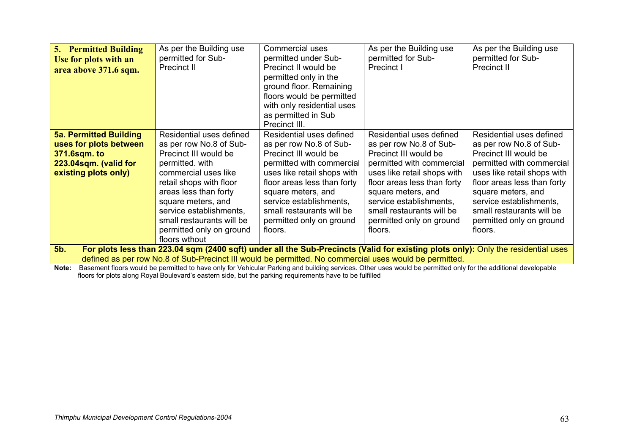| <b>5. Permitted Building</b><br>Use for plots with an<br>area above 371.6 sqm.                                                                                                                                                                     | As per the Building use<br>permitted for Sub-<br>Precinct II                                                                                                                                                                                                                                           | Commercial uses<br>permitted under Sub-<br>Precinct II would be<br>permitted only in the<br>ground floor. Remaining<br>floors would be permitted<br>with only residential uses<br>as permitted in Sub<br>Precinct III.                                                                       | As per the Building use<br>permitted for Sub-<br>Precinct I                                                                                                                                                                                                                                  | As per the Building use<br>permitted for Sub-<br>Precinct II                                                                                                                                                                                                                                 |
|----------------------------------------------------------------------------------------------------------------------------------------------------------------------------------------------------------------------------------------------------|--------------------------------------------------------------------------------------------------------------------------------------------------------------------------------------------------------------------------------------------------------------------------------------------------------|----------------------------------------------------------------------------------------------------------------------------------------------------------------------------------------------------------------------------------------------------------------------------------------------|----------------------------------------------------------------------------------------------------------------------------------------------------------------------------------------------------------------------------------------------------------------------------------------------|----------------------------------------------------------------------------------------------------------------------------------------------------------------------------------------------------------------------------------------------------------------------------------------------|
| <b>5a. Permitted Building</b><br>uses for plots between<br><b>371.6sqm. to</b><br>223.04sqm. (valid for<br>existing plots only)                                                                                                                    | Residential uses defined<br>as per row No.8 of Sub-<br>Precinct III would be<br>permitted. with<br>commercial uses like<br>retail shops with floor<br>areas less than forty<br>square meters, and<br>service establishments,<br>small restaurants will be<br>permitted only on ground<br>floors wthout | Residential uses defined<br>as per row No.8 of Sub-<br>Precinct III would be<br>permitted with commercial<br>uses like retail shops with<br>floor areas less than forty<br>square meters, and<br>service establishments,<br>small restaurants will be<br>permitted only on ground<br>floors. | Residential uses defined<br>as per row No.8 of Sub-<br>Precinct III would be<br>permitted with commercial<br>uses like retail shops with<br>floor areas less than forty<br>square meters, and<br>service establishments,<br>small restaurants will be<br>permitted only on ground<br>floors. | Residential uses defined<br>as per row No.8 of Sub-<br>Precinct III would be<br>permitted with commercial<br>uses like retail shops with<br>floor areas less than forty<br>square meters, and<br>service establishments,<br>small restaurants will be<br>permitted only on ground<br>floors. |
| For plots less than 223.04 sqm (2400 sqft) under all the Sub-Precincts (Valid for existing plots only): Only the residential uses<br>5b.<br>defined as per row No.8 of Sub-Precinct III would be permitted. No commercial uses would be permitted. |                                                                                                                                                                                                                                                                                                        |                                                                                                                                                                                                                                                                                              |                                                                                                                                                                                                                                                                                              |                                                                                                                                                                                                                                                                                              |

**Note:** Basement floors would be permitted to have only for Vehicular Parking and building services. Other uses would be permitted only for the additional developable floors for plots along Royal Boulevard's eastern side, but the parking requirements have to be fulfilled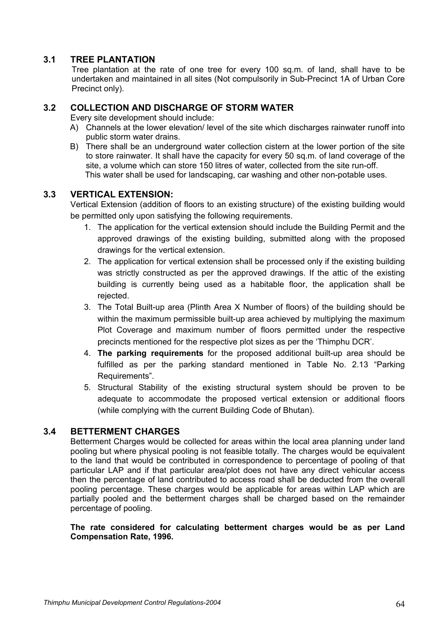# **3.1 TREE PLANTATION**

Tree plantation at the rate of one tree for every 100 sq.m. of land, shall have to be undertaken and maintained in all sites (Not compulsorily in Sub-Precinct 1A of Urban Core Precinct only).

# **3.2 COLLECTION AND DISCHARGE OF STORM WATER**

Every site development should include:

- A) Channels at the lower elevation/ level of the site which discharges rainwater runoff into public storm water drains.
- B) There shall be an underground water collection cistern at the lower portion of the site to store rainwater. It shall have the capacity for every 50 sq.m. of land coverage of the site, a volume which can store 150 litres of water, collected from the site run-off. This water shall be used for landscaping, car washing and other non-potable uses.

# **3.3 VERTICAL EXTENSION:**

 Vertical Extension (addition of floors to an existing structure) of the existing building would be permitted only upon satisfying the following requirements.

- 1. The application for the vertical extension should include the Building Permit and the approved drawings of the existing building, submitted along with the proposed drawings for the vertical extension.
- 2. The application for vertical extension shall be processed only if the existing building was strictly constructed as per the approved drawings. If the attic of the existing building is currently being used as a habitable floor, the application shall be rejected.
- 3. The Total Built-up area (Plinth Area X Number of floors) of the building should be within the maximum permissible built-up area achieved by multiplying the maximum Plot Coverage and maximum number of floors permitted under the respective precincts mentioned for the respective plot sizes as per the 'Thimphu DCR'.
- 4. **The parking requirements** for the proposed additional built-up area should be fulfilled as per the parking standard mentioned in Table No. 2.13 "Parking Requirements".
- 5. Structural Stability of the existing structural system should be proven to be adequate to accommodate the proposed vertical extension or additional floors (while complying with the current Building Code of Bhutan).

# **3.4 BETTERMENT CHARGES**

Betterment Charges would be collected for areas within the local area planning under land pooling but where physical pooling is not feasible totally. The charges would be equivalent to the land that would be contributed in correspondence to percentage of pooling of that particular LAP and if that particular area/plot does not have any direct vehicular access then the percentage of land contributed to access road shall be deducted from the overall pooling percentage. These charges would be applicable for areas within LAP which are partially pooled and the betterment charges shall be charged based on the remainder percentage of pooling.

**The rate considered for calculating betterment charges would be as per Land Compensation Rate, 1996.**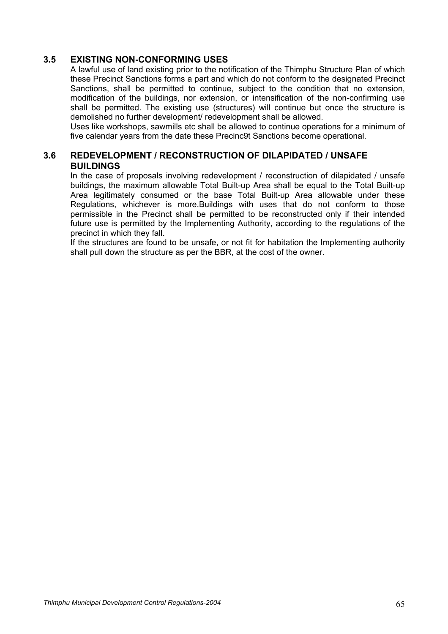# **3.5 EXISTING NON-CONFORMING USES**

A lawful use of land existing prior to the notification of the Thimphu Structure Plan of which these Precinct Sanctions forms a part and which do not conform to the designated Precinct Sanctions, shall be permitted to continue, subject to the condition that no extension, modification of the buildings, nor extension, or intensification of the non-confirming use shall be permitted. The existing use (structures) will continue but once the structure is demolished no further development/ redevelopment shall be allowed.

Uses like workshops, sawmills etc shall be allowed to continue operations for a minimum of five calendar years from the date these Precinc9t Sanctions become operational.

# **3.6 REDEVELOPMENT / RECONSTRUCTION OF DILAPIDATED / UNSAFE BUILDINGS**

In the case of proposals involving redevelopment / reconstruction of dilapidated / unsafe buildings, the maximum allowable Total Built-up Area shall be equal to the Total Built-up Area legitimately consumed or the base Total Built-up Area allowable under these Regulations, whichever is more.Buildings with uses that do not conform to those permissible in the Precinct shall be permitted to be reconstructed only if their intended future use is permitted by the Implementing Authority, according to the regulations of the precinct in which they fall.

If the structures are found to be unsafe, or not fit for habitation the Implementing authority shall pull down the structure as per the BBR, at the cost of the owner.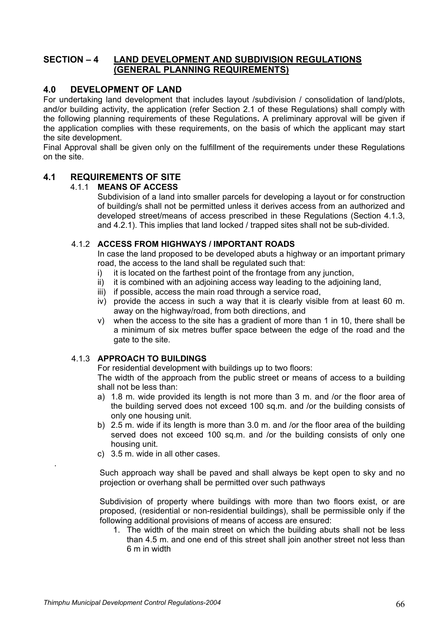# **SECTION – 4 LAND DEVELOPMENT AND SUBDIVISION REGULATIONS (GENERAL PLANNING REQUIREMENTS)**

# **4.0 DEVELOPMENT OF LAND**

For undertaking land development that includes layout /subdivision / consolidation of land/plots, and/or building activity, the application (refer Section 2.1 of these Regulations) shall comply with the following planning requirements of these Regulations**.** A preliminary approval will be given if the application complies with these requirements, on the basis of which the applicant may start the site development.

Final Approval shall be given only on the fulfillment of the requirements under these Regulations on the site.

# **4.1 REQUIREMENTS OF SITE**

## 4.1.1 **MEANS OF ACCESS**

Subdivision of a land into smaller parcels for developing a layout or for construction of building/s shall not be permitted unless it derives access from an authorized and developed street/means of access prescribed in these Regulations (Section 4.1.3, and 4.2.1). This implies that land locked / trapped sites shall not be sub-divided.

## 4.1.2 **ACCESS FROM HIGHWAYS / IMPORTANT ROADS**

In case the land proposed to be developed abuts a highway or an important primary road, the access to the land shall be regulated such that:

- i) it is located on the farthest point of the frontage from any junction,
- ii) it is combined with an adjoining access way leading to the adjoining land,
- iii) if possible, access the main road through a service road,
- iv) provide the access in such a way that it is clearly visible from at least 60 m. away on the highway/road, from both directions, and
- v) when the access to the site has a gradient of more than 1 in 10, there shall be a minimum of six metres buffer space between the edge of the road and the gate to the site.

# 4.1.3 **APPROACH TO BUILDINGS**

For residential development with buildings up to two floors:

 The width of the approach from the public street or means of access to a building shall not be less than:

- a) 1.8 m. wide provided its length is not more than 3 m. and /or the floor area of the building served does not exceed 100 sq.m. and /or the building consists of only one housing unit.
- b) 2.5 m. wide if its length is more than 3.0 m. and /or the floor area of the building served does not exceed 100 sq.m. and /or the building consists of only one housing unit.
- c) 3.5 m. wide in all other cases.

Such approach way shall be paved and shall always be kept open to sky and no projection or overhang shall be permitted over such pathways

Subdivision of property where buildings with more than two floors exist, or are proposed, (residential or non-residential buildings), shall be permissible only if the following additional provisions of means of access are ensured:

1. The width of the main street on which the building abuts shall not be less than 4.5 m. and one end of this street shall join another street not less than 6 m in width

.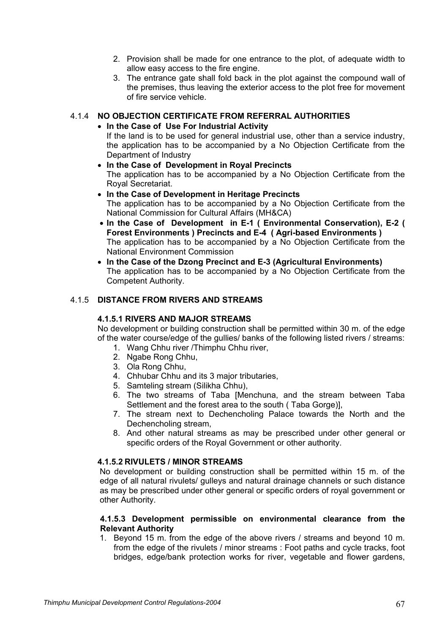- 2. Provision shall be made for one entrance to the plot, of adequate width to allow easy access to the fire engine.
- 3. The entrance gate shall fold back in the plot against the compound wall of the premises, thus leaving the exterior access to the plot free for movement of fire service vehicle.

## 4.1.4 **NO OBJECTION CERTIFICATE FROM REFERRAL AUTHORITIES**

## • **In the Case of Use For Industrial Activity**

If the land is to be used for general industrial use, other than a service industry, the application has to be accompanied by a No Objection Certificate from the Department of Industry

- **In the Case of Development in Royal Precincts**  The application has to be accompanied by a No Objection Certificate from the Royal Secretariat.
- **In the Case of Development in Heritage Precincts**  The application has to be accompanied by a No Objection Certificate from the National Commission for Cultural Affairs (MH&CA)
- **In the Case of Development in E-1 ( Environmental Conservation), E-2 ( Forest Environments ) Precincts and E-4 ( Agri-based Environments )**  The application has to be accompanied by a No Objection Certificate from the National Environment Commission
- **In the Case of the Dzong Precinct and E-3 (Agricultural Environments)**  The application has to be accompanied by a No Objection Certificate from the Competent Authority.

## 4.1.5 **DISTANCE FROM RIVERS AND STREAMS**

## **4.1.5.1 RIVERS AND MAJOR STREAMS**

No development or building construction shall be permitted within 30 m. of the edge of the water course/edge of the gullies/ banks of the following listed rivers / streams:

- 1. Wang Chhu river /Thimphu Chhu river,
- 2. Ngabe Rong Chhu,
- 3. Ola Rong Chhu,
- 4. Chhubar Chhu and its 3 major tributaries,
- 5. Samteling stream (Silikha Chhu),
- 6. The two streams of Taba [Menchuna, and the stream between Taba Settlement and the forest area to the south ( Taba Gorge)],
- 7. The stream next to Dechencholing Palace towards the North and the Dechencholing stream,
- 8. And other natural streams as may be prescribed under other general or specific orders of the Royal Government or other authority.

## **4.1.5.2 RIVULETS / MINOR STREAMS**

No development or building construction shall be permitted within 15 m. of the edge of all natural rivulets/ gulleys and natural drainage channels or such distance as may be prescribed under other general or specific orders of royal government or other Authority.

## **4.1.5.3 Development permissible on environmental clearance from the Relevant Authority**

1. Beyond 15 m. from the edge of the above rivers / streams and beyond 10 m. from the edge of the rivulets / minor streams : Foot paths and cycle tracks, foot bridges, edge/bank protection works for river, vegetable and flower gardens,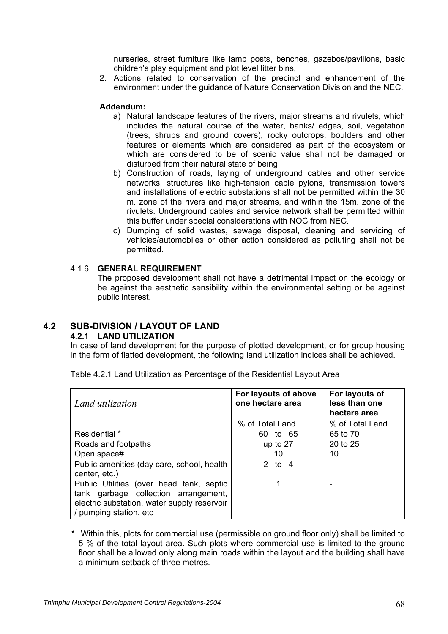nurseries, street furniture like lamp posts, benches, gazebos/pavilions, basic children's play equipment and plot level litter bins,

2. Actions related to conservation of the precinct and enhancement of the environment under the guidance of Nature Conservation Division and the NEC.

## **Addendum:**

- a) Natural landscape features of the rivers, major streams and rivulets, which includes the natural course of the water, banks/ edges, soil, vegetation (trees, shrubs and ground covers), rocky outcrops, boulders and other features or elements which are considered as part of the ecosystem or which are considered to be of scenic value shall not be damaged or disturbed from their natural state of being.
- b) Construction of roads, laying of underground cables and other service networks, structures like high-tension cable pylons, transmission towers and installations of electric substations shall not be permitted within the 30 m. zone of the rivers and major streams, and within the 15m. zone of the rivulets. Underground cables and service network shall be permitted within this buffer under special considerations with NOC from NEC.
- c) Dumping of solid wastes, sewage disposal, cleaning and servicing of vehicles/automobiles or other action considered as polluting shall not be permitted.

## 4.1.6 **GENERAL REQUIREMENT**

The proposed development shall not have a detrimental impact on the ecology or be against the aesthetic sensibility within the environmental setting or be against public interest.

# **4.2 SUB-DIVISION / LAYOUT OF LAND**

## **4.2.1 LAND UTILIZATION**

In case of land development for the purpose of plotted development, or for group housing in the form of flatted development, the following land utilization indices shall be achieved.

| Land utilization                                                                                                                                          | For layouts of above<br>one hectare area | For layouts of<br>less than one<br>hectare area |
|-----------------------------------------------------------------------------------------------------------------------------------------------------------|------------------------------------------|-------------------------------------------------|
|                                                                                                                                                           | % of Total Land                          | % of Total Land                                 |
| Residential *                                                                                                                                             | to 65<br>60.                             | 65 to 70                                        |
| Roads and footpaths                                                                                                                                       | up to 27                                 | 20 to 25                                        |
| Open space#                                                                                                                                               | 10                                       | 10                                              |
| Public amenities (day care, school, health<br>center, etc.)                                                                                               | 2 to $4$                                 |                                                 |
| Public Utilities (over head tank, septic<br>tank garbage collection arrangement,<br>electric substation, water supply reservoir<br>/ pumping station, etc |                                          |                                                 |

Table 4.2.1 Land Utilization as Percentage of the Residential Layout Area

\* Within this, plots for commercial use (permissible on ground floor only) shall be limited to 5 % of the total layout area. Such plots where commercial use is limited to the ground floor shall be allowed only along main roads within the layout and the building shall have a minimum setback of three metres.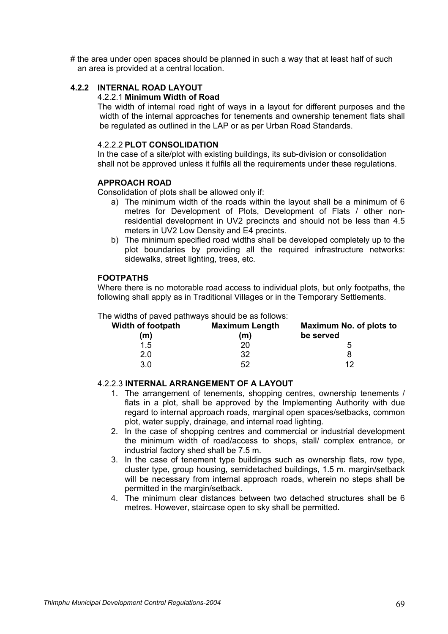# the area under open spaces should be planned in such a way that at least half of such an area is provided at a central location.

# **4.2.2 INTERNAL ROAD LAYOUT**

## 4.2.2.1 **Minimum Width of Road**

The width of internal road right of ways in a layout for different purposes and the width of the internal approaches for tenements and ownership tenement flats shall be regulated as outlined in the LAP or as per Urban Road Standards.

## 4.2.2.2 **PLOT CONSOLIDATION**

 In the case of a site/plot with existing buildings, its sub-division or consolidation shall not be approved unless it fulfils all the requirements under these regulations.

#### **APPROACH ROAD**

Consolidation of plots shall be allowed only if:

- a) The minimum width of the roads within the layout shall be a minimum of 6 metres for Development of Plots, Development of Flats / other nonresidential development in UV2 precincts and should not be less than 4.5 meters in UV2 Low Density and E4 precints.
- b) The minimum specified road widths shall be developed completely up to the plot boundaries by providing all the required infrastructure networks: sidewalks, street lighting, trees, etc.

## **FOOTPATHS**

 Where there is no motorable road access to individual plots, but only footpaths, the following shall apply as in Traditional Villages or in the Temporary Settlements.

| <b>Width of footpath</b><br>$\mathbf m$ | <b>Maximum Length</b><br>(m) | Maximum No. of plots to<br>be served |
|-----------------------------------------|------------------------------|--------------------------------------|
| 1.5                                     | 20                           | :C                                   |
| 2.0                                     | 32                           |                                      |
| 3.0                                     | 52                           | 12                                   |

# The widths of paved pathways should be as follows:

### 4.2.2.3 **INTERNAL ARRANGEMENT OF A LAYOUT**

- 1. The arrangement of tenements, shopping centres, ownership tenements / flats in a plot, shall be approved by the Implementing Authority with due regard to internal approach roads, marginal open spaces/setbacks, common plot, water supply, drainage, and internal road lighting.
- 2. In the case of shopping centres and commercial or industrial development the minimum width of road/access to shops, stall/ complex entrance, or industrial factory shed shall be 7.5 m.
- 3. In the case of tenement type buildings such as ownership flats, row type, cluster type, group housing, semidetached buildings, 1.5 m. margin/setback will be necessary from internal approach roads, wherein no steps shall be permitted in the margin/setback.
- 4. The minimum clear distances between two detached structures shall be 6 metres. However, staircase open to sky shall be permitted**.**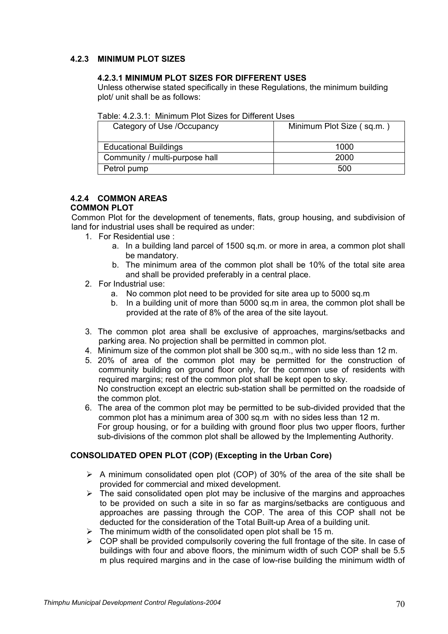# **4.2.3 MINIMUM PLOT SIZES**

## **4.2.3.1 MINIMUM PLOT SIZES FOR DIFFERENT USES**

Unless otherwise stated specifically in these Regulations, the minimum building plot/ unit shall be as follows:

|  | Table: 4.2.3.1: Minimum Plot Sizes for Different Uses |
|--|-------------------------------------------------------|
|--|-------------------------------------------------------|

| Category of Use /Occupancy     | Minimum Plot Size (sq.m.) |
|--------------------------------|---------------------------|
| <b>Educational Buildings</b>   | 1000                      |
| Community / multi-purpose hall | 2000                      |
| Petrol pump                    | 500                       |

#### **4.2.4 COMMON AREAS COMMON PLOT**

Common Plot for the development of tenements, flats, group housing, and subdivision of land for industrial uses shall be required as under:

- 1. For Residential use :
	- a. In a building land parcel of 1500 sq.m. or more in area, a common plot shall be mandatory.
	- b. The minimum area of the common plot shall be 10% of the total site area and shall be provided preferably in a central place.
- 2. For Industrial use:
	- a. No common plot need to be provided for site area up to 5000 sq.m.
	- b. In a building unit of more than 5000 sq.m in area, the common plot shall be provided at the rate of 8% of the area of the site layout.
- 3. The common plot area shall be exclusive of approaches, margins/setbacks and parking area. No projection shall be permitted in common plot.
- 4. Minimum size of the common plot shall be 300 sq.m., with no side less than 12 m.
- 5. 20% of area of the common plot may be permitted for the construction of community building on ground floor only, for the common use of residents with required margins; rest of the common plot shall be kept open to sky. No construction except an electric sub-station shall be permitted on the roadside of the common plot.
- 6. The area of the common plot may be permitted to be sub-divided provided that the common plot has a minimum area of 300 sq.m with no sides less than 12 m. For group housing, or for a building with ground floor plus two upper floors, further sub-divisions of the common plot shall be allowed by the Implementing Authority.

## **CONSOLIDATED OPEN PLOT (COP) (Excepting in the Urban Core)**

- $\triangleright$  A minimum consolidated open plot (COP) of 30% of the area of the site shall be provided for commercial and mixed development.
- $\triangleright$  The said consolidated open plot may be inclusive of the margins and approaches to be provided on such a site in so far as margins/setbacks are contiguous and approaches are passing through the COP. The area of this COP shall not be deducted for the consideration of the Total Built-up Area of a building unit.
- $\geq$  The minimum width of the consolidated open plot shall be 15 m.
- $\triangleright$  COP shall be provided compulsorily covering the full frontage of the site. In case of buildings with four and above floors, the minimum width of such COP shall be 5.5 m plus required margins and in the case of low-rise building the minimum width of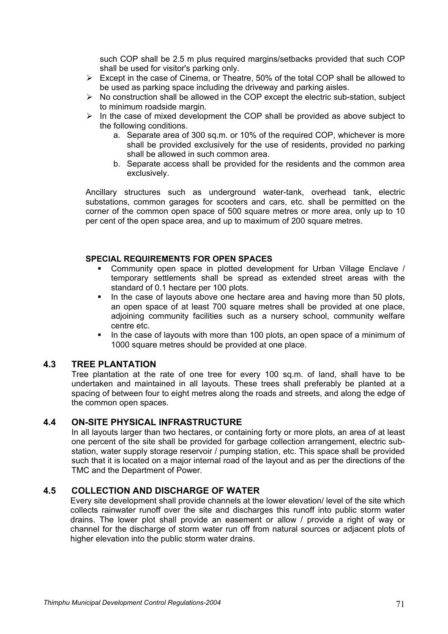such COP shall be 2.5 m plus required margins/setbacks provided that such COP shall be used for visitor's parking only.

- $\triangleright$  Except in the case of Cinema, or Theatre, 50% of the total COP shall be allowed to be used as parking space including the driveway and parking aisles.
- $\triangleright$  No construction shall be allowed in the COP except the electric sub-station, subject to minimum roadside margin.
- $\triangleright$  In the case of mixed development the COP shall be provided as above subject to the following conditions.
	- a. Separate area of 300 sq.m. or 10% of the required COP, whichever is more shall be provided exclusively for the use of residents, provided no parking shall be allowed in such common area.
	- b. Separate access shall be provided for the residents and the common area exclusively.

 Ancillary structures such as underground water-tank, overhead tank, electric substations, common garages for scooters and cars, etc. shall be permitted on the corner of the common open space of 500 square metres or more area, only up to 10 per cent of the open space area, and up to maximum of 200 square metres.

## **SPECIAL REQUIREMENTS FOR OPEN SPACES**

- Community open space in plotted development for Urban Village Enclave / temporary settlements shall be spread as extended street areas with the standard of 0.1 hectare per 100 plots.
- In the case of layouts above one hectare area and having more than 50 plots, an open space of at least 700 square metres shall be provided at one place, adjoining community facilities such as a nursery school, community welfare centre etc.
- In the case of layouts with more than 100 plots, an open space of a minimum of 1000 square metres should be provided at one place.

## **4.3 TREE PLANTATION**

Tree plantation at the rate of one tree for every 100 sq.m. of land, shall have to be undertaken and maintained in all layouts. These trees shall preferably be planted at a spacing of between four to eight metres along the roads and streets, and along the edge of the common open spaces.

## **4.4 ON-SITE PHYSICAL INFRASTRUCTURE**

In all layouts larger than two hectares, or containing forty or more plots, an area of at least one percent of the site shall be provided for garbage collection arrangement, electric substation, water supply storage reservoir / pumping station, etc. This space shall be provided such that it is located on a major internal road of the layout and as per the directions of the TMC and the Department of Power.

## **4.5 COLLECTION AND DISCHARGE OF WATER**

Every site development shall provide channels at the lower elevation/ level of the site which collects rainwater runoff over the site and discharges this runoff into public storm water drains. The lower plot shall provide an easement or allow / provide a right of way or channel for the discharge of storm water run off from natural sources or adjacent plots of higher elevation into the public storm water drains.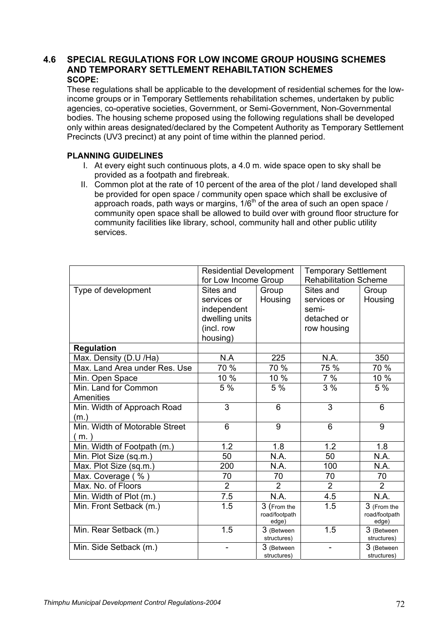# **4.6 SPECIAL REGULATIONS FOR LOW INCOME GROUP HOUSING SCHEMES AND TEMPORARY SETTLEMENT REHABILTATION SCHEMES SCOPE:**

These regulations shall be applicable to the development of residential schemes for the lowincome groups or in Temporary Settlements rehabilitation schemes, undertaken by public agencies, co-operative societies, Government, or Semi-Government, Non-Governmental bodies. The housing scheme proposed using the following regulations shall be developed only within areas designated/declared by the Competent Authority as Temporary Settlement Precincts (UV3 precinct) at any point of time within the planned period.

# **PLANNING GUIDELINES**

- I. At every eight such continuous plots, a 4.0 m. wide space open to sky shall be provided as a footpath and firebreak.
- II. Common plot at the rate of 10 percent of the area of the plot / land developed shall be provided for open space / community open space which shall be exclusive of approach roads, path ways or margins,  $1/6<sup>th</sup>$  of the area of such an open space / community open space shall be allowed to build over with ground floor structure for community facilities like library, school, community hall and other public utility services.

|                                | <b>Residential Development</b><br>for Low Income Group |                     | <b>Temporary Settlement</b><br><b>Rehabilitation Scheme</b> |                     |
|--------------------------------|--------------------------------------------------------|---------------------|-------------------------------------------------------------|---------------------|
| Type of development            | Sites and                                              | Group               | Sites and                                                   | Group               |
|                                | services or                                            | Housing             | services or                                                 | Housing             |
|                                | independent                                            |                     | semi-                                                       |                     |
|                                | dwelling units                                         |                     | detached or                                                 |                     |
|                                | (incl. row                                             |                     | row housing                                                 |                     |
|                                | housing)                                               |                     |                                                             |                     |
| <b>Regulation</b>              |                                                        |                     |                                                             |                     |
| Max. Density (D.U /Ha)         | N.A                                                    | 225                 | N.A.                                                        | 350                 |
| Max. Land Area under Res. Use  | 70 %                                                   | 70 %                | 75 %                                                        | 70 %                |
| Min. Open Space                | 10 %                                                   | 10 %                | 7%                                                          | 10 %                |
| Min. Land for Common           | 5 %                                                    | 5 %                 | 3%                                                          | 5 %                 |
| Amenities                      |                                                        |                     |                                                             |                     |
| Min. Width of Approach Road    | 3                                                      | 6                   | 3                                                           | 6                   |
| (m.)                           |                                                        |                     |                                                             |                     |
| Min. Width of Motorable Street | 6                                                      | 9                   | 6                                                           | 9                   |
| (m. )                          |                                                        |                     |                                                             |                     |
| Min. Width of Footpath (m.)    | 1.2                                                    | 1.8                 | 1.2                                                         | 1.8                 |
| Min. Plot Size (sq.m.)         | 50                                                     | N.A.                | 50                                                          | N.A.                |
| Max. Plot Size (sq.m.)         | 200                                                    | N.A.                | 100                                                         | N.A.                |
| Max. Coverage (%)              | 70                                                     | 70                  | 70                                                          | 70                  |
| Max. No. of Floors             | $\overline{2}$                                         | $\overline{2}$      | $\overline{2}$                                              | $\overline{2}$      |
| Min. Width of Plot (m.)        | 7.5                                                    | N.A.                | 4.5                                                         | N.A.                |
| Min. Front Setback (m.)        | 1.5                                                    | 3 (From the         | 1.5                                                         | 3 (From the         |
|                                |                                                        | road/footpath       |                                                             | road/footpath       |
| Min. Rear Setback (m.)         | 1.5                                                    | edge)<br>3 (Between | 1.5                                                         | edge)<br>3 (Between |
|                                |                                                        | structures)         |                                                             | structures)         |
| Min. Side Setback (m.)         |                                                        | 3 (Between          |                                                             | 3 (Between          |
|                                |                                                        | structures)         |                                                             | structures)         |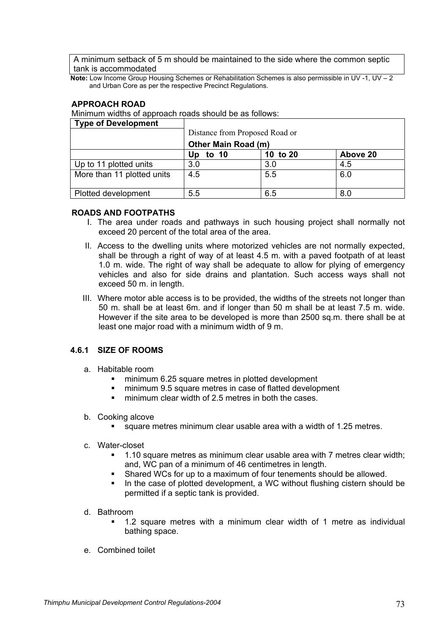A minimum setback of 5 m should be maintained to the side where the common septic tank is accommodated

**Note:** Low Income Group Housing Schemes or Rehabilitation Schemes is also permissible in UV -1, UV - 2 and Urban Core as per the respective Precinct Regulations.

## **APPROACH ROAD**

Minimum widths of approach roads should be as follows:

| <b>Type of Development</b> |                                |          |          |
|----------------------------|--------------------------------|----------|----------|
|                            | Distance from Proposed Road or |          |          |
|                            | Other Main Road (m)            |          |          |
|                            | Up<br>to $10$                  | 10 to 20 | Above 20 |
| Up to 11 plotted units     | 3.0                            | 3.0      | 4.5      |
| More than 11 plotted units | 4.5                            | 5.5      | 6.0      |
|                            |                                |          |          |
| Plotted development        | 5.5                            | 6.5      | 8.0      |

### **ROADS AND FOOTPATHS**

- I. The area under roads and pathways in such housing project shall normally not exceed 20 percent of the total area of the area.
- II. Access to the dwelling units where motorized vehicles are not normally expected, shall be through a right of way of at least 4.5 m. with a paved footpath of at least 1.0 m. wide. The right of way shall be adequate to allow for plying of emergency vehicles and also for side drains and plantation. Such access ways shall not exceed 50 m. in length.
- III. Where motor able access is to be provided, the widths of the streets not longer than 50 m. shall be at least 6m. and if longer than 50 m shall be at least 7.5 m. wide. However if the site area to be developed is more than 2500 sq.m. there shall be at least one major road with a minimum width of 9 m.

# **4.6.1 SIZE OF ROOMS**

- a. Habitable room
	- **F** minimum 6.25 square metres in plotted development
	- minimum 9.5 square metres in case of flatted development
	- **F** minimum clear width of 2.5 metres in both the cases.

#### b. Cooking alcove

- square metres minimum clear usable area with a width of 1.25 metres.
- c. Water-closet
	- 1.10 square metres as minimum clear usable area with 7 metres clear width; and, WC pan of a minimum of 46 centimetres in length.
	- Shared WCs for up to a maximum of four tenements should be allowed.
	- In the case of plotted development, a WC without flushing cistern should be permitted if a septic tank is provided.
- d. Bathroom
	- 1.2 square metres with a minimum clear width of 1 metre as individual bathing space.
- e. Combined toilet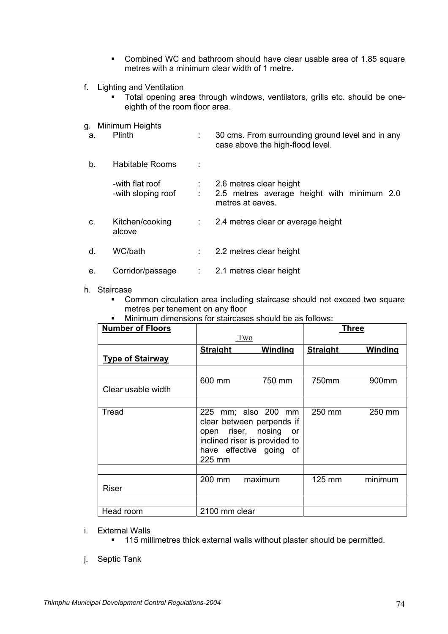- Combined WC and bathroom should have clear usable area of 1.85 square metres with a minimum clear width of 1 metre.
- f. Lighting and Ventilation
	- Total opening area through windows, ventilators, grills etc. should be oneeighth of the room floor area.
- g. Minimum Heights

| а. | Plinth                                |   | 30 cms. From surrounding ground level and in any<br>case above the high-flood level.      |
|----|---------------------------------------|---|-------------------------------------------------------------------------------------------|
| b. | Habitable Rooms                       |   |                                                                                           |
|    | -with flat roof<br>-with sloping roof |   | 2.6 metres clear height<br>2.5 metres average height with minimum 2.0<br>metres at eaves. |
| C. | Kitchen/cooking<br>alcove             |   | 2.4 metres clear or average height                                                        |
| d. | WC/bath                               |   | 2.2 metres clear height                                                                   |
| е. | Corridor/passage                      | ÷ | 2.1 metres clear height                                                                   |

#### h. Staircase

- Common circulation area including staircase should not exceed two square metres per tenement on any floor
- Minimum dimensions for staircases should be as follows:

| <b>Number of Floors</b> |                 |                                                                                                                                          |                  | <b>Three</b>      |
|-------------------------|-----------------|------------------------------------------------------------------------------------------------------------------------------------------|------------------|-------------------|
|                         |                 | $Tw$ <sup>o</sup>                                                                                                                        |                  |                   |
|                         | <b>Straight</b> | Winding                                                                                                                                  | <b>Straight</b>  | <b>Winding</b>    |
| <b>Type of Stairway</b> |                 |                                                                                                                                          |                  |                   |
|                         |                 |                                                                                                                                          |                  |                   |
|                         | 600 mm          | 750 mm                                                                                                                                   | 750mm            | 900 <sub>mm</sub> |
| Clear usable width      |                 |                                                                                                                                          |                  |                   |
|                         |                 |                                                                                                                                          |                  |                   |
| Tread                   | 225 mm          | 225 mm; also 200 mm<br>clear between perpends if<br>open riser, nosing<br>or<br>inclined riser is provided to<br>have effective going of | 250 mm           | 250 mm            |
|                         |                 |                                                                                                                                          |                  |                   |
| Riser                   | 200 mm          | maximum                                                                                                                                  | $125 \text{ mm}$ | minimum           |
|                         |                 |                                                                                                                                          |                  |                   |
| Head room               | 2100 mm clear   |                                                                                                                                          |                  |                   |

- i. External Walls
	- <sup>115</sup> millimetres thick external walls without plaster should be permitted.
- j. Septic Tank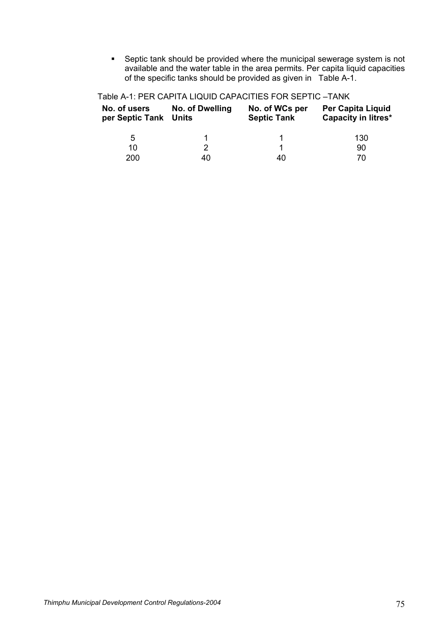Septic tank should be provided where the municipal sewerage system is not available and the water table in the area permits. Per capita liquid capacities of the specific tanks should be provided as given in Table A-1.

| No. of users<br>per Septic Tank Units | No. of Dwelling | No. of WCs per<br><b>Septic Tank</b> | <b>Per Capita Liquid</b><br><b>Capacity in litres*</b> |
|---------------------------------------|-----------------|--------------------------------------|--------------------------------------------------------|
| 5                                     |                 |                                      | 130                                                    |
| 10                                    |                 |                                      | 90                                                     |
| 200                                   | 40              | 40                                   | 70                                                     |

Table A-1: PER CAPITA LIQUID CAPACITIES FOR SEPTIC –TANK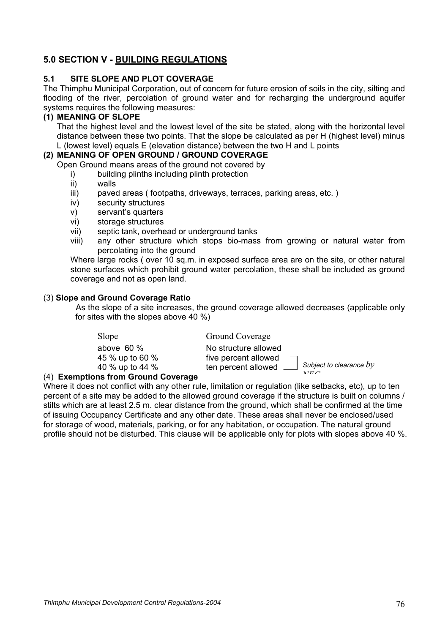# **5.0 SECTION V - BUILDING REGULATIONS**

# **5.1 SITE SLOPE AND PLOT COVERAGE**

The Thimphu Municipal Corporation, out of concern for future erosion of soils in the city, silting and flooding of the river, percolation of ground water and for recharging the underground aquifer systems requires the following measures:

## **(1) MEANING OF SLOPE**

That the highest level and the lowest level of the site be stated, along with the horizontal level distance between these two points. That the slope be calculated as per H (highest level) minus L (lowest level) equals E (elevation distance) between the two H and L points

## **(2) MEANING OF OPEN GROUND / GROUND COVERAGE**

Open Ground means areas of the ground not covered by

- i) building plinths including plinth protection
- ii) walls
- iii) paved areas ( footpaths, driveways, terraces, parking areas, etc. )
- iv) security structures
- v) servant's quarters
- vi) storage structures
- vii) septic tank, overhead or underground tanks
- viii) any other structure which stops bio-mass from growing or natural water from percolating into the ground

Where large rocks (over 10 sq.m. in exposed surface area are on the site, or other natural stone surfaces which prohibit ground water percolation, these shall be included as ground coverage and not as open land.

### (3) **Slope and Ground Coverage Ratio**

As the slope of a site increases, the ground coverage allowed decreases (applicable only for sites with the slopes above 40 %)

| Slope                    | Ground Coverage                                      |  |
|--------------------------|------------------------------------------------------|--|
| above $60\%$             | No structure allowed                                 |  |
| 45 % up to 60 %          | five percent allowed                                 |  |
| 40 % up to 44 %          | Subject to clearance $by$<br>ten percent allowed ___ |  |
| ons from Ground Coverage | $\lambda T \Gamma \cap$                              |  |

### (4) **Exemptions from Ground Coverage**

Where it does not conflict with any other rule, limitation or regulation (like setbacks, etc), up to ten percent of a site may be added to the allowed ground coverage if the structure is built on columns / stilts which are at least 2.5 m. clear distance from the ground, which shall be confirmed at the time of issuing Occupancy Certificate and any other date. These areas shall never be enclosed/used for storage of wood, materials, parking, or for any habitation, or occupation. The natural ground profile should not be disturbed. This clause will be applicable only for plots with slopes above 40 %.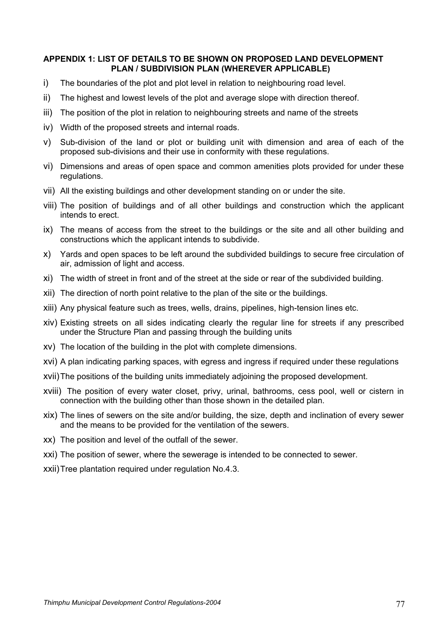## **APPENDIX 1: LIST OF DETAILS TO BE SHOWN ON PROPOSED LAND DEVELOPMENT PLAN / SUBDIVISION PLAN (WHEREVER APPLICABLE)**

- i) The boundaries of the plot and plot level in relation to neighbouring road level.
- ii) The highest and lowest levels of the plot and average slope with direction thereof.
- iii) The position of the plot in relation to neighbouring streets and name of the streets
- iv) Width of the proposed streets and internal roads.
- v) Sub-division of the land or plot or building unit with dimension and area of each of the proposed sub-divisions and their use in conformity with these regulations.
- vi) Dimensions and areas of open space and common amenities plots provided for under these regulations.
- vii) All the existing buildings and other development standing on or under the site.
- viii) The position of buildings and of all other buildings and construction which the applicant intends to erect.
- ix) The means of access from the street to the buildings or the site and all other building and constructions which the applicant intends to subdivide.
- x) Yards and open spaces to be left around the subdivided buildings to secure free circulation of air, admission of light and access.
- xi) The width of street in front and of the street at the side or rear of the subdivided building.
- xii) The direction of north point relative to the plan of the site or the buildings.
- xiii) Any physical feature such as trees, wells, drains, pipelines, high-tension lines etc.
- xiv) Existing streets on all sides indicating clearly the regular line for streets if any prescribed under the Structure Plan and passing through the building units
- xv) The location of the building in the plot with complete dimensions.
- xvi) A plan indicating parking spaces, with egress and ingress if required under these regulations
- xvii) The positions of the building units immediately adjoining the proposed development.
- xviii) The position of every water closet, privy, urinal, bathrooms, cess pool, well or cistern in connection with the building other than those shown in the detailed plan.
- xix) The lines of sewers on the site and/or building, the size, depth and inclination of every sewer and the means to be provided for the ventilation of the sewers.
- xx) The position and level of the outfall of the sewer.
- xxi) The position of sewer, where the sewerage is intended to be connected to sewer.
- xxii) Tree plantation required under regulation No.4.3.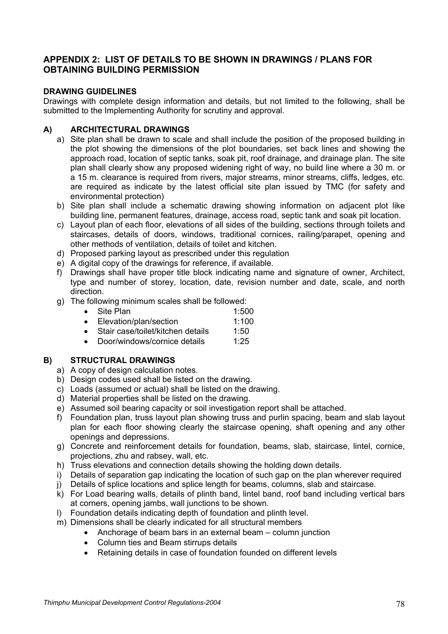# **APPENDIX 2: LIST OF DETAILS TO BE SHOWN IN DRAWINGS / PLANS FOR OBTAINING BUILDING PERMISSION**

# **DRAWING GUIDELINES**

Drawings with complete design information and details, but not limited to the following, shall be submitted to the Implementing Authority for scrutiny and approval.

# **A) ARCHITECTURAL DRAWINGS**

- a) Site plan shall be drawn to scale and shall include the position of the proposed building in the plot showing the dimensions of the plot boundaries, set back lines and showing the approach road, location of septic tanks, soak pit, roof drainage, and drainage plan. The site plan shall clearly show any proposed widening right of way, no build line where a 30 m. or a 15 m. clearance is required from rivers, major streams, minor streams, cliffs, ledges, etc. are required as indicate by the latest official site plan issued by TMC (for safety and environmental protection)
- b) Site plan shall include a schematic drawing showing information on adjacent plot like building line, permanent features, drainage, access road, septic tank and soak pit location.
- c) Layout plan of each floor, elevations of all sides of the building, sections through toilets and staircases, details of doors, windows, traditional cornices, railing/parapet, opening and other methods of ventilation, details of toilet and kitchen.
- d) Proposed parking layout as prescribed under this regulation
- e) A digital copy of the drawings for reference, if available.
- f) Drawings shall have proper title block indicating name and signature of owner, Architect, type and number of storey, location, date, revision number and date, scale, and north direction.
- g) The following minimum scales shall be followed:
	- Site Plan  $1:500$
	- Elevation/plan/section 1:100
	- Stair case/toilet/kitchen details 1:50
	- Door/windows/cornice details 1:25

# **B) STRUCTURAL DRAWINGS**

- a) A copy of design calculation notes.
- b) Design codes used shall be listed on the drawing.
- c) Loads (assumed or actual) shall be listed on the drawing.
- d) Material properties shall be listed on the drawing.
- e) Assumed soil bearing capacity or soil investigation report shall be attached.
- f) Foundation plan, truss layout plan showing truss and purlin spacing, beam and slab layout plan for each floor showing clearly the staircase opening, shaft opening and any other openings and depressions.
- g) Concrete and reinforcement details for foundation, beams, slab, staircase, lintel, cornice, projections, zhu and rabsey, wall, etc.
- h) Truss elevations and connection details showing the holding down details.
- i) Details of separation gap indicating the location of such gap on the plan wherever required
- j) Details of splice locations and splice length for beams, columns, slab and staircase.
- k) For Load bearing walls, details of plinth band, lintel band, roof band including vertical bars at corners, opening jambs, wall junctions to be shown.
- l) Foundation details indicating depth of foundation and plinth level.
- m) Dimensions shall be clearly indicated for all structural members
	- Anchorage of beam bars in an external beam column junction
	- Column ties and Beam stirrups details
	- Retaining details in case of foundation founded on different levels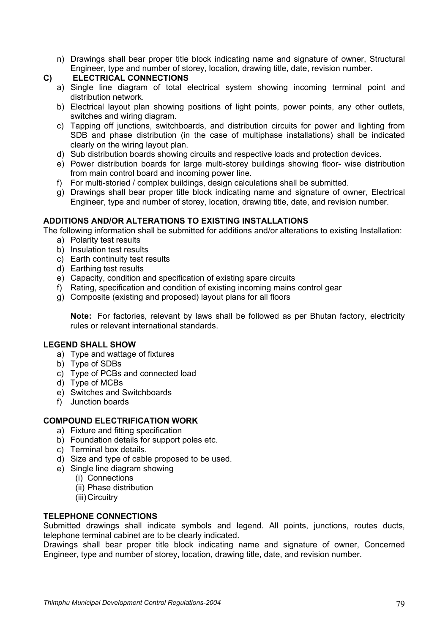- n) Drawings shall bear proper title block indicating name and signature of owner, Structural Engineer, type and number of storey, location, drawing title, date, revision number.
- **C) ELECTRICAL CONNECTIONS** 
	- a) Single line diagram of total electrical system showing incoming terminal point and distribution network.
	- b) Electrical layout plan showing positions of light points, power points, any other outlets, switches and wiring diagram.
	- c) Tapping off junctions, switchboards, and distribution circuits for power and lighting from SDB and phase distribution (in the case of multiphase installations) shall be indicated clearly on the wiring layout plan.
	- d) Sub distribution boards showing circuits and respective loads and protection devices.
	- e) Power distribution boards for large multi-storey buildings showing floor- wise distribution from main control board and incoming power line.
	- f) For multi-storied / complex buildings, design calculations shall be submitted.
	- g) Drawings shall bear proper title block indicating name and signature of owner, Electrical Engineer, type and number of storey, location, drawing title, date, and revision number.

# **ADDITIONS AND/OR ALTERATIONS TO EXISTING INSTALLATIONS**

The following information shall be submitted for additions and/or alterations to existing Installation:

- a) Polarity test results
- b) Insulation test results
- c) Earth continuity test results
- d) Earthing test results
- e) Capacity, condition and specification of existing spare circuits
- f) Rating, specification and condition of existing incoming mains control gear
- g) Composite (existing and proposed) layout plans for all floors

**Note:** For factories, relevant by laws shall be followed as per Bhutan factory, electricity rules or relevant international standards.

## **LEGEND SHALL SHOW**

- a) Type and wattage of fixtures
- b) Type of SDBs
- c) Type of PCBs and connected load
- d) Type of MCBs
- e) Switches and Switchboards
- f) Junction boards

## **COMPOUND ELECTRIFICATION WORK**

- a) Fixture and fitting specification
- b) Foundation details for support poles etc.
- c) Terminal box details.
- d) Size and type of cable proposed to be used.
- e) Single line diagram showing
	- (i) Connections
	- (ii) Phase distribution
	- (iii) Circuitry

## **TELEPHONE CONNECTIONS**

Submitted drawings shall indicate symbols and legend. All points, junctions, routes ducts, telephone terminal cabinet are to be clearly indicated.

Drawings shall bear proper title block indicating name and signature of owner, Concerned Engineer, type and number of storey, location, drawing title, date, and revision number.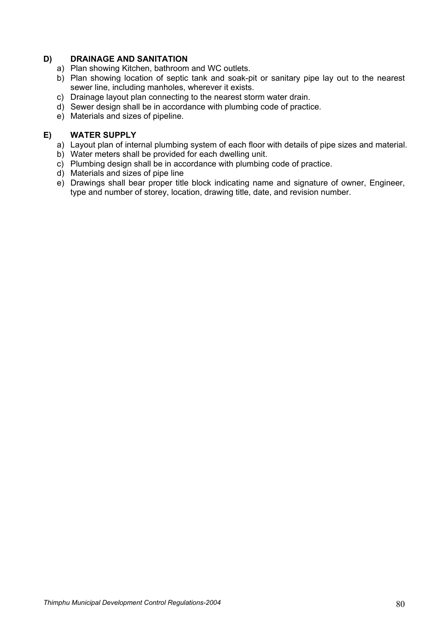# **D) DRAINAGE AND SANITATION**

- a) Plan showing Kitchen, bathroom and WC outlets.
- b) Plan showing location of septic tank and soak-pit or sanitary pipe lay out to the nearest sewer line, including manholes, wherever it exists.
- c) Drainage layout plan connecting to the nearest storm water drain.
- d) Sewer design shall be in accordance with plumbing code of practice.
- e) Materials and sizes of pipeline.

## **E) WATER SUPPLY**

- a) Layout plan of internal plumbing system of each floor with details of pipe sizes and material.
- b) Water meters shall be provided for each dwelling unit.
- c) Plumbing design shall be in accordance with plumbing code of practice.
- d) Materials and sizes of pipe line
- e) Drawings shall bear proper title block indicating name and signature of owner, Engineer, type and number of storey, location, drawing title, date, and revision number.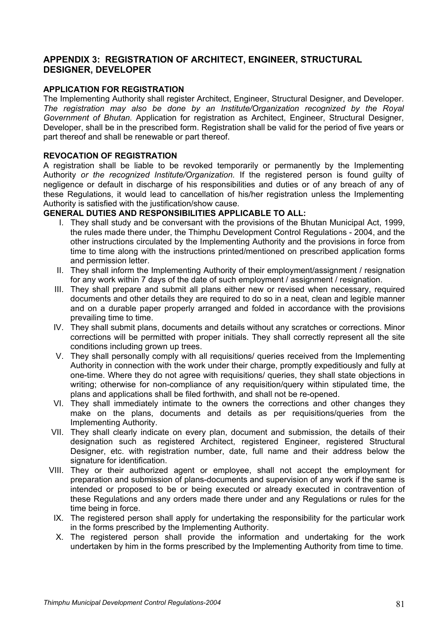# **APPENDIX 3: REGISTRATION OF ARCHITECT, ENGINEER, STRUCTURAL DESIGNER, DEVELOPER**

# **APPLICATION FOR REGISTRATION**

The Implementing Authority shall register Architect, Engineer, Structural Designer, and Developer. *The registration may also be done by an Institute/Organization recognized by the Royal Government of Bhutan.* Application for registration as Architect, Engineer, Structural Designer, Developer, shall be in the prescribed form. Registration shall be valid for the period of five years or part thereof and shall be renewable or part thereof.

## **REVOCATION OF REGISTRATION**

A registration shall be liable to be revoked temporarily or permanently by the Implementing Authority *or the recognized Institute/Organization.* If the registered person is found guilty of negligence or default in discharge of his responsibilities and duties or of any breach of any of these Regulations, it would lead to cancellation of his/her registration unless the Implementing Authority is satisfied with the justification/show cause.

# **GENERAL DUTIES AND RESPONSIBILITIES APPLICABLE TO ALL:**

- I. They shall study and be conversant with the provisions of the Bhutan Municipal Act, 1999, the rules made there under, the Thimphu Development Control Regulations - 2004, and the other instructions circulated by the Implementing Authority and the provisions in force from time to time along with the instructions printed/mentioned on prescribed application forms and permission letter.
- II. They shall inform the Implementing Authority of their employment/assignment / resignation for any work within 7 days of the date of such employment / assignment / resignation.
- III. They shall prepare and submit all plans either new or revised when necessary, required documents and other details they are required to do so in a neat, clean and legible manner and on a durable paper properly arranged and folded in accordance with the provisions prevailing time to time.
- IV. They shall submit plans, documents and details without any scratches or corrections. Minor corrections will be permitted with proper initials. They shall correctly represent all the site conditions including grown up trees.
- V. They shall personally comply with all requisitions/ queries received from the Implementing Authority in connection with the work under their charge, promptly expeditiously and fully at one-time. Where they do not agree with requisitions/ queries, they shall state objections in writing; otherwise for non-compliance of any requisition/query within stipulated time, the plans and applications shall be filed forthwith, and shall not be re-opened.
- VI. They shall immediately intimate to the owners the corrections and other changes they make on the plans, documents and details as per requisitions/queries from the Implementing Authority.
- VII. They shall clearly indicate on every plan, document and submission, the details of their designation such as registered Architect, registered Engineer, registered Structural Designer, etc. with registration number, date, full name and their address below the signature for identification.
- VIII. They or their authorized agent or employee, shall not accept the employment for preparation and submission of plans-documents and supervision of any work if the same is intended or proposed to be or being executed or already executed in contravention of these Regulations and any orders made there under and any Regulations or rules for the time being in force.
- IX. The registered person shall apply for undertaking the responsibility for the particular work in the forms prescribed by the Implementing Authority.
- X. The registered person shall provide the information and undertaking for the work undertaken by him in the forms prescribed by the Implementing Authority from time to time.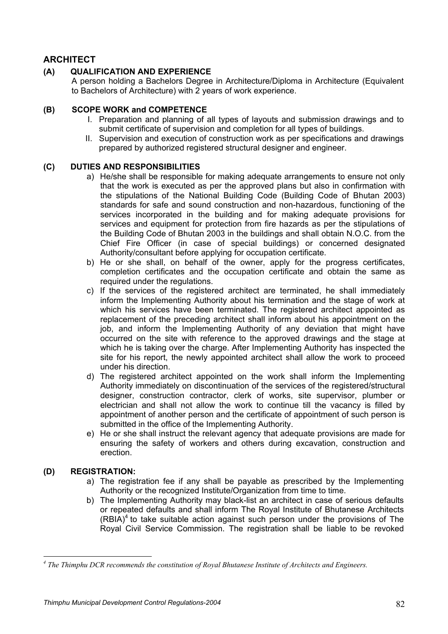# **ARCHITECT**

# **(A) QUALIFICATION AND EXPERIENCE**

A person holding a Bachelors Degree in Architecture/Diploma in Architecture (Equivalent to Bachelors of Architecture) with 2 years of work experience.

## **(B) SCOPE WORK and COMPETENCE**

- I. Preparation and planning of all types of layouts and submission drawings and to submit certificate of supervision and completion for all types of buildings.
- II. Supervision and execution of construction work as per specifications and drawings prepared by authorized registered structural designer and engineer.

# **(C) DUTIES AND RESPONSIBILITIES**

- a) He/she shall be responsible for making adequate arrangements to ensure not only that the work is executed as per the approved plans but also in confirmation with the stipulations of the National Building Code (Building Code of Bhutan 2003) standards for safe and sound construction and non-hazardous, functioning of the services incorporated in the building and for making adequate provisions for services and equipment for protection from fire hazards as per the stipulations of the Building Code of Bhutan 2003 in the buildings and shall obtain N.O.C. from the Chief Fire Officer (in case of special buildings) or concerned designated Authority/consultant before applying for occupation certificate.
- b) He or she shall, on behalf of the owner, apply for the progress certificates, completion certificates and the occupation certificate and obtain the same as required under the regulations.
- c) If the services of the registered architect are terminated, he shall immediately inform the Implementing Authority about his termination and the stage of work at which his services have been terminated. The registered architect appointed as replacement of the preceding architect shall inform about his appointment on the job, and inform the Implementing Authority of any deviation that might have occurred on the site with reference to the approved drawings and the stage at which he is taking over the charge. After Implementing Authority has inspected the site for his report, the newly appointed architect shall allow the work to proceed under his direction.
- d) The registered architect appointed on the work shall inform the Implementing Authority immediately on discontinuation of the services of the registered/structural designer, construction contractor, clerk of works, site supervisor, plumber or electrician and shall not allow the work to continue till the vacancy is filled by appointment of another person and the certificate of appointment of such person is submitted in the office of the Implementing Authority.
- e) He or she shall instruct the relevant agency that adequate provisions are made for ensuring the safety of workers and others during excavation, construction and erection.

# **(D) REGISTRATION:**

 $\overline{a}$ 

- a) The registration fee if any shall be payable as prescribed by the Implementing Authority or the recognized Institute/Organization from time to time.
- b) The Implementing Authority may black-list an architect in case of serious defaults or repeated defaults and shall inform The Royal Institute of Bhutanese Architects  $(RBIA)^4$  to take suitable action against such person under the provisions of The Royal Civil Service Commission. The registration shall be liable to be revoked

<sup>&</sup>lt;sup>4</sup> The Thimphu DCR recommends the constitution of Royal Bhutanese Institute of Architects and Engineers.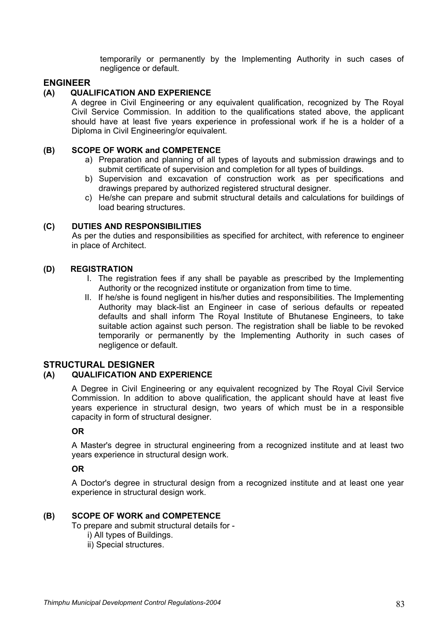temporarily or permanently by the Implementing Authority in such cases of negligence or default.

## **ENGINEER**

### **(A) QUALIFICATION AND EXPERIENCE**

A degree in Civil Engineering or any equivalent qualification, recognized by The Royal Civil Service Commission. In addition to the qualifications stated above, the applicant should have at least five years experience in professional work if he is a holder of a Diploma in Civil Engineering/or equivalent.

#### **(B) SCOPE OF WORK and COMPETENCE**

- a) Preparation and planning of all types of layouts and submission drawings and to submit certificate of supervision and completion for all types of buildings.
- b) Supervision and excavation of construction work as per specifications and drawings prepared by authorized registered structural designer.
- c) He/she can prepare and submit structural details and calculations for buildings of load bearing structures.

#### **(C) DUTIES AND RESPONSIBILITIES**

As per the duties and responsibilities as specified for architect, with reference to engineer in place of Architect.

### **(D) REGISTRATION**

- I. The registration fees if any shall be payable as prescribed by the Implementing Authority or the recognized institute or organization from time to time.
- II. If he/she is found negligent in his/her duties and responsibilities. The Implementing Authority may black-list an Engineer in case of serious defaults or repeated defaults and shall inform The Royal Institute of Bhutanese Engineers, to take suitable action against such person. The registration shall be liable to be revoked temporarily or permanently by the Implementing Authority in such cases of negligence or default.

#### **STRUCTURAL DESIGNER**

# **(A) QUALIFICATION AND EXPERIENCE**

A Degree in Civil Engineering or any equivalent recognized by The Royal Civil Service Commission. In addition to above qualification, the applicant should have at least five years experience in structural design, two years of which must be in a responsible capacity in form of structural designer.

#### **OR**

A Master's degree in structural engineering from a recognized institute and at least two years experience in structural design work.

## **OR**

A Doctor's degree in structural design from a recognized institute and at least one year experience in structural design work.

#### **(B) SCOPE OF WORK and COMPETENCE**

To prepare and submit structural details for -

- i) All types of Buildings.
- ii) Special structures.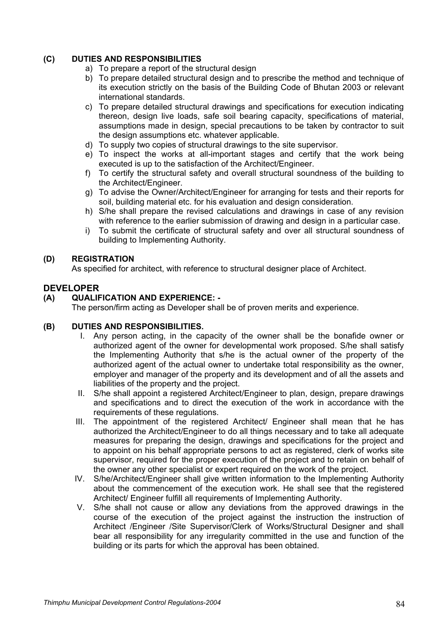# **(C) DUTIES AND RESPONSIBILITIES**

- a) To prepare a report of the structural design
- b) To prepare detailed structural design and to prescribe the method and technique of its execution strictly on the basis of the Building Code of Bhutan 2003 or relevant international standards.
- c) To prepare detailed structural drawings and specifications for execution indicating thereon, design live loads, safe soil bearing capacity, specifications of material, assumptions made in design, special precautions to be taken by contractor to suit the design assumptions etc. whatever applicable.
- d) To supply two copies of structural drawings to the site supervisor.
- e) To inspect the works at all-important stages and certify that the work being executed is up to the satisfaction of the Architect/Engineer.
- f) To certify the structural safety and overall structural soundness of the building to the Architect/Engineer.
- g) To advise the Owner/Architect/Engineer for arranging for tests and their reports for soil, building material etc. for his evaluation and design consideration.
- h) S/he shall prepare the revised calculations and drawings in case of any revision with reference to the earlier submission of drawing and design in a particular case.
- i) To submit the certificate of structural safety and over all structural soundness of building to Implementing Authority.

# **(D) REGISTRATION**

As specified for architect, with reference to structural designer place of Architect.

# **DEVELOPER**

# **(A) QUALIFICATION AND EXPERIENCE: -**

The person/firm acting as Developer shall be of proven merits and experience.

## **(B) DUTIES AND RESPONSIBILITIES.**

- I. Any person acting, in the capacity of the owner shall be the bonafide owner or authorized agent of the owner for developmental work proposed. S/he shall satisfy the Implementing Authority that s/he is the actual owner of the property of the authorized agent of the actual owner to undertake total responsibility as the owner, employer and manager of the property and its development and of all the assets and liabilities of the property and the project.
- II. S/he shall appoint a registered Architect/Engineer to plan, design, prepare drawings and specifications and to direct the execution of the work in accordance with the requirements of these regulations.
- III. The appointment of the registered Architect/ Engineer shall mean that he has authorized the Architect/Engineer to do all things necessary and to take all adequate measures for preparing the design, drawings and specifications for the project and to appoint on his behalf appropriate persons to act as registered, clerk of works site supervisor, required for the proper execution of the project and to retain on behalf of the owner any other specialist or expert required on the work of the project.
- IV. S/he/Architect/Engineer shall give written information to the Implementing Authority about the commencement of the execution work. He shall see that the registered Architect/ Engineer fulfill all requirements of Implementing Authority.
- V. S/he shall not cause or allow any deviations from the approved drawings in the course of the execution of the project against the instruction the instruction of Architect /Engineer /Site Supervisor/Clerk of Works/Structural Designer and shall bear all responsibility for any irregularity committed in the use and function of the building or its parts for which the approval has been obtained.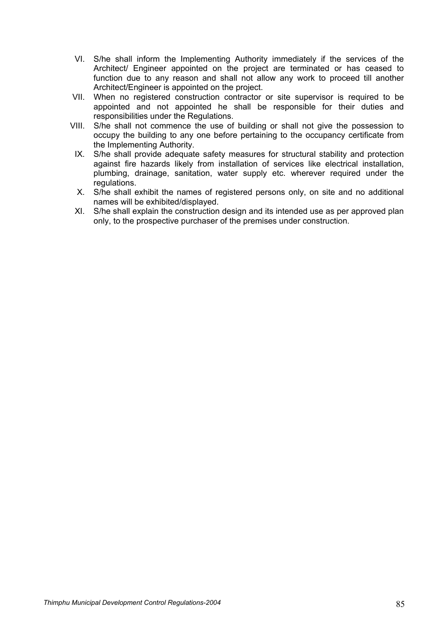- VI. S/he shall inform the Implementing Authority immediately if the services of the Architect/ Engineer appointed on the project are terminated or has ceased to function due to any reason and shall not allow any work to proceed till another Architect/Engineer is appointed on the project.
- VII. When no registered construction contractor or site supervisor is required to be appointed and not appointed he shall be responsible for their duties and responsibilities under the Regulations.
- VIII. S/he shall not commence the use of building or shall not give the possession to occupy the building to any one before pertaining to the occupancy certificate from the Implementing Authority.
- IX. S/he shall provide adequate safety measures for structural stability and protection against fire hazards likely from installation of services like electrical installation, plumbing, drainage, sanitation, water supply etc. wherever required under the regulations.
- X. S/he shall exhibit the names of registered persons only, on site and no additional names will be exhibited/displayed.
- XI. S/he shall explain the construction design and its intended use as per approved plan only, to the prospective purchaser of the premises under construction.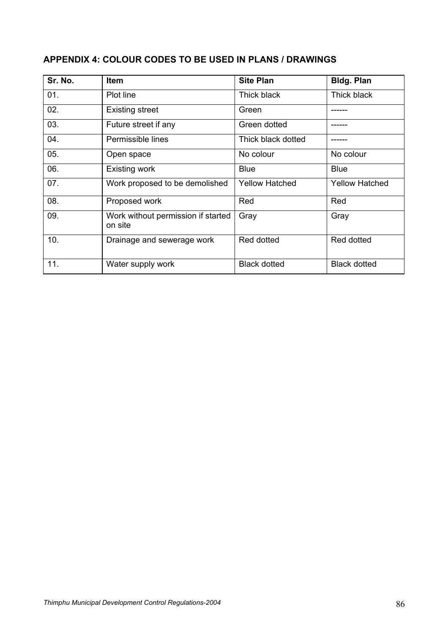# **APPENDIX 4: COLOUR CODES TO BE USED IN PLANS / DRAWINGS**

| Sr. No. | <b>Item</b>                                   | <b>Site Plan</b>      | <b>Bldg. Plan</b>     |
|---------|-----------------------------------------------|-----------------------|-----------------------|
| 01.     | Plot line                                     | Thick black           | Thick black           |
| 02.     | <b>Existing street</b>                        | Green                 |                       |
| 03.     | Future street if any                          | Green dotted          |                       |
| 04.     | Permissible lines                             | Thick black dotted    |                       |
| 05.     | Open space                                    | No colour             | No colour             |
| 06.     | <b>Existing work</b>                          | <b>Blue</b>           | <b>Blue</b>           |
| 07.     | Work proposed to be demolished                | <b>Yellow Hatched</b> | <b>Yellow Hatched</b> |
| 08.     | Proposed work                                 | Red                   | Red                   |
| 09.     | Work without permission if started<br>on site | Gray                  | Gray                  |
| 10.     | Drainage and sewerage work                    | Red dotted            | Red dotted            |
| 11.     | Water supply work                             | <b>Black dotted</b>   | <b>Black dotted</b>   |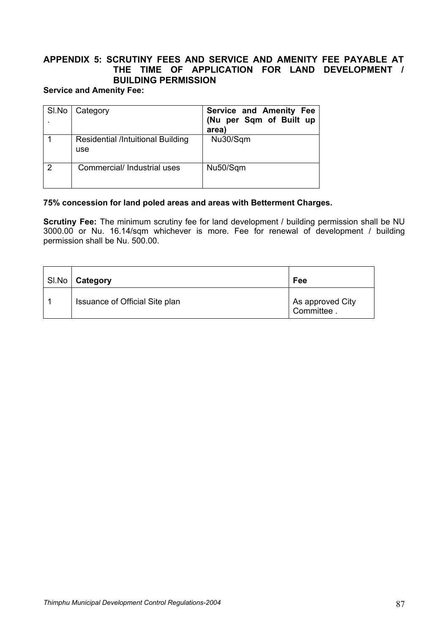# **APPENDIX 5: SCRUTINY FEES AND SERVICE AND AMENITY FEE PAYABLE AT THE TIME OF APPLICATION FOR LAND DEVELOPMENT / BUILDING PERMISSION**

# **Service and Amenity Fee:**

| SI.No | Category                                        | Service and Amenity Fee<br>(Nu per Sqm of Built up<br>area) |
|-------|-------------------------------------------------|-------------------------------------------------------------|
|       | <b>Residential /Intuitional Building</b><br>use | Nu30/Sqm                                                    |
| っ     | Commercial/ Industrial uses                     | Nu50/Sqm                                                    |

## **75% concession for land poled areas and areas with Betterment Charges.**

**Scrutiny Fee:** The minimum scrutiny fee for land development / building permission shall be NU 3000.00 or Nu. 16.14/sqm whichever is more. Fee for renewal of development / building permission shall be Nu. 500.00.

| SI.No   Category               | Fee                             |
|--------------------------------|---------------------------------|
| Issuance of Official Site plan | As approved City<br>Committee . |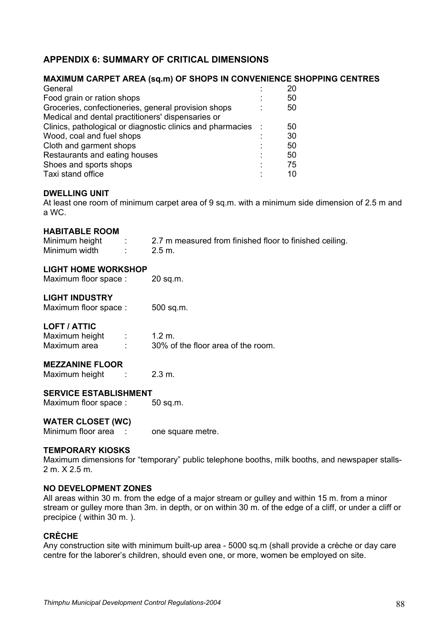# **APPENDIX 6: SUMMARY OF CRITICAL DIMENSIONS**

## **MAXIMUM CARPET AREA (sq.m) OF SHOPS IN CONVENIENCE SHOPPING CENTRES**

| General                                                    | 20 |
|------------------------------------------------------------|----|
| Food grain or ration shops                                 | 50 |
| Groceries, confectioneries, general provision shops        | 50 |
| Medical and dental practitioners' dispensaries or          |    |
| Clinics, pathological or diagnostic clinics and pharmacies | 50 |
| Wood, coal and fuel shops                                  | 30 |
| Cloth and garment shops                                    | 50 |
| Restaurants and eating houses                              | 50 |
| Shoes and sports shops                                     | 75 |
| Taxi stand office                                          | 10 |

#### **DWELLING UNIT**

At least one room of minimum carpet area of 9 sq.m. with a minimum side dimension of 2.5 m and a WC.

## **HABITABLE ROOM**

Minimum height : 2.7 m measured from finished floor to finished ceiling. Minimum width : 2.5 m.

#### **LIGHT HOME WORKSHOP**

Maximum floor space : 20 sq.m.

#### **LIGHT INDUSTRY**

Maximum floor space : 500 sq.m.

## **LOFT / ATTIC**

Maximum height : 1.2 m. Maximum area : 30% of the floor area of the room.

#### **MEZZANINE FLOOR**

Maximum height : 2.3 m.

#### **SERVICE ESTABLISHMENT**

Maximum floor space : 50 sq.m.

## **WATER CLOSET (WC)**

Minimum floor area : one square metre.

#### **TEMPORARY KIOSKS**

Maximum dimensions for "temporary" public telephone booths, milk booths, and newspaper stalls-2 m. X 2.5 m.

#### **NO DEVELOPMENT ZONES**

All areas within 30 m. from the edge of a major stream or gulley and within 15 m. from a minor stream or gulley more than 3m. in depth, or on within 30 m. of the edge of a cliff, or under a cliff or precipice ( within 30 m. ).

#### **CRÈCHE**

Any construction site with minimum built-up area - 5000 sq.m (shall provide a crèche or day care centre for the laborer's children, should even one, or more, women be employed on site.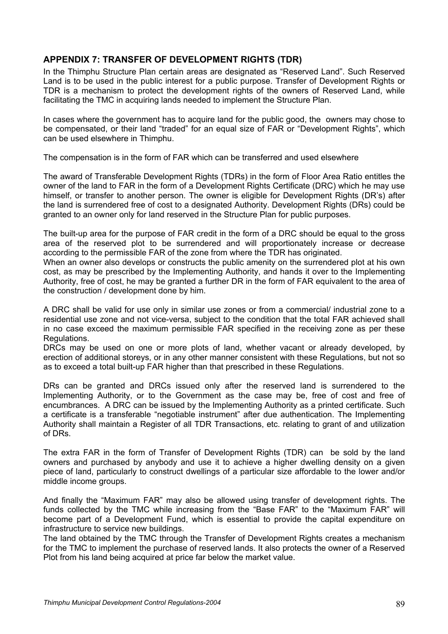# **APPENDIX 7: TRANSFER OF DEVELOPMENT RIGHTS (TDR)**

In the Thimphu Structure Plan certain areas are designated as "Reserved Land". Such Reserved Land is to be used in the public interest for a public purpose. Transfer of Development Rights or TDR is a mechanism to protect the development rights of the owners of Reserved Land, while facilitating the TMC in acquiring lands needed to implement the Structure Plan.

In cases where the government has to acquire land for the public good, the owners may chose to be compensated, or their land "traded" for an equal size of FAR or "Development Rights", which can be used elsewhere in Thimphu.

The compensation is in the form of FAR which can be transferred and used elsewhere

The award of Transferable Development Rights (TDRs) in the form of Floor Area Ratio entitles the owner of the land to FAR in the form of a Development Rights Certificate (DRC) which he may use himself, or transfer to another person. The owner is eligible for Development Rights (DR's) after the land is surrendered free of cost to a designated Authority. Development Rights (DRs) could be granted to an owner only for land reserved in the Structure Plan for public purposes.

The built-up area for the purpose of FAR credit in the form of a DRC should be equal to the gross area of the reserved plot to be surrendered and will proportionately increase or decrease according to the permissible FAR of the zone from where the TDR has originated.

When an owner also develops or constructs the public amenity on the surrendered plot at his own cost, as may be prescribed by the Implementing Authority, and hands it over to the Implementing Authority, free of cost, he may be granted a further DR in the form of FAR equivalent to the area of the construction / development done by him.

A DRC shall be valid for use only in similar use zones or from a commercial/ industrial zone to a residential use zone and not vice-versa, subject to the condition that the total FAR achieved shall in no case exceed the maximum permissible FAR specified in the receiving zone as per these Regulations.

DRCs may be used on one or more plots of land, whether vacant or already developed, by erection of additional storeys, or in any other manner consistent with these Regulations, but not so as to exceed a total built-up FAR higher than that prescribed in these Regulations.

DRs can be granted and DRCs issued only after the reserved land is surrendered to the Implementing Authority, or to the Government as the case may be, free of cost and free of encumbrances. A DRC can be issued by the Implementing Authority as a printed certificate. Such a certificate is a transferable "negotiable instrument" after due authentication. The Implementing Authority shall maintain a Register of all TDR Transactions, etc. relating to grant of and utilization of DRs.

The extra FAR in the form of Transfer of Development Rights (TDR) can be sold by the land owners and purchased by anybody and use it to achieve a higher dwelling density on a given piece of land, particularly to construct dwellings of a particular size affordable to the lower and/or middle income groups.

And finally the "Maximum FAR" may also be allowed using transfer of development rights. The funds collected by the TMC while increasing from the "Base FAR" to the "Maximum FAR" will become part of a Development Fund, which is essential to provide the capital expenditure on infrastructure to service new buildings.

The land obtained by the TMC through the Transfer of Development Rights creates a mechanism for the TMC to implement the purchase of reserved lands. It also protects the owner of a Reserved Plot from his land being acquired at price far below the market value.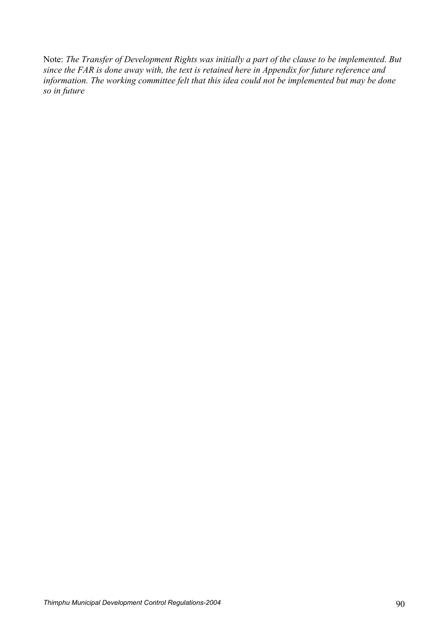Note: *The Transfer of Development Rights was initially a part of the clause to be implemented. But since the FAR is done away with, the text is retained here in Appendix for future reference and information. The working committee felt that this idea could not be implemented but may be done so in future*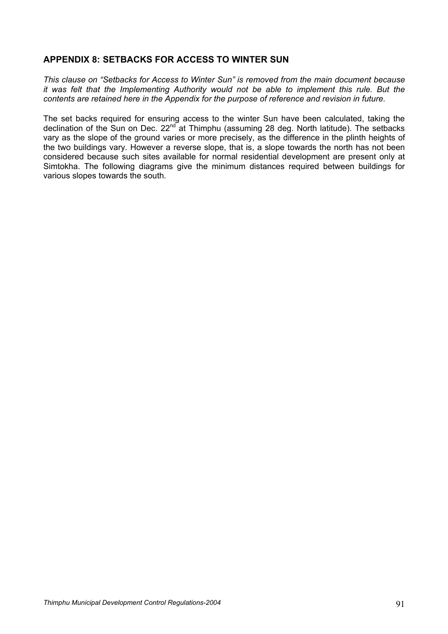# **APPENDIX 8: SETBACKS FOR ACCESS TO WINTER SUN**

*This clause on "Setbacks for Access to Winter Sun" is removed from the main document because it was felt that the Implementing Authority would not be able to implement this rule. But the contents are retained here in the Appendix for the purpose of reference and revision in future.* 

The set backs required for ensuring access to the winter Sun have been calculated, taking the declination of the Sun on Dec.  $22^{nd}$  at Thimphu (assuming 28 deg. North latitude). The setbacks vary as the slope of the ground varies or more precisely, as the difference in the plinth heights of the two buildings vary. However a reverse slope, that is, a slope towards the north has not been considered because such sites available for normal residential development are present only at Simtokha. The following diagrams give the minimum distances required between buildings for various slopes towards the south.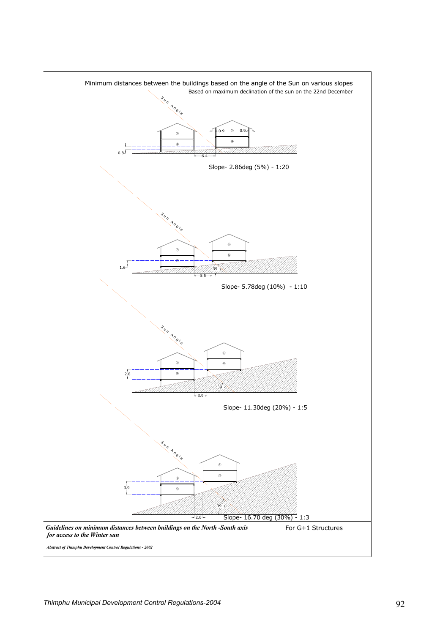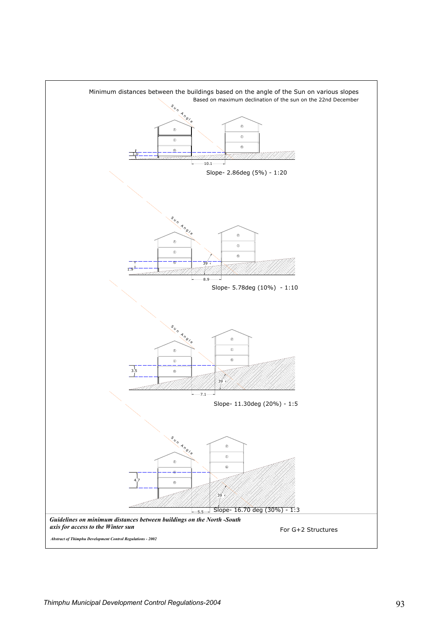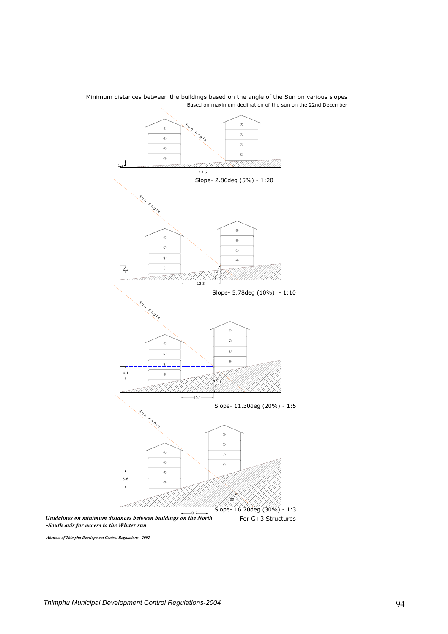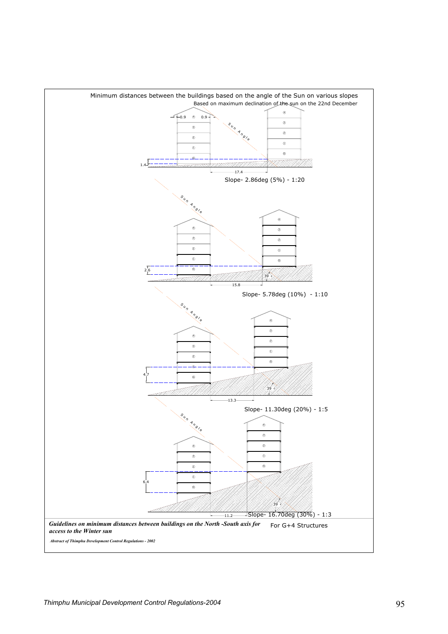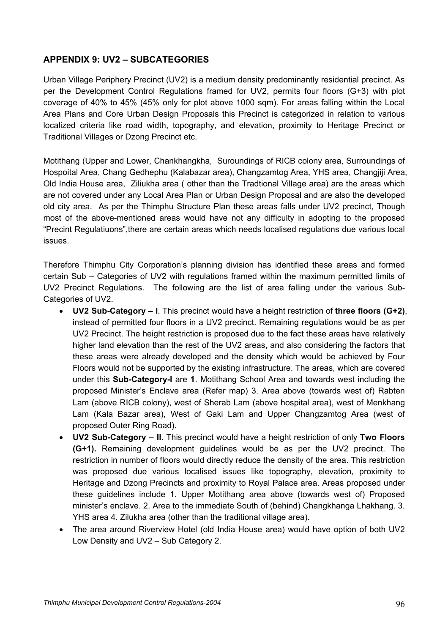# **APPENDIX 9: UV2 – SUBCATEGORIES**

Urban Village Periphery Precinct (UV2) is a medium density predominantly residential precinct. As per the Development Control Regulations framed for UV2, permits four floors (G+3) with plot coverage of 40% to 45% (45% only for plot above 1000 sqm). For areas falling within the Local Area Plans and Core Urban Design Proposals this Precinct is categorized in relation to various localized criteria like road width, topography, and elevation, proximity to Heritage Precinct or Traditional Villages or Dzong Precinct etc.

Motithang (Upper and Lower, Chankhangkha, Suroundings of RICB colony area, Surroundings of Hospoital Area, Chang Gedhephu (Kalabazar area), Changzamtog Area, YHS area, Changjiji Area, Old India House area, Ziliukha area ( other than the Tradtional Village area) are the areas which are not covered under any Local Area Plan or Urban Design Proposal and are also the developed old city area. As per the Thimphu Structure Plan these areas falls under UV2 precinct, Though most of the above-mentioned areas would have not any difficulty in adopting to the proposed "Precint Regulatiuons",there are certain areas which needs localised regulations due various local issues.

Therefore Thimphu City Corporation's planning division has identified these areas and formed certain Sub – Categories of UV2 with regulations framed within the maximum permitted limits of UV2 Precinct Regulations. The following are the list of area falling under the various Sub-Categories of UV2.

- **UV2 Sub-Category I**. This precinct would have a height restriction of **three floors (G+2)**, instead of permitted four floors in a UV2 precinct. Remaining regulations would be as per UV2 Precinct. The height restriction is proposed due to the fact these areas have relatively higher land elevation than the rest of the UV2 areas, and also considering the factors that these areas were already developed and the density which would be achieved by Four Floors would not be supported by the existing infrastructure. The areas, which are covered under this **Sub-Category-I** are **1**. Motithang School Area and towards west including the proposed Minister's Enclave area (Refer map) 3. Area above (towards west of) Rabten Lam (above RICB colony), west of Sherab Lam (above hospital area), west of Menkhang Lam (Kala Bazar area), West of Gaki Lam and Upper Changzamtog Area (west of proposed Outer Ring Road).
- **UV2 Sub-Category II**. This precinct would have a height restriction of only **Two Floors (G+1).** Remaining development guidelines would be as per the UV2 precinct. The restriction in number of floors would directly reduce the density of the area. This restriction was proposed due various localised issues like topography, elevation, proximity to Heritage and Dzong Precincts and proximity to Royal Palace area. Areas proposed under these guidelines include 1. Upper Motithang area above (towards west of) Proposed minister's enclave. 2. Area to the immediate South of (behind) Changkhanga Lhakhang. 3. YHS area 4. Zilukha area (other than the traditional village area).
- The area around Riverview Hotel (old India House area) would have option of both UV2 Low Density and UV2 – Sub Category 2.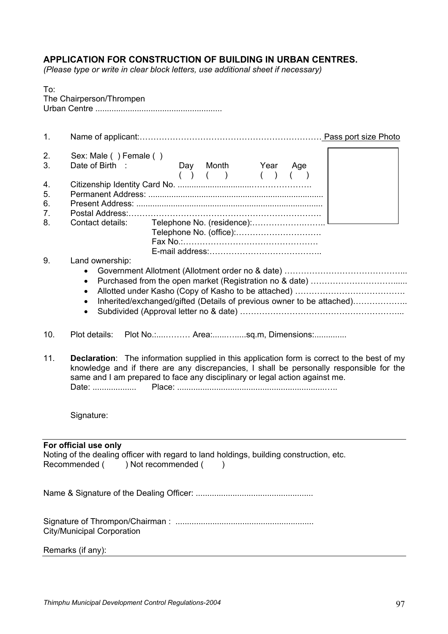# **APPLICATION FOR CONSTRUCTION OF BUILDING IN URBAN CENTRES.**

*(Please type or write in clear block letters, use additional sheet if necessary)* 

| To:                      |
|--------------------------|
| The Chairperson/Thrompen |
|                          |

| 1.                         |                                                                                                                                                                                                                                                                                       |  |  |  |  |
|----------------------------|---------------------------------------------------------------------------------------------------------------------------------------------------------------------------------------------------------------------------------------------------------------------------------------|--|--|--|--|
| 2.<br>3.                   | Sex: Male () Female ()<br>Day Month Year<br>Date of Birth :<br>Age<br>( ) ( ) ( ) ( )<br>(                                                                                                                                                                                            |  |  |  |  |
| 4.<br>5.<br>6.<br>7.<br>8. | Contact details:                                                                                                                                                                                                                                                                      |  |  |  |  |
| 9.                         | Land ownership:<br>$\bullet$<br>٠<br>Inherited/exchanged/gifted (Details of previous owner to be attached)<br>$\bullet$<br>$\bullet$                                                                                                                                                  |  |  |  |  |
| 10.                        | Plot No.: Area:sq.m, Dimensions:<br>Plot details:                                                                                                                                                                                                                                     |  |  |  |  |
| 11.                        | <b>Declaration:</b> The information supplied in this application form is correct to the best of my<br>knowledge and if there are any discrepancies, I shall be personally responsible for the<br>same and I am prepared to face any disciplinary or legal action against me.<br>Date: |  |  |  |  |
|                            | Signature:                                                                                                                                                                                                                                                                            |  |  |  |  |
|                            | For official use only<br>Noting of the dealing officer with regard to land holdings, building construction, etc.<br>) Not recommended (<br>Recommended (<br>$\lambda$                                                                                                                 |  |  |  |  |
|                            |                                                                                                                                                                                                                                                                                       |  |  |  |  |
|                            | <b>City/Municipal Corporation</b>                                                                                                                                                                                                                                                     |  |  |  |  |
|                            | Remarks (if any):                                                                                                                                                                                                                                                                     |  |  |  |  |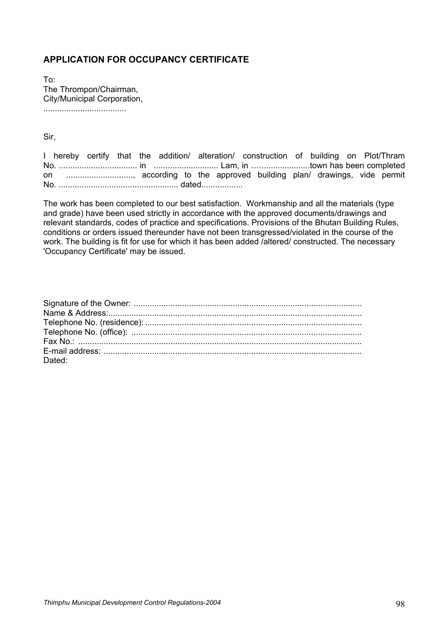# **APPLICATION FOR OCCUPANCY CERTIFICATE**

To: The Thrompon/Chairman, City/Municipal Corporation, ....................................

Sir,

I hereby certify that the addition/ alteration/ construction of building on Plot/Thram No. .................................. in ............................ Lam, in …......................town has been completed on ............................., according to the approved building plan/ drawings, vide permit No. .................................................... dated..................

The work has been completed to our best satisfaction. Workmanship and all the materials (type and grade) have been used strictly in accordance with the approved documents/drawings and relevant standards, codes of practice and specifications. Provisions of the Bhutan Building Rules, conditions or orders issued thereunder have not been transgressed/violated in the course of the work. The building is fit for use for which it has been added /altered/ constructed. The necessary 'Occupancy Certificate' may be issued.

| Dated: |
|--------|